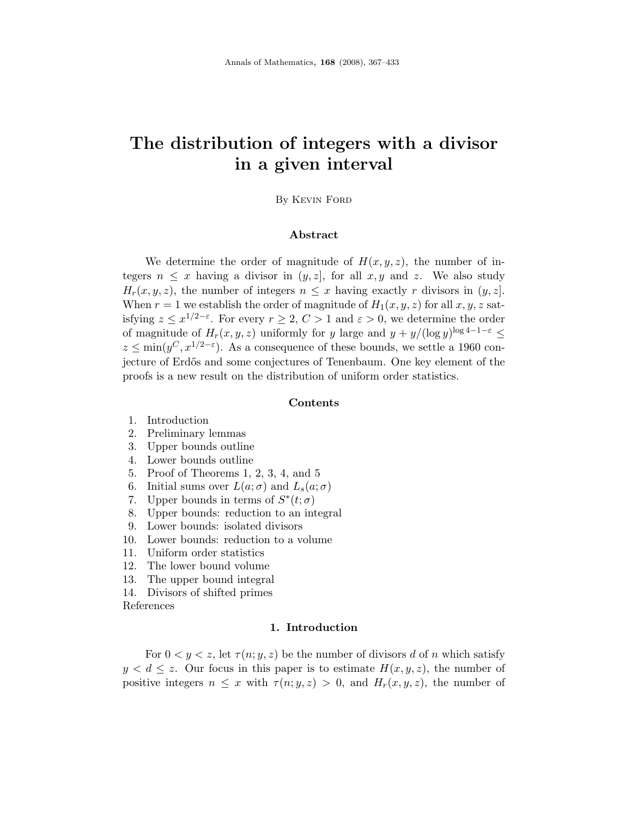# The distribution of integers with a divisor in a given interval

# By Kevin Ford

#### Abstract

We determine the order of magnitude of  $H(x, y, z)$ , the number of integers  $n \leq x$  having a divisor in  $(y, z)$ , for all  $x, y$  and  $z$ . We also study  $H_r(x, y, z)$ , the number of integers  $n \leq x$  having exactly r divisors in  $(y, z)$ . When  $r = 1$  we establish the order of magnitude of  $H_1(x, y, z)$  for all  $x, y, z$  satisfying  $z \leq x^{1/2-\varepsilon}$ . For every  $r \geq 2$ ,  $C > 1$  and  $\varepsilon > 0$ , we determine the order of magnitude of  $H_r(x, y, z)$  uniformly for y large and  $y + y/(\log y)^{\log 4 - 1 - \varepsilon} \leq$  $z \le \min(y^C, x^{1/2-\epsilon})$ . As a consequence of these bounds, we settle a 1960 conjecture of Erdős and some conjectures of Tenenbaum. One key element of the proofs is a new result on the distribution of uniform order statistics.

#### Contents

- 1. Introduction
- 2. Preliminary lemmas
- 3. Upper bounds outline
- 4. Lower bounds outline
- 5. Proof of Theorems 1, 2, 3, 4, and 5
- 6. Initial sums over  $L(a; \sigma)$  and  $L_s(a; \sigma)$
- 7. Upper bounds in terms of  $S^*(t; \sigma)$
- 8. Upper bounds: reduction to an integral
- 9. Lower bounds: isolated divisors
- 10. Lower bounds: reduction to a volume
- 11. Uniform order statistics
- 12. The lower bound volume
- 13. The upper bound integral
- 14. Divisors of shifted primes

References

#### 1. Introduction

For  $0 \lt y \lt z$ , let  $\tau(n; y, z)$  be the number of divisors d of n which satisfy  $y < d \leq z$ . Our focus in this paper is to estimate  $H(x, y, z)$ , the number of positive integers  $n \leq x$  with  $\tau(n; y, z) > 0$ , and  $H_r(x, y, z)$ , the number of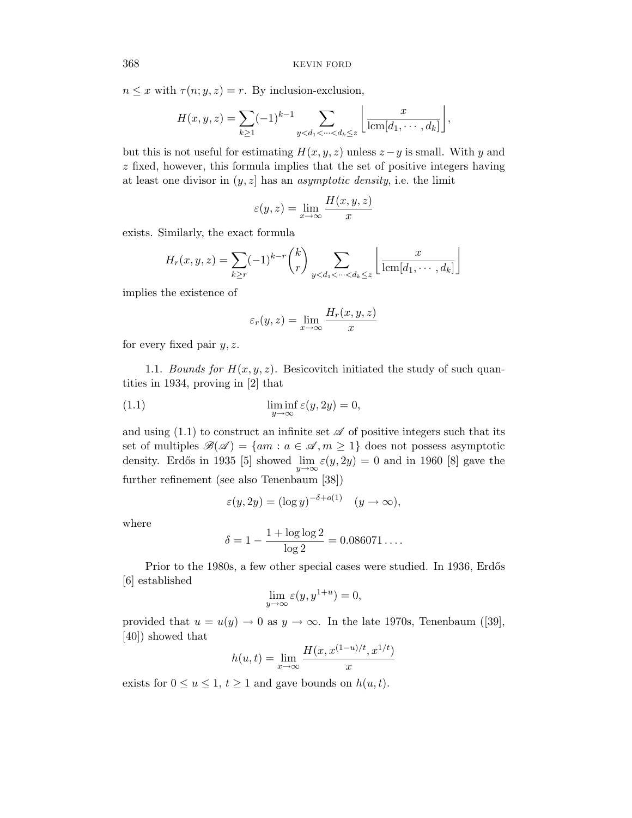$n \leq x$  with  $\tau(n; y, z) = r$ . By inclusion-exclusion,

$$
H(x, y, z) = \sum_{k \ge 1} (-1)^{k-1} \sum_{y < d_1 < \dots < d_k \le z} \left\lfloor \frac{x}{\text{lcm}[d_1, \dots, d_k]} \right\rfloor,
$$

but this is not useful for estimating  $H(x, y, z)$  unless  $z - y$  is small. With y and z fixed, however, this formula implies that the set of positive integers having at least one divisor in  $(y, z]$  has an *asymptotic density*, i.e. the limit

$$
\varepsilon(y, z) = \lim_{x \to \infty} \frac{H(x, y, z)}{x}
$$

exists. Similarly, the exact formula

$$
H_r(x, y, z) = \sum_{k \ge r} (-1)^{k-r} {k \choose r} \sum_{y < d_1 < \dots < d_k \le z} \left\lfloor \frac{x}{\operatorname{lcm}[d_1, \dots, d_k]} \right\rfloor
$$

implies the existence of

$$
\varepsilon_r(y, z) = \lim_{x \to \infty} \frac{H_r(x, y, z)}{x}
$$

for every fixed pair  $y, z$ .

1.1. Bounds for  $H(x, y, z)$ . Besicovitch initiated the study of such quantities in 1934, proving in [2] that

(1.1) 
$$
\liminf_{y \to \infty} \varepsilon(y, 2y) = 0,
$$

and using (1.1) to construct an infinite set  $\mathscr A$  of positive integers such that its set of multiples  $\mathscr{B}(\mathscr{A}) = \{ am : a \in \mathscr{A}, m \geq 1 \}$  does not possess asymptotic density. Erdős in 1935 [5] showed  $\lim_{y\to\infty} \varepsilon(y, 2y) = 0$  and in 1960 [8] gave the further refinement (see also Tenenbaum [38])

$$
\varepsilon(y, 2y) = (\log y)^{-\delta + o(1)} \quad (y \to \infty),
$$

where

$$
\delta = 1 - \frac{1 + \log \log 2}{\log 2} = 0.086071\dots.
$$

Prior to the 1980s, a few other special cases were studied. In 1936, Erdős [6] established

$$
\lim_{y \to \infty} \varepsilon(y, y^{1+u}) = 0,
$$

provided that  $u = u(y) \to 0$  as  $y \to \infty$ . In the late 1970s, Tenenbaum ([39], [40]) showed that

$$
h(u, t) = \lim_{x \to \infty} \frac{H(x, x^{(1-u)/t}, x^{1/t})}{x}
$$

exists for  $0 \le u \le 1$ ,  $t \ge 1$  and gave bounds on  $h(u, t)$ .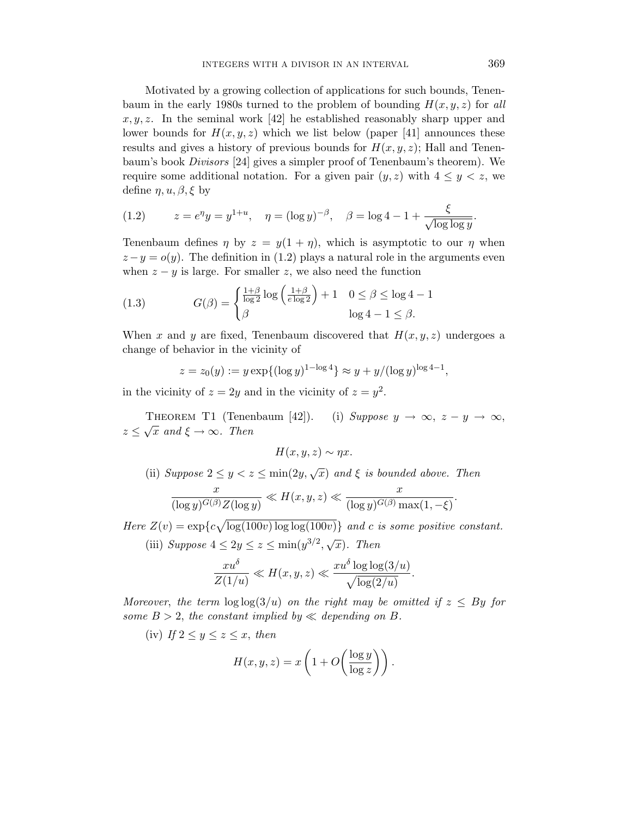Motivated by a growing collection of applications for such bounds, Tenenbaum in the early 1980s turned to the problem of bounding  $H(x, y, z)$  for all  $x, y, z$ . In the seminal work [42] he established reasonably sharp upper and lower bounds for  $H(x, y, z)$  which we list below (paper [41] announces these results and gives a history of previous bounds for  $H(x, y, z)$ ; Hall and Tenenbaum's book Divisors [24] gives a simpler proof of Tenenbaum's theorem). We require some additional notation. For a given pair  $(y, z)$  with  $4 \leq y \leq z$ , we define  $\eta, u, \beta, \xi$  by

(1.2) 
$$
z = e^{\eta} y = y^{1+u}, \quad \eta = (\log y)^{-\beta}, \quad \beta = \log 4 - 1 + \frac{\xi}{\sqrt{\log \log y}}.
$$

Tenenbaum defines  $\eta$  by  $z = y(1 + \eta)$ , which is asymptotic to our  $\eta$  when  $z - y = o(y)$ . The definition in (1.2) plays a natural role in the arguments even when  $z - y$  is large. For smaller z, we also need the function

(1.3) 
$$
G(\beta) = \begin{cases} \frac{1+\beta}{\log 2} \log \left( \frac{1+\beta}{e \log 2} \right) + 1 & 0 \le \beta \le \log 4 - 1 \\ \beta & \log 4 - 1 \le \beta. \end{cases}
$$

When x and y are fixed, Tenenbaum discovered that  $H(x, y, z)$  undergoes a change of behavior in the vicinity of

$$
z = z_0(y) := y \exp\{(\log y)^{1-\log 4}\} \approx y + y/(\log y)^{\log 4 - 1},
$$

in the vicinity of  $z = 2y$  and in the vicinity of  $z = y^2$ .

THEOREM T1 (Tenenbaum [42]). (i) Suppose  $y \to \infty$ ,  $z - y \to \infty$ ,  $z \leq \sqrt{x}$  and  $\xi \to \infty$ . Then

$$
H(x, y, z) \sim \eta x.
$$

(ii) Suppose 
$$
2 \le y < z \le \min(2y, \sqrt{x})
$$
 and  $\xi$  is bounded above. Then  
\n
$$
\frac{x}{(\log y)^{G(\beta)}Z(\log y)} \ll H(x, y, z) \ll \frac{x}{(\log y)^{G(\beta)}\max(1, -\xi)}.
$$

Here  $Z(v) = \exp\{c\sqrt{\log(100v)\log\log(100v)}\}$  and c is some positive constant. (iii) Suppose  $4 \leq 2y \leq z \leq \min(y^{3/2}, \sqrt{x})$ . Then

$$
\frac{xu^{\delta}}{Z(1/u)} \ll H(x, y, z) \ll \frac{xu^{\delta} \log \log(3/u)}{\sqrt{\log(2/u)}}.
$$

Moreover, the term  $\log \log(3/u)$  on the right may be omitted if  $z \leq By$  for some  $B > 2$ , the constant implied by  $\ll$  depending on B.

(iv) If  $2 \le y \le z \le x$ , then

$$
H(x, y, z) = x \left( 1 + O\left(\frac{\log y}{\log z}\right) \right).
$$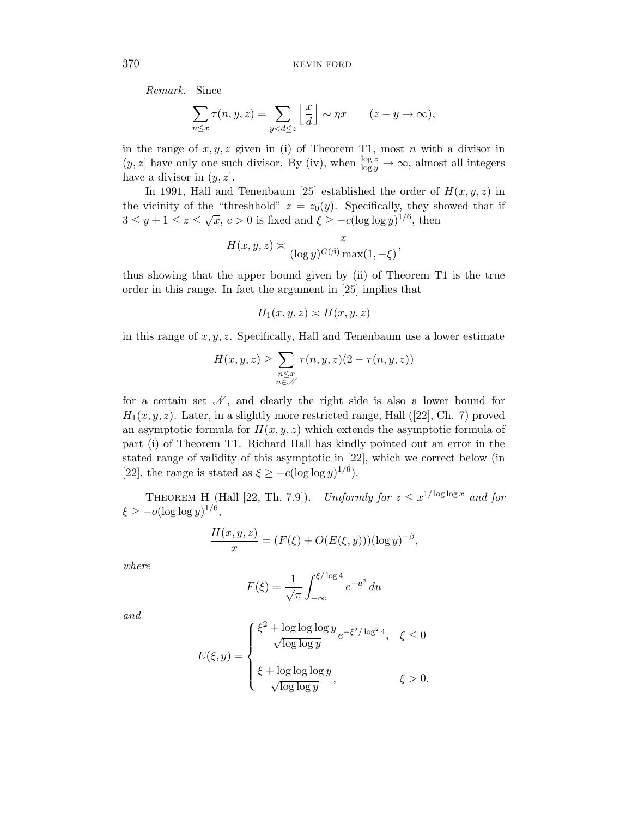Remark. Since

$$
\sum_{n\leq x} \tau(n, y, z) = \sum_{y < d \leq z} \left\lfloor \frac{x}{d} \right\rfloor \sim \eta x \qquad (z - y \to \infty),
$$

in the range of  $x, y, z$  given in (i) of Theorem T1, most n with a divisor in  $(y, z]$  have only one such divisor. By (iv), when  $\frac{\log z}{\log y} \to \infty$ , almost all integers have a divisor in  $(y, z)$ .

In 1991, Hall and Tenenbaum [25] established the order of  $H(x, y, z)$  in the vicinity of the "threshhold"  $z = z_0(y)$ . Specifically, they showed that if  $3 \le y + 1 \le z \le \sqrt{x}, c > 0$  is fixed and  $\xi \ge -c(\log \log y)^{1/6}$ , then

$$
H(x, y, z) \approx \frac{x}{(\log y)^{G(\beta)} \max(1, -\xi)},
$$

thus showing that the upper bound given by (ii) of Theorem T1 is the true order in this range. In fact the argument in [25] implies that

$$
H_1(x, y, z) \asymp H(x, y, z)
$$

in this range of  $x, y, z$ . Specifically, Hall and Tenenbaum use a lower estimate

$$
H(x, y, z) \ge \sum_{\substack{n \le x \\ n \in \mathcal{N}}} \tau(n, y, z)(2 - \tau(n, y, z))
$$

for a certain set  $\mathcal{N}$ , and clearly the right side is also a lower bound for  $H_1(x, y, z)$ . Later, in a slightly more restricted range, Hall ([22], Ch. 7) proved an asymptotic formula for  $H(x, y, z)$  which extends the asymptotic formula of part (i) of Theorem T1. Richard Hall has kindly pointed out an error in the stated range of validity of this asymptotic in [22], which we correct below (in [22], the range is stated as  $\xi \geq -c(\log \log y)^{1/6}$ .

THEOREM H (Hall [22, Th. 7.9]). Uniformly for  $z \leq x^{1/\log \log x}$  and for  $\xi \geq -o(\log \log y)^{1/6},$ 

$$
\frac{H(x, y, z)}{x} = (F(\xi) + O(E(\xi, y)))(\log y)^{-\beta},
$$

where

$$
F(\xi) = \frac{1}{\sqrt{\pi}} \int_{-\infty}^{\xi/\log 4} e^{-u^2} du
$$

and

$$
E(\xi, y) = \begin{cases} \frac{\xi^2 + \log \log \log y}{\sqrt{\log \log y}} e^{-\xi^2/\log^2 4}, & \xi \le 0 \\ \\ \frac{\xi + \log \log \log y}{\sqrt{\log \log y}}, & \xi > 0. \end{cases}
$$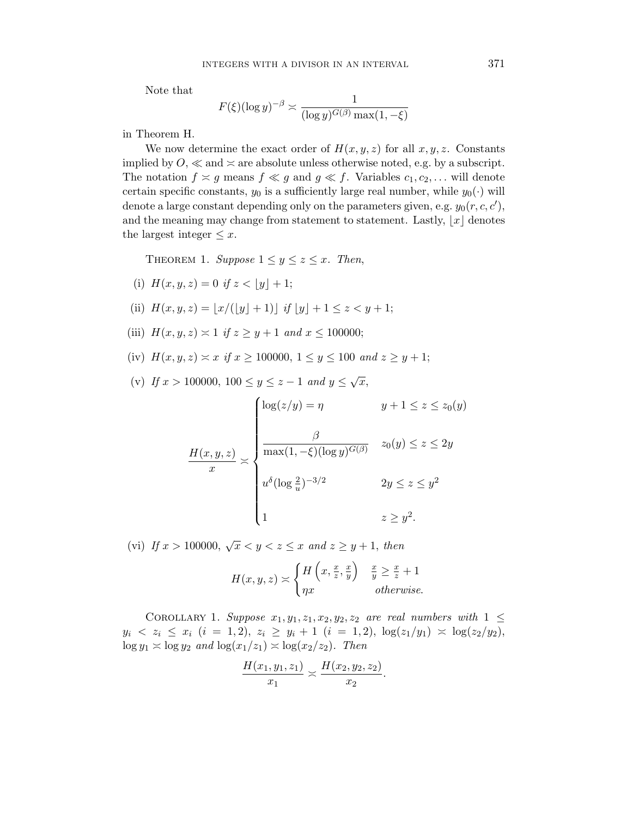Note that

$$
F(\xi)(\log y)^{-\beta} \asymp \frac{1}{(\log y)^{G(\beta)} \max(1,-\xi)}
$$

in Theorem H.

We now determine the exact order of  $H(x, y, z)$  for all  $x, y, z$ . Constants implied by  $O \ll \text{and} \times \text{are absolute unless otherwise noted, e.g. by a subscript.}$ The notation  $f \n\times g$  means  $f \n\times g$  and  $g \n\times f$ . Variables  $c_1, c_2, \ldots$  will denote certain specific constants,  $y_0$  is a sufficiently large real number, while  $y_0(\cdot)$  will denote a large constant depending only on the parameters given, e.g.  $y_0(r, c, c')$ , and the meaning may change from statement to statement. Lastly,  $|x|$  denotes the largest integer  $\leq x$ .

THEOREM 1. Suppose  $1 \leq y \leq z \leq x$ . Then,

(i) 
$$
H(x, y, z) = 0
$$
 if  $z < \lfloor y \rfloor + 1$ ;

(ii) 
$$
H(x, y, z) = [x/(\lfloor y \rfloor + 1)]
$$
 if  $\lfloor y \rfloor + 1 \le z < y + 1$ ;

- (iii)  $H(x, y, z) \approx 1$  if  $z \ge y + 1$  and  $x \le 100000$ ;
- (iv)  $H(x, y, z) \approx x$  if  $x \ge 100000, 1 \le y \le 100$  and  $z \ge y + 1$ ;
- (v) If  $x > 100000, 100 \le y \le z 1$  and  $y \le \sqrt{x}$ ,

$$
\frac{H(x, y, z)}{x} \asymp \begin{cases} \log(z/y) = \eta & y + 1 \le z \le z_0(y) \\ \frac{\beta}{\max(1, -\xi)(\log y)^{G(\beta)}} & z_0(y) \le z \le 2y \\ u^{\delta}(\log \frac{2}{u})^{-3/2} & 2y \le z \le y^2 \\ 1 & z \ge y^2. \end{cases}
$$

(vi) If  $x > 100000$ ,  $\sqrt{x} < y < z \leq x$  and  $z \geq y + 1$ , then

$$
H(x, y, z) \asymp \begin{cases} H\left(x, \frac{x}{z}, \frac{x}{y}\right) & \frac{x}{y} \ge \frac{x}{z} + 1\\ \eta x & otherwise. \end{cases}
$$

COROLLARY 1. Suppose  $x_1, y_1, z_1, x_2, y_2, z_2$  are real numbers with  $1 \leq$  $y_i \le z_i \le x_i \ (i = 1, 2), \ z_i \ge y_i + 1 \ (i = 1, 2), \ \log(z_1/y_1) \approx \log(z_2/y_2),$  $\log y_1 \asymp \log y_2$  and  $\log(x_1/z_1) \asymp \log(x_2/z_2)$ . Then

$$
\frac{H(x_1, y_1, z_1)}{x_1} \approx \frac{H(x_2, y_2, z_2)}{x_2}.
$$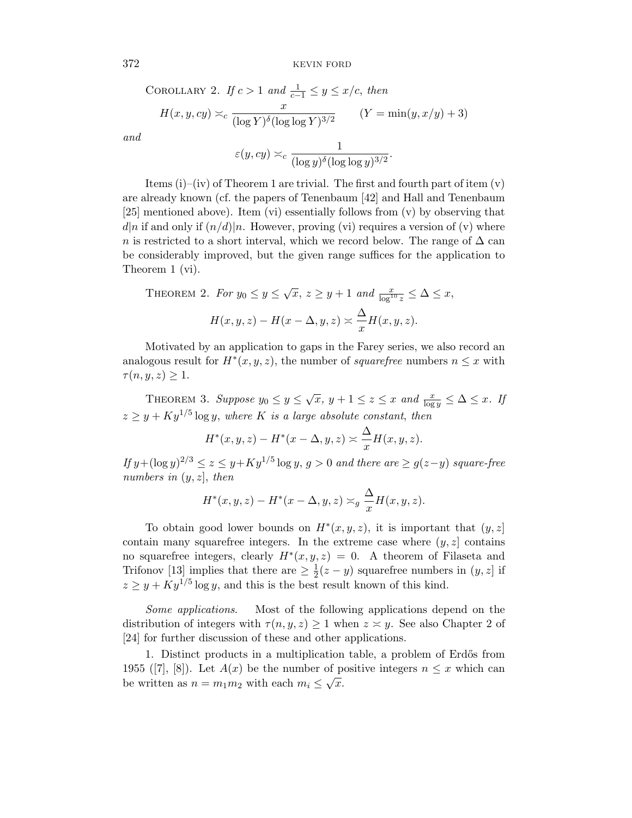COROLLARY 2. If  $c > 1$  and  $\frac{1}{c-1} \leq y \leq x/c$ , then

$$
H(x, y, cy) \asymp_c \frac{x}{(\log Y)^{\delta} (\log \log Y)^{3/2}} \qquad (Y = \min(y, x/y) + 3)
$$

and

$$
\varepsilon(y, cy) \asymp_c \frac{1}{(\log y)^{\delta} (\log \log y)^{3/2}}
$$

.

Items  $(i)$ – $(iv)$  of Theorem 1 are trivial. The first and fourth part of item  $(v)$ are already known (cf. the papers of Tenenbaum [42] and Hall and Tenenbaum  $[25]$  mentioned above). Item (vi) essentially follows from (v) by observing that  $d|n$  if and only if  $(n/d)|n$ . However, proving (vi) requires a version of (v) where n is restricted to a short interval, which we record below. The range of  $\Delta$  can be considerably improved, but the given range suffices for the application to Theorem 1 (vi).

THEOREM 2. For 
$$
y_0 \le y \le \sqrt{x}
$$
,  $z \ge y + 1$  and  $\frac{x}{\log^{10} z} \le \Delta \le x$ ,  

$$
H(x, y, z) - H(x - \Delta, y, z) \approx \frac{\Delta}{x} H(x, y, z).
$$

Motivated by an application to gaps in the Farey series, we also record an analogous result for  $H^*(x, y, z)$ , the number of *squarefree* numbers  $n \leq x$  with  $\tau(n, y, z) \geq 1.$ 

THEOREM 3. Suppose  $y_0 \le y \le \sqrt{x}$ ,  $y + 1 \le z \le x$  and  $\frac{x}{\log y} \le \Delta \le x$ . If  $z \geq y + Ky^{1/5} \log y$ , where K is a large absolute constant, then

$$
H^*(x, y, z) - H^*(x - \Delta, y, z) \asymp \frac{\Delta}{x} H(x, y, z).
$$

If  $y + (\log y)^{2/3} \le z \le y + Ky^{1/5} \log y$ ,  $g > 0$  and there are  $\ge g(z-y)$  square-free numbers in  $(y, z)$ , then

$$
H^*(x, y, z) - H^*(x - \Delta, y, z) \asymp_g \frac{\Delta}{x} H(x, y, z).
$$

To obtain good lower bounds on  $H^*(x, y, z)$ , it is important that  $(y, z)$ contain many squarefree integers. In the extreme case where  $(y, z)$  contains no squarefree integers, clearly  $H^*(x, y, z) = 0$ . A theorem of Filaseta and Trifonov [13] implies that there are  $\geq \frac{1}{2}$  $\frac{1}{2}(z-y)$  squarefree numbers in  $(y, z]$  if  $z \geq y + Ky^{1/5} \log y$ , and this is the best result known of this kind.

Some applications. Most of the following applications depend on the distribution of integers with  $\tau(n, y, z) \geq 1$  when  $z \approx y$ . See also Chapter 2 of [24] for further discussion of these and other applications.

1. Distinct products in a multiplication table, a problem of Erdős from 1955 ([7], [8]). Let  $A(x)$  be the number of positive integers  $n \leq x$  which can be written as  $n = m_1 m_2$  with each  $m_i \leq \sqrt{x}$ .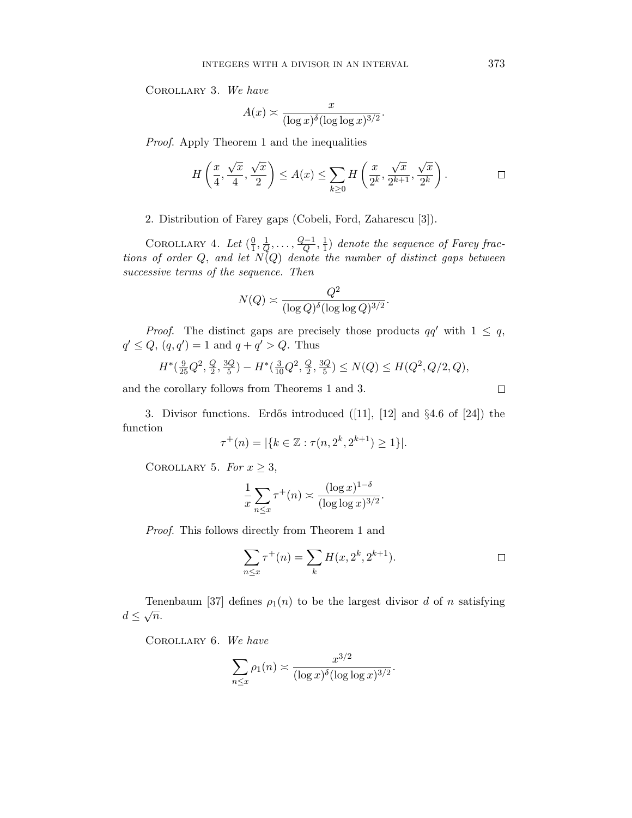Corollary 3. We have

$$
A(x) \asymp \frac{x}{(\log x)^{\delta} (\log \log x)^{3/2}}
$$

Proof. Apply Theorem 1 and the inequalities

$$
H\left(\frac{x}{4}, \frac{\sqrt{x}}{4}, \frac{\sqrt{x}}{2}\right) \le A(x) \le \sum_{k\ge 0} H\left(\frac{x}{2^k}, \frac{\sqrt{x}}{2^{k+1}}, \frac{\sqrt{x}}{2^k}\right). \qquad \Box
$$

.

2. Distribution of Farey gaps (Cobeli, Ford, Zaharescu [3]).

COROLLARY 4. Let  $(\frac{0}{1})$  $\frac{0}{1},\frac{1}{Q}$  $\frac{1}{Q}, \ldots, \frac{Q-1}{Q}$  $\frac{Q-1}{Q},\frac{1}{1}$  $\frac{1}{1}$ ) denote the sequence of Farey fractions of order  $Q$ , and let  $N(Q)$  denote the number of distinct gaps between successive terms of the sequence. Then

$$
N(Q) \asymp \frac{Q^2}{(\log Q)^{\delta} (\log \log Q)^{3/2}}.
$$

*Proof.* The distinct gaps are precisely those products  $qq'$  with  $1 \leq q$ ,  $q' \leq Q, (q, q') = 1$  and  $q + q' > Q$ . Thus

$$
H^*(\frac{9}{25}Q^2, \frac{Q}{2}, \frac{3Q}{5}) - H^*(\frac{3}{10}Q^2, \frac{Q}{2}, \frac{3Q}{5}) \le N(Q) \le H(Q^2, Q/2, Q),
$$

and the corollary follows from Theorems 1 and 3.

3. Divisor functions. Erdős introduced  $([11], [12]$  and  $\S 4.6$  of  $[24]$ ) the function

$$
\tau^+(n) = |\{k \in \mathbb{Z} : \tau(n, 2^k, 2^{k+1}) \ge 1\}|.
$$

COROLLARY 5. For  $x \geq 3$ ,

$$
\frac{1}{x}\sum_{n\leq x}\tau^+(n)\asymp \frac{(\log x)^{1-\delta}}{(\log\log x)^{3/2}}.
$$

Proof. This follows directly from Theorem 1 and

$$
\sum_{n \le x} \tau^+(n) = \sum_k H(x, 2^k, 2^{k+1}).
$$

Tenenbaum [37] defines  $\rho_1(n)$  to be the largest divisor d of n satisfying  $d \leq \sqrt{n}$ .

Corollary 6. We have

$$
\sum_{n\leq x}\rho_1(n)\asymp \frac{x^{3/2}}{(\log x)^{\delta}(\log\log x)^{3/2}}.
$$

 $\Box$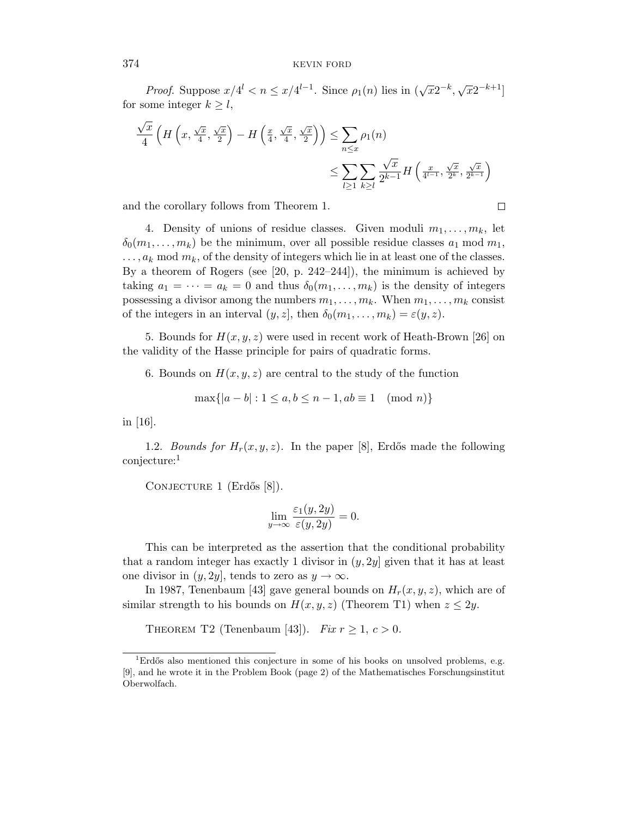*Proof.* Suppose  $x/4^l < n \leq x/4^{l-1}$ . Since  $\rho_1(n)$  lies in  $(\sqrt{x}2^{-k}, \sqrt{x}2^{-k+1}]$ for some integer  $k \geq l$ ,

$$
\frac{\sqrt{x}}{4} \left( H\left(x, \frac{\sqrt{x}}{4}, \frac{\sqrt{x}}{2}\right) - H\left(\frac{x}{4}, \frac{\sqrt{x}}{4}, \frac{\sqrt{x}}{2}\right) \right) \le \sum_{n \le x} \rho_1(n)
$$
\n
$$
\le \sum_{l \ge 1} \sum_{k \ge l} \frac{\sqrt{x}}{2^{k-1}} H\left(\frac{x}{4^{l-1}}, \frac{\sqrt{x}}{2^k}, \frac{\sqrt{x}}{2^{k-1}}\right)
$$

and the corollary follows from Theorem 1.

4. Density of unions of residue classes. Given moduli  $m_1, \ldots, m_k$ , let  $\delta_0(m_1,\ldots,m_k)$  be the minimum, over all possible residue classes  $a_1 \mod m_1$ ,  $\ldots$ ,  $a_k$  mod  $m_k$ , of the density of integers which lie in at least one of the classes. By a theorem of Rogers (see [20, p. 242–244]), the minimum is achieved by taking  $a_1 = \cdots = a_k = 0$  and thus  $\delta_0(m_1, \ldots, m_k)$  is the density of integers possessing a divisor among the numbers  $m_1, \ldots, m_k$ . When  $m_1, \ldots, m_k$  consist of the integers in an interval  $(y, z]$ , then  $\delta_0(m_1, \ldots, m_k) = \varepsilon(y, z)$ .

5. Bounds for  $H(x, y, z)$  were used in recent work of Heath-Brown [26] on the validity of the Hasse principle for pairs of quadratic forms.

6. Bounds on  $H(x, y, z)$  are central to the study of the function

$$
\max\{|a-b|: 1 \le a, b \le n-1, ab \equiv 1 \pmod{n}\}
$$

in [16].

1.2. *Bounds for*  $H_r(x, y, z)$ . In the paper [8], Erdős made the following conjecture:<sup>1</sup>

CONJECTURE 1  $(End\ddot{\circ}s [8])$ .

$$
\lim_{y \to \infty} \frac{\varepsilon_1(y, 2y)}{\varepsilon(y, 2y)} = 0.
$$

This can be interpreted as the assertion that the conditional probability that a random integer has exactly 1 divisor in  $(y, 2y]$  given that it has at least one divisor in  $(y, 2y]$ , tends to zero as  $y \to \infty$ .

In 1987, Tenenbaum [43] gave general bounds on  $H_r(x, y, z)$ , which are of similar strength to his bounds on  $H(x, y, z)$  (Theorem T1) when  $z \leq 2y$ .

THEOREM T2 (Tenenbaum [43]). Fix  $r \geq 1, c > 0$ .

$$
\Box
$$

 ${}^{1}$ Erdős also mentioned this conjecture in some of his books on unsolved problems, e.g. [9], and he wrote it in the Problem Book (page 2) of the Mathematisches Forschungsinstitut Oberwolfach.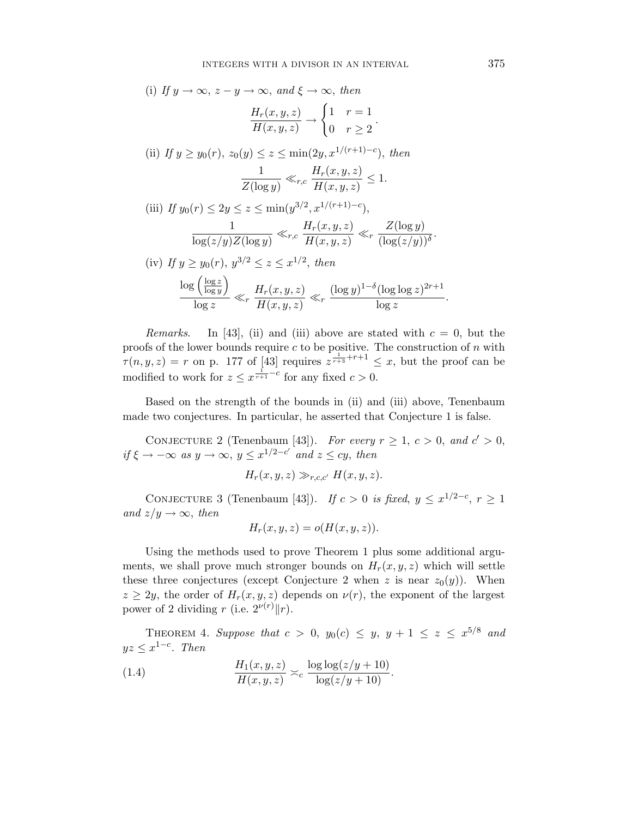(i) If 
$$
y \to \infty
$$
,  $z - y \to \infty$ , and  $\xi \to \infty$ , then  
\n
$$
\frac{H_r(x, y, z)}{H(x, y, z)} \to \begin{cases} 1 & r = 1 \\ 0 & r \ge 2 \end{cases}.
$$
\n(ii) If  $y \ge y_0(r)$ ,  $z_0(y) \le z \le \min(2y, x^{1/(r+1)-c})$ , then  
\n
$$
\frac{1}{Z(\log y)} \ll_{r,c} \frac{H_r(x, y, z)}{H(x, y, z)} \le 1.
$$
\n(iii) If  $y_0(r) \le 2y \le z \le \min(y^{3/2}, x^{1/(r+1)-c})$ ,  
\n
$$
\frac{1}{\log(z/y)Z(\log y)} \ll_{r,c} \frac{H_r(x, y, z)}{H(x, y, z)} \ll_r \frac{Z(\log y)}{(\log(z/y))^{\delta}}.
$$
\n(iv) If  $y \ge y_0(r)$ ,  $y^{3/2} \le z \le x^{1/2}$ , then  
\n
$$
\frac{\log\left(\frac{\log z}{\log y}\right)}{\log z} \ll_r \frac{H_r(x, y, z)}{H(x, y, z)} \ll_r \frac{(\log y)^{1-\delta}(\log \log z)^{2r+1}}{\log z}.
$$

Remarks. In [43], (ii) and (iii) above are stated with  $c = 0$ , but the proofs of the lower bounds require  $c$  to be positive. The construction of  $n$  with  $\tau(n, y, z) = r$  on p. 177 of [43] requires  $z^{\frac{1}{r+3} + r+1} \leq x$ , but the proof can be modified to work for  $z \leq x^{\frac{1}{r+1}-c}$  for any fixed  $c > 0$ .

Based on the strength of the bounds in (ii) and (iii) above, Tenenbaum made two conjectures. In particular, he asserted that Conjecture 1 is false.

CONJECTURE 2 (Tenenbaum [43]). For every  $r \ge 1$ ,  $c > 0$ , and  $c' > 0$ , if  $\xi \to -\infty$  as  $y \to \infty$ ,  $y \leq x^{1/2-c'}$  and  $z \leq cy$ , then

$$
H_r(x, y, z) \gg_{r,c,c'} H(x, y, z).
$$

CONJECTURE 3 (Tenenbaum [43]). If  $c > 0$  is fixed,  $y \leq x^{1/2-c}$ ,  $r \geq 1$ and  $z/y \rightarrow \infty$ , then

$$
H_r(x, y, z) = o(H(x, y, z)).
$$

Using the methods used to prove Theorem 1 plus some additional arguments, we shall prove much stronger bounds on  $H_r(x, y, z)$  which will settle these three conjectures (except Conjecture 2 when z is near  $z_0(y)$ ). When  $z \geq 2y$ , the order of  $H_r(x, y, z)$  depends on  $\nu(r)$ , the exponent of the largest power of 2 dividing r (i.e.  $2^{\nu(r)}||r$ ).

THEOREM 4. Suppose that  $c > 0$ ,  $y_0(c) \le y$ ,  $y + 1 \le z \le x^{5/8}$  and  $yz \leq x^{1-c}$ . Then

(1.4) 
$$
\frac{H_1(x,y,z)}{H(x,y,z)} \asymp_c \frac{\log \log(z/y + 10)}{\log(z/y + 10)}.
$$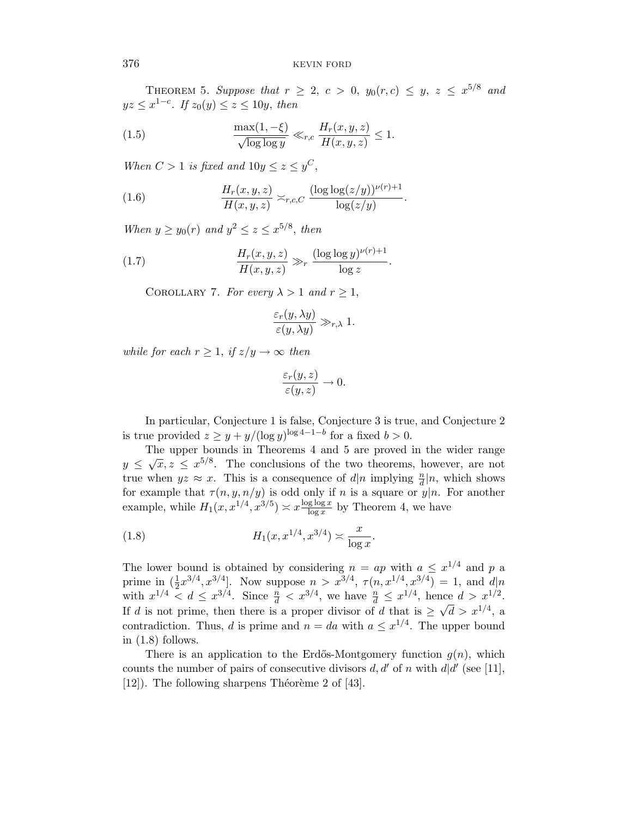THEOREM 5. Suppose that  $r \geq 2$ ,  $c > 0$ ,  $y_0(r,c) \leq y$ ,  $z \leq x^{5/8}$  and  $yz \leq x^{1-c}$ . If  $z_0(y) \leq z \leq 10y$ , then

(1.5) 
$$
\frac{\max(1,-\xi)}{\sqrt{\log\log y}} \ll_{r,c} \frac{H_r(x,y,z)}{H(x,y,z)} \le 1.
$$

When  $C > 1$  is fixed and  $10y \leq z \leq y^C$ ,

(1.6) 
$$
\frac{H_r(x,y,z)}{H(x,y,z)} \asymp_{r,c,C} \frac{(\log \log(z/y))^{\nu(r)+1}}{\log(z/y)}.
$$

When  $y \ge y_0(r)$  and  $y^2 \le z \le x^{5/8}$ , then

(1.7) 
$$
\frac{H_r(x, y, z)}{H(x, y, z)} \gg_r \frac{(\log \log y)^{\nu(r)+1}}{\log z}.
$$

COROLLARY 7. For every  $\lambda > 1$  and  $r \geq 1$ ,

$$
\frac{\varepsilon_r(y,\lambda y)}{\varepsilon(y,\lambda y)} \gg_{r,\lambda} 1.
$$

while for each  $r \geq 1$ , if  $z/y \to \infty$  then

$$
\frac{\varepsilon_r(y,z)}{\varepsilon(y,z)} \to 0.
$$

In particular, Conjecture 1 is false, Conjecture 3 is true, and Conjecture 2 is true provided  $z \geq y + y/(\log y)^{\log 4 - 1 - b}$  for a fixed  $b > 0$ .

The upper bounds in Theorems 4 and 5 are proved in the wider range  $y \leq \sqrt{x}, z \leq x^{5/8}$ . The conclusions of the two theorems, however, are not true when  $yz \approx x$ . This is a consequence of  $d|n$  implying  $\frac{n}{d}|n$ , which shows for example that  $\tau(n, y, n/y)$  is odd only if n is a square or  $y|n$ . For another example, while  $H_1(x, x^{1/4}, x^{3/5}) \approx x \frac{\log \log x}{\log x}$  $\frac{\text{g log } x}{\log x}$  by Theorem 4, we have

(1.8) 
$$
H_1(x, x^{1/4}, x^{3/4}) \approx \frac{x}{\log x}.
$$

The lower bound is obtained by considering  $n = ap$  with  $a \leq x^{1/4}$  and p a prime in  $(\frac{1}{2}x^{3/4}, x^{3/4}]$ . Now suppose  $n > x^{3/4}$ ,  $\tau(n, x^{1/4}, x^{3/4}) = 1$ , and  $d|n$ with  $x^{1/4} < d \leq x^{3/4}$ . Since  $\frac{n}{d} < x^{3/4}$ , we have  $\frac{n}{d} \leq x^{1/4}$ , hence  $d > x^{1/2}$ . If d is not prime, then there is a proper divisor of d that is  $\geq \sqrt{d} > x^{1/4}$ , a contradiction. Thus, d is prime and  $n = da$  with  $a \leq x^{1/4}$ . The upper bound in  $(1.8)$  follows.

There is an application to the Erdős-Montgomery function  $q(n)$ , which counts the number of pairs of consecutive divisors  $d, d'$  of n with  $d/d'$  (see [11],  $[12]$ ). The following sharpens Théorème 2 of  $[43]$ .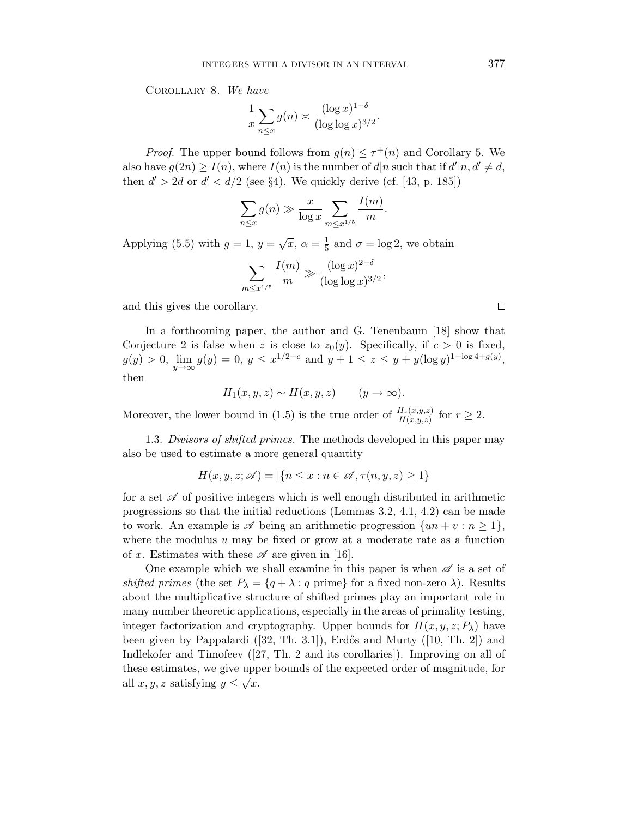Corollary 8. We have

$$
\frac{1}{x} \sum_{n \le x} g(n) \asymp \frac{(\log x)^{1-\delta}}{(\log \log x)^{3/2}}.
$$

*Proof.* The upper bound follows from  $g(n) \leq \tau^+(n)$  and Corollary 5. We also have  $g(2n) \geq I(n)$ , where  $I(n)$  is the number of  $d|n$  such that if  $d'|n, d' \neq d$ , then  $d' > 2d$  or  $d' < d/2$  (see §4). We quickly derive (cf. [43, p. 185])

$$
\sum_{n\leq x} g(n) \gg \frac{x}{\log x} \sum_{m\leq x^{1/5}} \frac{I(m)}{m}.
$$

Applying (5.5) with  $g = 1$ ,  $y = \sqrt{x}$ ,  $\alpha = \frac{1}{5}$  $\frac{1}{5}$  and  $\sigma = \log 2$ , we obtain

$$
\sum_{m \le x^{1/5}} \frac{I(m)}{m} \gg \frac{(\log x)^{2-\delta}}{(\log \log x)^{3/2}},
$$

and this gives the corollary.

In a forthcoming paper, the author and G. Tenenbaum [18] show that Conjecture 2 is false when z is close to  $z_0(y)$ . Specifically, if  $c > 0$  is fixed,  $g(y) > 0, \lim_{y \to \infty} g(y) = 0, y \leq x^{1/2 - c}$  and  $y + 1 \leq z \leq y + y(\log y)^{1 - \log 4 + g(y)},$ then

$$
H_1(x, y, z) \sim H(x, y, z) \qquad (y \to \infty).
$$

Moreover, the lower bound in (1.5) is the true order of  $\frac{H_r(x,y,z)}{H(x,y,z)}$  for  $r \geq 2$ .

1.3. Divisors of shifted primes. The methods developed in this paper may also be used to estimate a more general quantity

$$
H(x, y, z; \mathscr{A}) = |\{n \le x : n \in \mathscr{A}, \tau(n, y, z) \ge 1\}\
$$

for a set  $\mathscr A$  of positive integers which is well enough distributed in arithmetic progressions so that the initial reductions (Lemmas 3.2, 4.1, 4.2) can be made to work. An example is  $\mathscr A$  being an arithmetic progression  $\{un + v : n \geq 1\},\$ where the modulus  $u$  may be fixed or grow at a moderate rate as a function of x. Estimates with these  $\mathscr A$  are given in [16].

One example which we shall examine in this paper is when  $\mathscr A$  is a set of shifted primes (the set  $P_{\lambda} = \{q + \lambda : q \text{ prime}\}\$  for a fixed non-zero  $\lambda$ ). Results about the multiplicative structure of shifted primes play an important role in many number theoretic applications, especially in the areas of primality testing, integer factorization and cryptography. Upper bounds for  $H(x, y, z; P<sub>\lambda</sub>)$  have been given by Pappalardi  $([32, Th. 3.1])$ , Erdős and Murty  $([10, Th. 2])$  and Indlekofer and Timofeev ([27, Th. 2 and its corollaries]). Improving on all of these estimates, we give upper bounds of the expected order of magnitude, for all  $x, y, z$  satisfying  $y \leq \sqrt{x}$ .

 $\Box$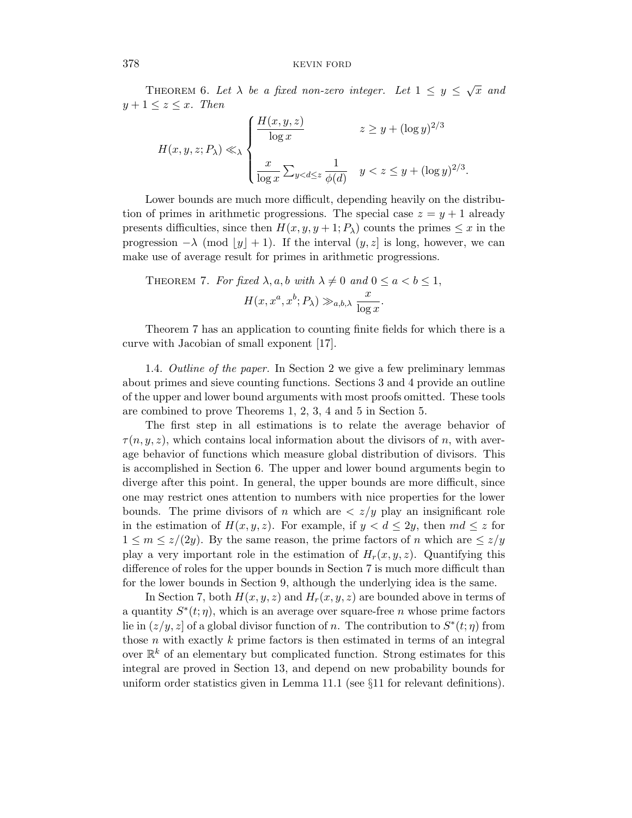THEOREM 6. Let  $\lambda$  be a fixed non-zero integer. Let  $1 \le y \le \sqrt{x}$  and  $y+1 \leq z \leq x$ . Then

$$
H(x, y, z; P\lambda) \ll \lambda \begin{cases} \frac{H(x, y, z)}{\log x} & z \geq y + (\log y)^{2/3} \\ \frac{x}{\log x} \sum_{y < d \leq z} \frac{1}{\phi(d)} & y < z \leq y + (\log y)^{2/3} .\end{cases}
$$

Lower bounds are much more difficult, depending heavily on the distribution of primes in arithmetic progressions. The special case  $z = y + 1$  already presents difficulties, since then  $H(x, y, y + 1; P_\lambda)$  counts the primes  $\leq x$  in the progression  $-\lambda$  (mod  $\lfloor y \rfloor + 1$ ). If the interval  $(y, z]$  is long, however, we can make use of average result for primes in arithmetic progressions.

THEOREM 7. For fixed 
$$
\lambda
$$
, a, b with  $\lambda \neq 0$  and  $0 \leq a < b \leq 1$ ,  

$$
H(x, x^a, x^b; P_\lambda) \gg_{a,b,\lambda} \frac{x}{\log x}.
$$

Theorem 7 has an application to counting finite fields for which there is a curve with Jacobian of small exponent [17].

1.4. Outline of the paper. In Section 2 we give a few preliminary lemmas about primes and sieve counting functions. Sections 3 and 4 provide an outline of the upper and lower bound arguments with most proofs omitted. These tools are combined to prove Theorems 1, 2, 3, 4 and 5 in Section 5.

The first step in all estimations is to relate the average behavior of  $\tau(n, y, z)$ , which contains local information about the divisors of n, with average behavior of functions which measure global distribution of divisors. This is accomplished in Section 6. The upper and lower bound arguments begin to diverge after this point. In general, the upper bounds are more difficult, since one may restrict ones attention to numbers with nice properties for the lower bounds. The prime divisors of n which are  $\langle z/y \rangle$  play an insignificant role in the estimation of  $H(x, y, z)$ . For example, if  $y < d \leq 2y$ , then  $md \leq z$  for  $1 \leq m \leq z/(2y)$ . By the same reason, the prime factors of n which are  $\leq z/y$ play a very important role in the estimation of  $H_r(x, y, z)$ . Quantifying this difference of roles for the upper bounds in Section 7 is much more difficult than for the lower bounds in Section 9, although the underlying idea is the same.

In Section 7, both  $H(x, y, z)$  and  $H<sub>r</sub>(x, y, z)$  are bounded above in terms of a quantity  $S^*(t;\eta)$ , which is an average over square-free n whose prime factors lie in  $(z/y, z]$  of a global divisor function of n. The contribution to  $S^*(t; \eta)$  from those  $n$  with exactly  $k$  prime factors is then estimated in terms of an integral over  $\mathbb{R}^k$  of an elementary but complicated function. Strong estimates for this integral are proved in Section 13, and depend on new probability bounds for uniform order statistics given in Lemma 11.1 (see §11 for relevant definitions).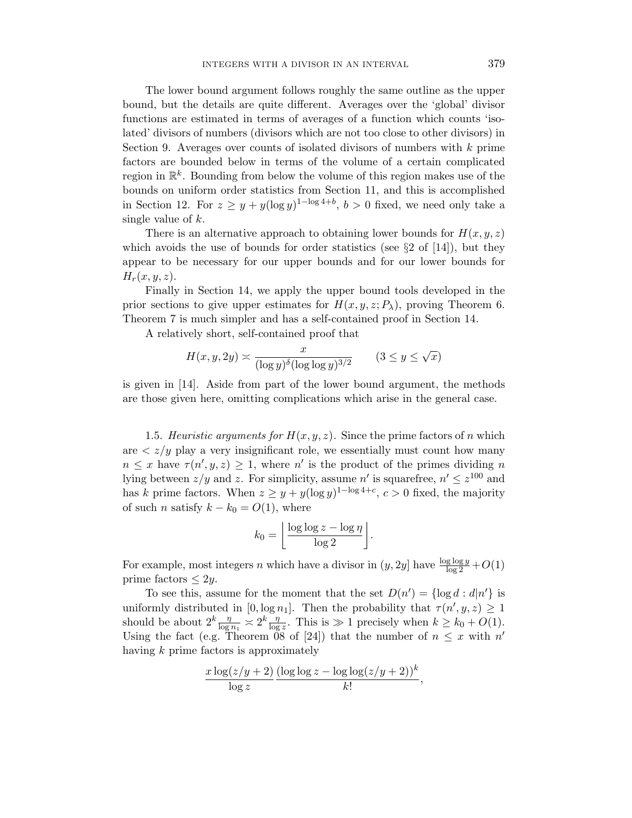The lower bound argument follows roughly the same outline as the upper bound, but the details are quite different. Averages over the 'global' divisor functions are estimated in terms of averages of a function which counts 'isolated' divisors of numbers (divisors which are not too close to other divisors) in Section 9. Averages over counts of isolated divisors of numbers with  $k$  prime factors are bounded below in terms of the volume of a certain complicated region in  $\mathbb{R}^k$ . Bounding from below the volume of this region makes use of the bounds on uniform order statistics from Section 11, and this is accomplished in Section 12. For  $z \geq y + y(\log y)^{1-\log 4+b}$ ,  $b > 0$  fixed, we need only take a single value of  $k$ .

There is an alternative approach to obtaining lower bounds for  $H(x, y, z)$ which avoids the use of bounds for order statistics (see  $\S 2$  of [14]), but they appear to be necessary for our upper bounds and for our lower bounds for  $H_r(x, y, z)$ .

Finally in Section 14, we apply the upper bound tools developed in the prior sections to give upper estimates for  $H(x, y, z; P<sub>\lambda</sub>)$ , proving Theorem 6. Theorem 7 is much simpler and has a self-contained proof in Section 14.

A relatively short, self-contained proof that

$$
H(x, y, 2y) \asymp \frac{x}{(\log y)^{\delta} (\log \log y)^{3/2}} \qquad (3 \le y \le \sqrt{x})
$$

is given in [14]. Aside from part of the lower bound argument, the methods are those given here, omitting complications which arise in the general case.

1.5. Heuristic arguments for  $H(x, y, z)$ . Since the prime factors of n which are  $\langle z/y \rangle$  play a very insignificant role, we essentially must count how many  $n \leq x$  have  $\tau(n', y, z) \geq 1$ , where n' is the product of the primes dividing n lying between  $z/y$  and z. For simplicity, assume n' is squarefree,  $n' \leq z^{100}$  and has k prime factors. When  $z \geq y + y(\log y)^{1-\log 4+c}$ ,  $c > 0$  fixed, the majority of such *n* satisfy  $k - k_0 = O(1)$ , where

$$
k_0 = \left\lfloor \frac{\log \log z - \log \eta}{\log 2} \right\rfloor.
$$

For example, most integers n which have a divisor in  $(y, 2y]$  have  $\frac{\log \log y}{\log 2} + O(1)$ prime factors  $\leq 2y$ .

To see this, assume for the moment that the set  $D(n') = \{\log d : d | n' \}$  is uniformly distributed in [0,  $\log n_1$ ]. Then the probability that  $\tau(n', y, z) \geq 1$ should be about  $2^k \frac{\eta}{\log n_1} \geq 2^k \frac{\eta}{\log z}$ . This is  $\gg 1$  precisely when  $k \geq k_0 + O(1)$ . Using the fact (e.g. Theorem 08 of [24]) that the number of  $n \leq x$  with  $n'$ having k prime factors is approximately

$$
\frac{x\log(z/y+2)}{\log z}\frac{(\log\log z-\log\log(z/y+2))^k}{k!},
$$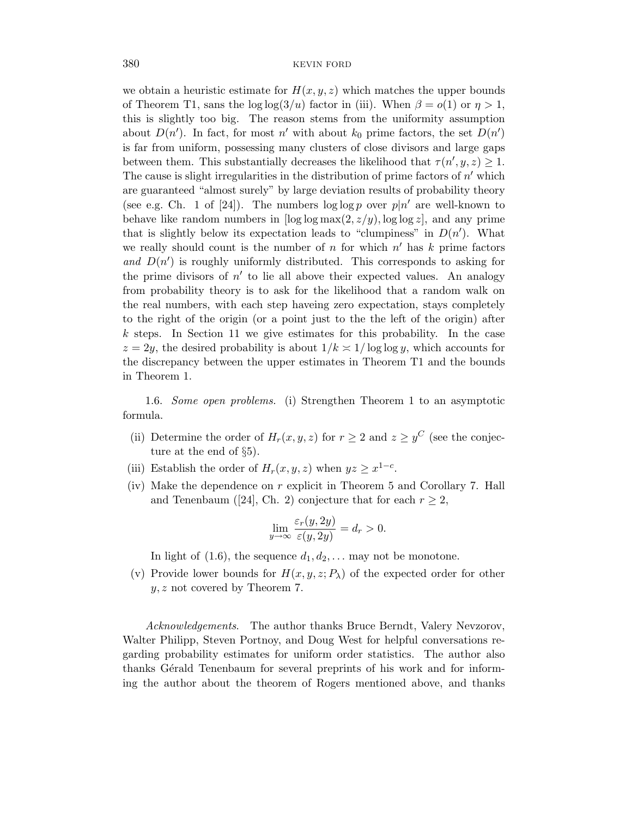we obtain a heuristic estimate for  $H(x, y, z)$  which matches the upper bounds of Theorem T1, sans the log log(3/u) factor in (iii). When  $\beta = o(1)$  or  $\eta > 1$ , this is slightly too big. The reason stems from the uniformity assumption about  $D(n')$ . In fact, for most n' with about  $k_0$  prime factors, the set  $D(n')$ is far from uniform, possessing many clusters of close divisors and large gaps between them. This substantially decreases the likelihood that  $\tau(n', y, z) \geq 1$ . The cause is slight irregularities in the distribution of prime factors of  $n'$  which are guaranteed "almost surely" by large deviation results of probability theory (see e.g. Ch. 1 of [24]). The numbers  $\log \log p$  over  $p|n'$  are well-known to behave like random numbers in  $\log \log \max(2, z/y)$ ,  $\log \log z$ , and any prime that is slightly below its expectation leads to "clumpiness" in  $D(n')$ . What we really should count is the number of  $n$  for which  $n'$  has  $k$  prime factors and  $D(n')$  is roughly uniformly distributed. This corresponds to asking for the prime divisors of  $n'$  to lie all above their expected values. An analogy from probability theory is to ask for the likelihood that a random walk on the real numbers, with each step haveing zero expectation, stays completely to the right of the origin (or a point just to the the left of the origin) after k steps. In Section 11 we give estimates for this probability. In the case  $z = 2y$ , the desired probability is about  $1/k \approx 1/\log \log y$ , which accounts for the discrepancy between the upper estimates in Theorem T1 and the bounds in Theorem 1.

1.6. Some open problems. (i) Strengthen Theorem 1 to an asymptotic formula.

- (ii) Determine the order of  $H_r(x, y, z)$  for  $r \geq 2$  and  $z \geq y^C$  (see the conjecture at the end of §5).
- (iii) Establish the order of  $H_r(x, y, z)$  when  $yz \geq x^{1-c}$ .
- (iv) Make the dependence on r explicit in Theorem 5 and Corollary 7. Hall and Tenenbaum ([24], Ch. 2) conjecture that for each  $r \geq 2$ ,

$$
\lim_{y \to \infty} \frac{\varepsilon_r(y, 2y)}{\varepsilon(y, 2y)} = d_r > 0.
$$

In light of  $(1.6)$ , the sequence  $d_1, d_2, \ldots$  may not be monotone.

(v) Provide lower bounds for  $H(x, y, z; P_\lambda)$  of the expected order for other  $y, z$  not covered by Theorem 7.

Acknowledgements. The author thanks Bruce Berndt, Valery Nevzorov, Walter Philipp, Steven Portnoy, and Doug West for helpful conversations regarding probability estimates for uniform order statistics. The author also thanks Gérald Tenenbaum for several preprints of his work and for informing the author about the theorem of Rogers mentioned above, and thanks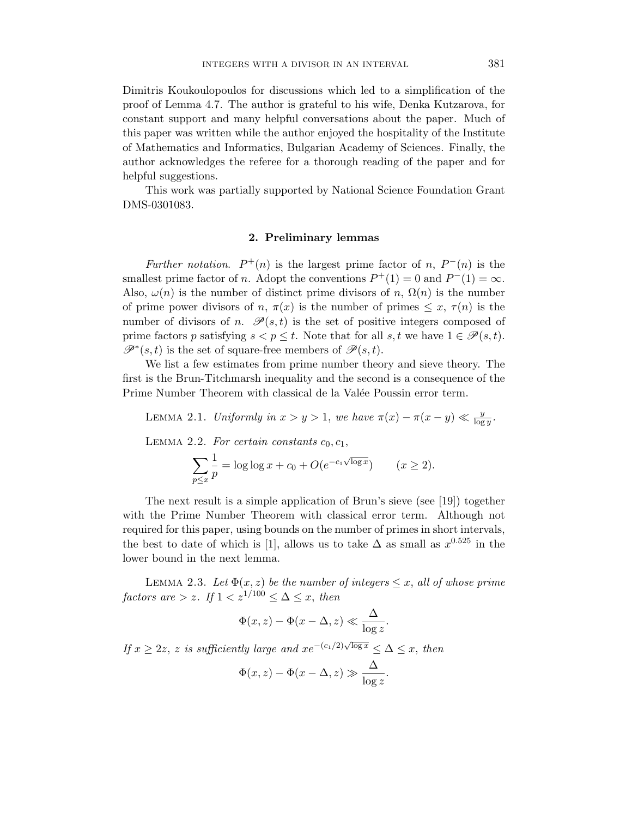Dimitris Koukoulopoulos for discussions which led to a simplification of the proof of Lemma 4.7. The author is grateful to his wife, Denka Kutzarova, for constant support and many helpful conversations about the paper. Much of this paper was written while the author enjoyed the hospitality of the Institute of Mathematics and Informatics, Bulgarian Academy of Sciences. Finally, the author acknowledges the referee for a thorough reading of the paper and for helpful suggestions.

This work was partially supported by National Science Foundation Grant DMS-0301083.

# 2. Preliminary lemmas

Further notation.  $P^+(n)$  is the largest prime factor of n,  $P^-(n)$  is the smallest prime factor of *n*. Adopt the conventions  $P^+(1) = 0$  and  $P^-(1) = \infty$ . Also,  $\omega(n)$  is the number of distinct prime divisors of n,  $\Omega(n)$  is the number of prime power divisors of n,  $\pi(x)$  is the number of primes  $\leq x, \tau(n)$  is the number of divisors of n.  $\mathscr{P}(s,t)$  is the set of positive integers composed of prime factors p satisfying  $s < p \leq t$ . Note that for all  $s, t$  we have  $1 \in \mathcal{P}(s, t)$ .  $\mathscr{P}^*(s,t)$  is the set of square-free members of  $\mathscr{P}(s,t)$ .

We list a few estimates from prime number theory and sieve theory. The first is the Brun-Titchmarsh inequality and the second is a consequence of the Prime Number Theorem with classical de la Valée Poussin error term.

LEMMA 2.1. Uniformly in  $x > y > 1$ , we have  $\pi(x) - \pi(x - y) \ll \frac{y}{\log y}$ .

LEMMA 2.2. For certain constants  $c_0, c_1$ ,

$$
\sum_{p \le x} \frac{1}{p} = \log \log x + c_0 + O(e^{-c_1 \sqrt{\log x}}) \qquad (x \ge 2).
$$

The next result is a simple application of Brun's sieve (see [19]) together with the Prime Number Theorem with classical error term. Although not required for this paper, using bounds on the number of primes in short intervals, the best to date of which is [1], allows us to take  $\Delta$  as small as  $x^{0.525}$  in the lower bound in the next lemma.

LEMMA 2.3. Let  $\Phi(x, z)$  be the number of integers  $\leq x$ , all of whose prime factors are  $> z$ . If  $1 < z^{1/100} \leq \Delta \leq x$ , then

$$
\Phi(x,z) - \Phi(x-\Delta,z) \ll \frac{\Delta}{\log z}.
$$

If  $x \geq 2z$ , z is sufficiently large and  $xe^{-(c_1/2)\sqrt{\log x}} \leq \Delta \leq x$ , then

$$
\Phi(x, z) - \Phi(x - \Delta, z) \gg \frac{\Delta}{\log z}.
$$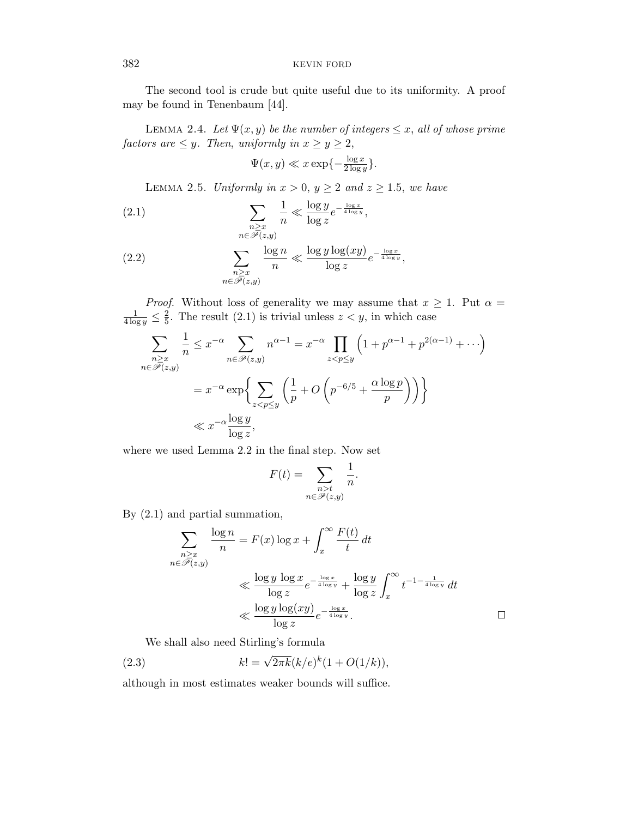The second tool is crude but quite useful due to its uniformity. A proof may be found in Tenenbaum [44].

LEMMA 2.4. Let  $\Psi(x, y)$  be the number of integers  $\leq x$ , all of whose prime factors are  $\leq y$ . Then, uniformly in  $x \geq y \geq 2$ ,

$$
\Psi(x, y) \ll x \exp\{-\frac{\log x}{2 \log y}\}.
$$

LEMMA 2.5. Uniformly in  $x > 0$ ,  $y \ge 2$  and  $z \ge 1.5$ , we have

(2.1) 
$$
\sum_{\substack{n \ge x \\ n \in \mathscr{P}(z,y)}} \frac{1}{n} \ll \frac{\log y}{\log z} e^{-\frac{\log x}{4 \log y}},
$$

(2.2) 
$$
\sum_{\substack{n \ge x \\ n \in \overline{\mathscr{P}}(z,y)}} \frac{\log n}{n} \ll \frac{\log y \log(xy)}{\log z} e^{-\frac{\log x}{4 \log y}},
$$

*Proof.* Without loss of generality we may assume that  $x \geq 1$ . Put  $\alpha =$  $\frac{1}{4 \log y} \leq \frac{2}{5}$  $\frac{2}{5}$ . The result (2.1) is trivial unless  $z < y$ , in which case

$$
\sum_{\substack{n \ge x \\ n \in \mathcal{P}(z,y)}} \frac{1}{n} \le x^{-\alpha} \sum_{n \in \mathcal{P}(z,y)} n^{\alpha - 1} = x^{-\alpha} \prod_{z < p \le y} \left( 1 + p^{\alpha - 1} + p^{2(\alpha - 1)} + \cdots \right)
$$
\n
$$
= x^{-\alpha} \exp \left\{ \sum_{z < p \le y} \left( \frac{1}{p} + O \left( p^{-6/5} + \frac{\alpha \log p}{p} \right) \right) \right\}
$$
\n
$$
\ll x^{-\alpha} \frac{\log y}{\log z},
$$

where we used Lemma 2.2 in the final step. Now set

$$
F(t) = \sum_{\substack{n>t \\ n \in \mathcal{P}(z,y)}} \frac{1}{n}.
$$

By (2.1) and partial summation,

$$
\sum_{\substack{n \ge x \\ n \in \mathcal{P}(z,y)}} \frac{\log n}{n} = F(x) \log x + \int_x^{\infty} \frac{F(t)}{t} dt
$$
\n
$$
\ll \frac{\log y \log x}{\log z} e^{-\frac{\log x}{4 \log y}} + \frac{\log y}{\log z} \int_x^{\infty} t^{-1 - \frac{1}{4 \log y}} dt
$$
\n
$$
\ll \frac{\log y \log(xy)}{\log z} e^{-\frac{\log x}{4 \log y}}.
$$

We shall also need Stirling's formula

(2.3) 
$$
k! = \sqrt{2\pi k} (k/e)^k (1 + O(1/k)),
$$

although in most estimates weaker bounds will suffice.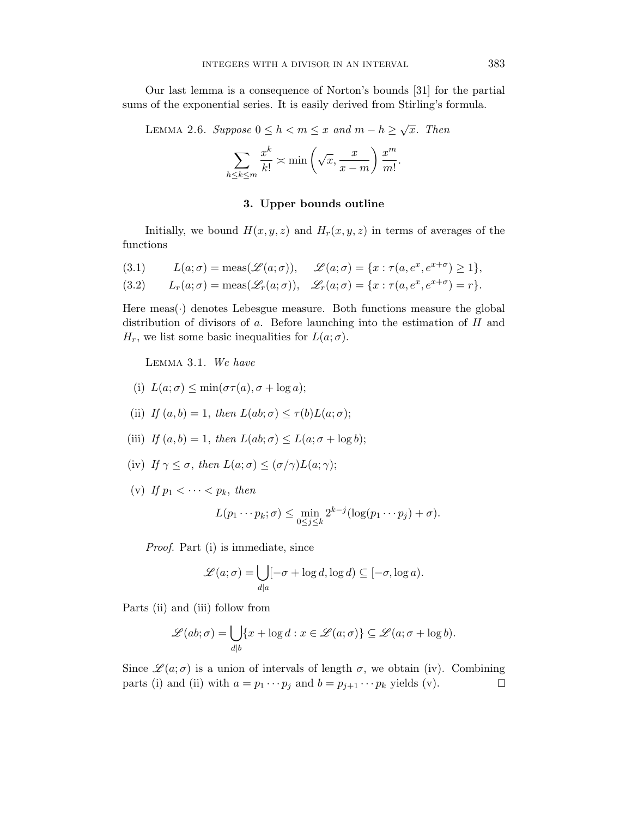Our last lemma is a consequence of Norton's bounds [31] for the partial sums of the exponential series. It is easily derived from Stirling's formula.

LEMMA 2.6. Suppose  $0 \leq h < m \leq x$  and  $m - h \geq \sqrt{x}$ . Then

$$
\sum_{h \le k \le m} \frac{x^k}{k!} \asymp \min\left(\sqrt{x}, \frac{x}{x-m}\right) \frac{x^m}{m!}.
$$

# 3. Upper bounds outline

Initially, we bound  $H(x, y, z)$  and  $H_r(x, y, z)$  in terms of averages of the functions

(3.1) 
$$
L(a; \sigma) = \text{meas}(\mathscr{L}(a; \sigma)), \quad \mathscr{L}(a; \sigma) = \{x : \tau(a, e^x, e^{x+\sigma}) \ge 1\},\
$$

(3.2) 
$$
L_r(a; \sigma) = \operatorname{meas}(\mathscr{L}_r(a; \sigma)), \quad \mathscr{L}_r(a; \sigma) = \{x : \tau(a, e^x, e^{x+\sigma}) = r\}.
$$

Here  $meas(\cdot)$  denotes Lebesgue measure. Both functions measure the global distribution of divisors of  $a$ . Before launching into the estimation of  $H$  and  $H_r$ , we list some basic inequalities for  $L(a; \sigma)$ .

Lemma 3.1. We have

(i) 
$$
L(a; \sigma) \leq \min(\sigma \tau(a), \sigma + \log a);
$$

- (ii) If  $(a, b) = 1$ , then  $L(ab; \sigma) \leq \tau(b)L(a; \sigma)$ ;
- (iii) If  $(a, b) = 1$ , then  $L(ab; \sigma) \leq L(a; \sigma + \log b)$ ;
- (iv) If  $\gamma \leq \sigma$ , then  $L(a; \sigma) \leq (\sigma/\gamma)L(a; \gamma);$
- (v) If  $p_1 < \cdots < p_k$ , then

$$
L(p_1\cdots p_k;\sigma) \leq \min_{0\leq j\leq k} 2^{k-j}(\log(p_1\cdots p_j)+\sigma).
$$

Proof. Part (i) is immediate, since

$$
\mathscr{L}(a;\sigma) = \bigcup_{d|a} [-\sigma + \log d, \log d) \subseteq [-\sigma, \log a).
$$

Parts (ii) and (iii) follow from

$$
\mathscr{L}(ab;\sigma) = \bigcup_{d|b} \{x + \log d : x \in \mathscr{L}(a;\sigma)\} \subseteq \mathscr{L}(a;\sigma + \log b).
$$

Since  $\mathscr{L}(a; \sigma)$  is a union of intervals of length  $\sigma$ , we obtain (iv). Combining parts (i) and (ii) with  $a = p_1 \cdots p_j$  and  $b = p_{j+1} \cdots p_k$  yields (v).  $\Box$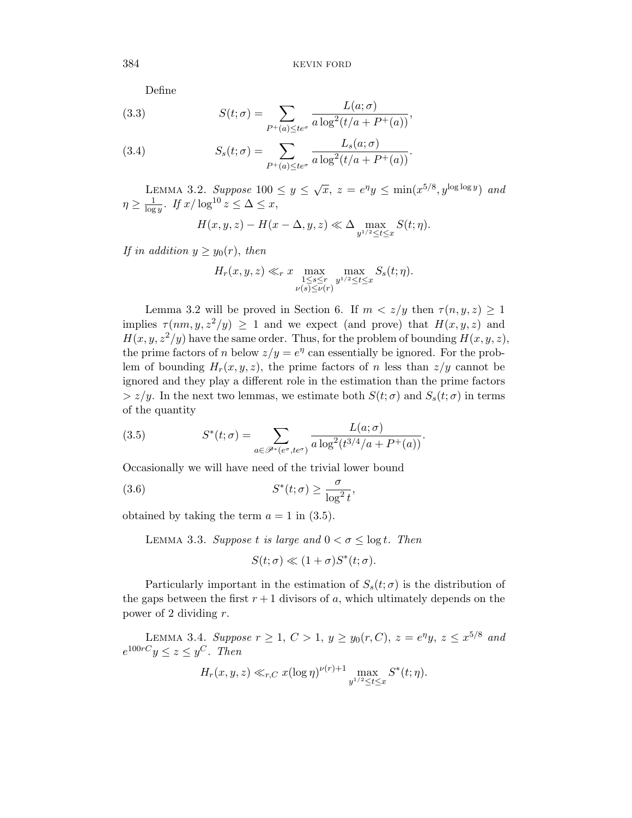Define

(3.3) 
$$
S(t; \sigma) = \sum_{P^+(a) \leq te^{\sigma}} \frac{L(a; \sigma)}{a \log^2(t/a + P^+(a))},
$$

(3.4) 
$$
S_s(t; \sigma) = \sum_{P^+(a) \leq te^{\sigma}} \frac{L_s(a; \sigma)}{a \log^2(t/a + P^+(a))}.
$$

LEMMA 3.2. Suppose  $100 \le y \le \sqrt{x}$ ,  $z = e^{\eta}y \le \min(x^{5/8}, y^{\log \log y})$  and  $\eta \geq \frac{1}{\log n}$  $\frac{1}{\log y}$ . If  $x/\log^{10} z \leq \Delta \leq x$ ,

$$
H(x, y, z) - H(x - \Delta, y, z) \ll \Delta \max_{y^{1/2} \le t \le x} S(t; \eta).
$$

If in addition  $y \geq y_0(r)$ , then

$$
H_r(x, y, z) \ll_r x \max_{\substack{1 \le s \le r \\ \nu(s) \le \nu(r)}} \max_{y^{1/2} \le t \le x} S_s(t; \eta).
$$

Lemma 3.2 will be proved in Section 6. If  $m < z/y$  then  $\tau(n, y, z) \geq 1$ implies  $\tau(nm, y, z^2/y) \geq 1$  and we expect (and prove) that  $H(x, y, z)$  and  $H(x, y, z^2/y)$  have the same order. Thus, for the problem of bounding  $H(x, y, z)$ , the prime factors of n below  $z/y = e^{\eta}$  can essentially be ignored. For the problem of bounding  $H_r(x, y, z)$ , the prime factors of n less than  $z/y$  cannot be ignored and they play a different role in the estimation than the prime factors  $> z/y$ . In the next two lemmas, we estimate both  $S(t; \sigma)$  and  $S_s(t; \sigma)$  in terms of the quantity

(3.5) 
$$
S^*(t; \sigma) = \sum_{a \in \mathscr{P}^*(e^{\sigma}, te^{\sigma})} \frac{L(a; \sigma)}{a \log^2(t^{3/4}/a + P^+(a))}.
$$

Occasionally we will have need of the trivial lower bound

(3.6) 
$$
S^*(t; \sigma) \ge \frac{\sigma}{\log^2 t},
$$

obtained by taking the term  $a = 1$  in (3.5).

LEMMA 3.3. Suppose t is large and  $0 < \sigma \leq \log t$ . Then

$$
S(t; \sigma) \ll (1 + \sigma)S^*(t; \sigma).
$$

Particularly important in the estimation of  $S_s(t;\sigma)$  is the distribution of the gaps between the first  $r + 1$  divisors of a, which ultimately depends on the power of 2 dividing r.

LEMMA 3.4. Suppose  $r \ge 1, C > 1, y \ge y_0(r, C), z = e^{\eta}y, z \le x^{5/8}$  and  $e^{100rC}y \leq z \leq y^C$ . Then

$$
H_r(x, y, z) \ll_{r,C} x(\log \eta)^{\nu(r)+1} \max_{y^{1/2} \le t \le x} S^*(t; \eta).
$$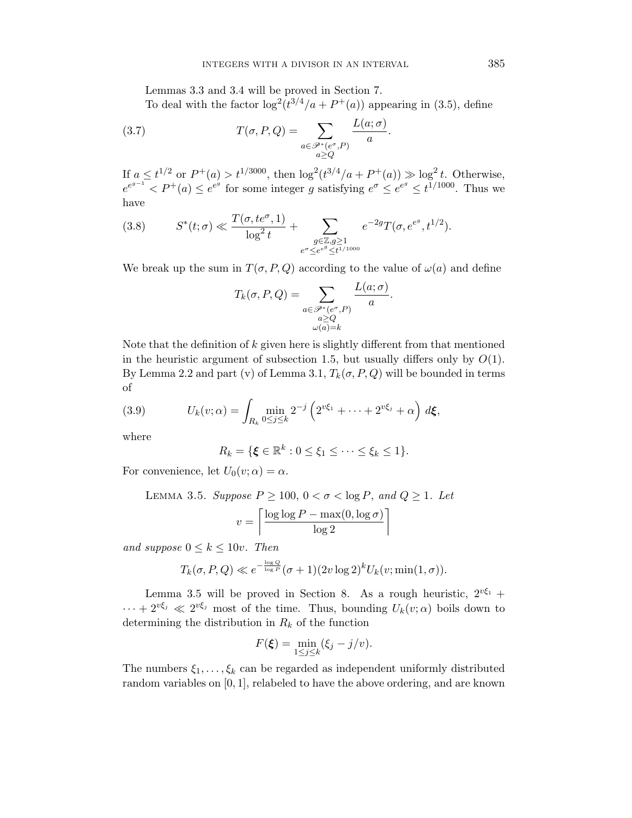Lemmas 3.3 and 3.4 will be proved in Section 7.

To deal with the factor  $\log^2(t^{3/4}/a + P^+(a))$  appearing in (3.5), define

.

(3.7) 
$$
T(\sigma, P, Q) = \sum_{\substack{a \in \mathcal{P}^*(e^{\sigma}, P) \\ a \ge Q}} \frac{L(a; \sigma)}{a}
$$

If  $a \le t^{1/2}$  or  $P^+(a) > t^{1/3000}$ , then  $\log^2(t^{3/4}/a + P^+(a)) \gg \log^2 t$ . Otherwise,  $e^{e^{g-1}} < P^+(a) \leq e^{e^g}$  for some integer g satisfying  $e^{\sigma} \leq e^{e^g} \leq t^{1/1000}$ . Thus we have

(3.8) 
$$
S^*(t; \sigma) \ll \frac{T(\sigma, t e^{\sigma}, 1)}{\log^2 t} + \sum_{\substack{g \in \mathbb{Z}, g \geq 1 \\ e^{\sigma} \leq e^{e^g} \leq t^{1/1000}}} e^{-2g} T(\sigma, e^{e^g}, t^{1/2}).
$$

We break up the sum in  $T(\sigma, P, Q)$  according to the value of  $\omega(a)$  and define

$$
T_k(\sigma, P, Q) = \sum_{\substack{a \in \mathcal{P}^*(e^{\sigma}, P) \\ a \geq Q \\ \omega(a) = k}} \frac{L(a; \sigma)}{a}.
$$

Note that the definition of  $k$  given here is slightly different from that mentioned in the heuristic argument of subsection 1.5, but usually differs only by  $O(1)$ . By Lemma 2.2 and part (v) of Lemma 3.1,  $T_k(\sigma, P, Q)$  will be bounded in terms of

(3.9) 
$$
U_k(v; \alpha) = \int_{R_k} \min_{0 \le j \le k} 2^{-j} \left( 2^{v \xi_1} + \dots + 2^{v \xi_j} + \alpha \right) d\xi,
$$

where

$$
R_k = \{ \xi \in \mathbb{R}^k : 0 \le \xi_1 \le \cdots \le \xi_k \le 1 \}.
$$

For convenience, let  $U_0(v; \alpha) = \alpha$ .

LEMMA 3.5. Suppose 
$$
P \ge 100
$$
,  $0 < \sigma < \log P$ , and  $Q \ge 1$ . Let  

$$
v = \left\lceil \frac{\log \log P - \max(0, \log \sigma)}{\log 2} \right\rceil
$$

and suppose  $0 \leq k \leq 10v$ . Then

$$
T_k(\sigma, P, Q) \ll e^{-\frac{\log Q}{\log P}} (\sigma + 1)(2v \log 2)^k U_k(v; \min(1, \sigma)).
$$

Lemma 3.5 will be proved in Section 8. As a rough heuristic,  $2^{v\xi_1}$  +  $\cdots + 2^{\nu \xi_j} \ll 2^{\nu \xi_j}$  most of the time. Thus, bounding  $U_k(v;\alpha)$  boils down to determining the distribution in  $R_k$  of the function

$$
F(\xi) = \min_{1 \leq j \leq k} (\xi_j - j/v).
$$

The numbers  $\xi_1, \ldots, \xi_k$  can be regarded as independent uniformly distributed random variables on [0, 1], relabeled to have the above ordering, and are known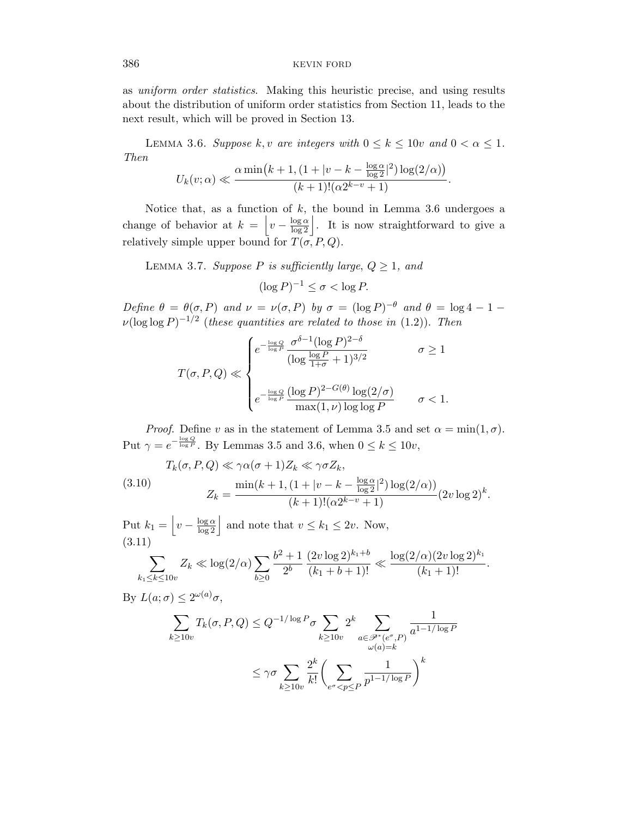as uniform order statistics. Making this heuristic precise, and using results about the distribution of uniform order statistics from Section 11, leads to the next result, which will be proved in Section 13.

LEMMA 3.6. Suppose k, v are integers with  $0 \le k \le 10v$  and  $0 < \alpha \le 1$ . Then

$$
U_k(v;\alpha) \ll \frac{\alpha \min\left(k+1, \left(1+|v-k-\frac{\log \alpha}{\log 2}|^2\right) \log(2/\alpha)\right)}{(k+1)!(\alpha 2^{k-v}+1)}.
$$

Notice that, as a function of  $k$ , the bound in Lemma 3.6 undergoes a change of behavior at  $k = \left| v - \frac{\log \alpha}{\log 2} \right|$ . It is now straightforward to give a relatively simple upper bound for  $T(\sigma, P, Q)$ .

LEMMA 3.7. Suppose P is sufficiently large,  $Q \geq 1$ , and

$$
(\log P)^{-1} \le \sigma < \log P.
$$

Define  $\theta = \theta(\sigma, P)$  and  $\nu = \nu(\sigma, P)$  by  $\sigma = (\log P)^{-\theta}$  and  $\theta = \log 4 - 1 \nu(\log \log P)^{-1/2}$  (these quantities are related to those in (1.2)). Then

$$
T(\sigma, P, Q) \ll \begin{cases} e^{-\frac{\log Q}{\log P}} \frac{\sigma^{\delta - 1} (\log P)^{2 - \delta}}{(\log \frac{\log P}{1 + \sigma} + 1)^{3/2}} & \sigma \ge 1\\ e^{-\frac{\log Q}{\log P}} \frac{(\log P)^{2 - G(\theta)} \log(2/\sigma)}{\max(1, \nu) \log \log P} & \sigma < 1. \end{cases}
$$

*Proof.* Define v as in the statement of Lemma 3.5 and set  $\alpha = \min(1, \sigma)$ . Put  $\gamma = e^{-\frac{\log Q}{\log P}}$ . By Lemmas 3.5 and 3.6, when  $0 \le k \le 10v$ ,

(3.10) 
$$
T_k(\sigma, P, Q) \ll \gamma \alpha (\sigma + 1) Z_k \ll \gamma \sigma Z_k,
$$

$$
Z_k = \frac{\min(k+1, (1+|v-k - \frac{\log \alpha}{\log 2}|^2) \log(2/\alpha))}{(k+1)!(\alpha 2^{k-v} + 1)} (2v \log 2)^k.
$$

Put  $k_1 = \left| v - \frac{\log \alpha}{\log 2} \right|$  and note that  $v \leq k_1 \leq 2v$ . Now, (3.11)  $b^2 + 1$   $(2v \log 2)^{k_1+b}$   $\log(2/\alpha)(2v \log 2)^{k_1}$ 

$$
\sum_{k_1 \leq k \leq 10v} Z_k \ll \log(2/\alpha) \sum_{b \geq 0} \frac{b^2 + 1}{2^b} \frac{(2v \log 2)^{n_1 + \sigma}}{(k_1 + b + 1)!} \ll \frac{\log(2/\alpha) (2v \log 2)^{n_1}}{(k_1 + 1)!}.
$$

By  $L(a; \sigma) \leq 2^{\omega(a)}\sigma$ ,

$$
\sum_{k \ge 10v} T_k(\sigma, P, Q) \le Q^{-1/\log P} \sigma \sum_{k \ge 10v} 2^k \sum_{\substack{a \in \mathcal{P}^*(e^{\sigma}, P) \\ \omega(a) = k}} \frac{1}{a^{1-1/\log P}}
$$

$$
\le \gamma \sigma \sum_{k \ge 10v} \frac{2^k}{k!} \left( \sum_{e^{\sigma} < p \le P} \frac{1}{p^{1-1/\log P}} \right)^k
$$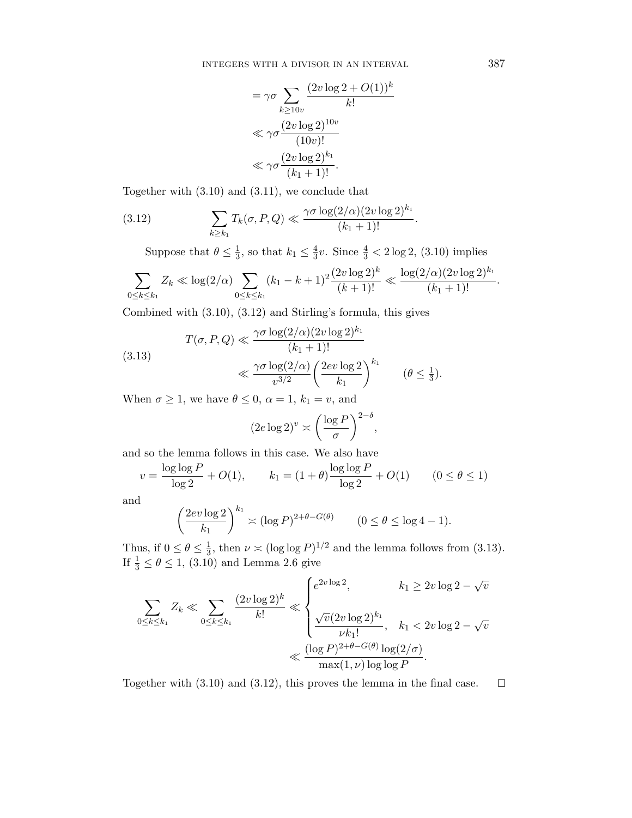$$
= \gamma \sigma \sum_{k \ge 10v} \frac{(2v \log 2 + O(1))^k}{k!}
$$

$$
\ll \gamma \sigma \frac{(2v \log 2)^{10v}}{(10v)!}
$$

$$
\ll \gamma \sigma \frac{(2v \log 2)^{k_1}}{(k_1 + 1)!}.
$$

Together with (3.10) and (3.11), we conclude that

(3.12) 
$$
\sum_{k \ge k_1} T_k(\sigma, P, Q) \ll \frac{\gamma \sigma \log(2/\alpha) (2v \log 2)^{k_1}}{(k_1 + 1)!}.
$$

Suppose that  $\theta \leq \frac{1}{3}$  $\frac{1}{3}$ , so that  $k_1 \leq \frac{4}{3}$  $\frac{4}{3}v$ . Since  $\frac{4}{3} < 2 \log 2$ , (3.10) implies

$$
\sum_{0 \le k \le k_1} Z_k \ll \log(2/\alpha) \sum_{0 \le k \le k_1} (k_1 - k + 1)^2 \frac{(2v \log 2)^k}{(k+1)!} \ll \frac{\log(2/\alpha)(2v \log 2)^{k_1}}{(k_1 + 1)!}.
$$

Combined with (3.10), (3.12) and Stirling's formula, this gives

(3.13) 
$$
T(\sigma, P, Q) \ll \frac{\gamma \sigma \log(2/\alpha) (2v \log 2)^{k_1}}{(k_1 + 1)!}
$$

$$
\ll \frac{\gamma \sigma \log(2/\alpha)}{v^{3/2}} \left(\frac{2ev \log 2}{k_1}\right)^{k_1} \qquad (\theta \le \frac{1}{3}).
$$

When  $\sigma \geq 1$ , we have  $\theta \leq 0$ ,  $\alpha = 1$ ,  $k_1 = v$ , and

$$
(2e \log 2)^{v} \asymp \left(\frac{\log P}{\sigma}\right)^{2-\delta},
$$

and so the lemma follows in this case. We also have

$$
v = \frac{\log \log P}{\log 2} + O(1), \qquad k_1 = (1 + \theta) \frac{\log \log P}{\log 2} + O(1) \qquad (0 \le \theta \le 1)
$$

and

$$
\left(\frac{2ev\log 2}{k_1}\right)^{k_1} \asymp (\log P)^{2+\theta-G(\theta)} \qquad (0 \le \theta \le \log 4 - 1).
$$

Thus, if  $0 \leq \theta \leq \frac{1}{3}$  $\frac{1}{3}$ , then  $\nu \asymp (\log \log P)^{1/2}$  and the lemma follows from (3.13). If  $\frac{1}{3} \le \theta \le 1$ , (3.10) and Lemma 2.6 give

$$
\sum_{0 \le k \le k_1} Z_k \ll \sum_{0 \le k \le k_1} \frac{(2v \log 2)^k}{k!} \ll \begin{cases} e^{2v \log 2}, & k_1 \ge 2v \log 2 - \sqrt{v} \\ & \sqrt{v}(2v \log 2)^{k_1}, & k_1 < 2v \log 2 - \sqrt{v} \\ & \nu k_1!, & k_1 < 2v \log 2 - \sqrt{v} \\ & \max(1, \nu) \log \log P \end{cases}
$$

Together with (3.10) and (3.12), this proves the lemma in the final case. $\Box$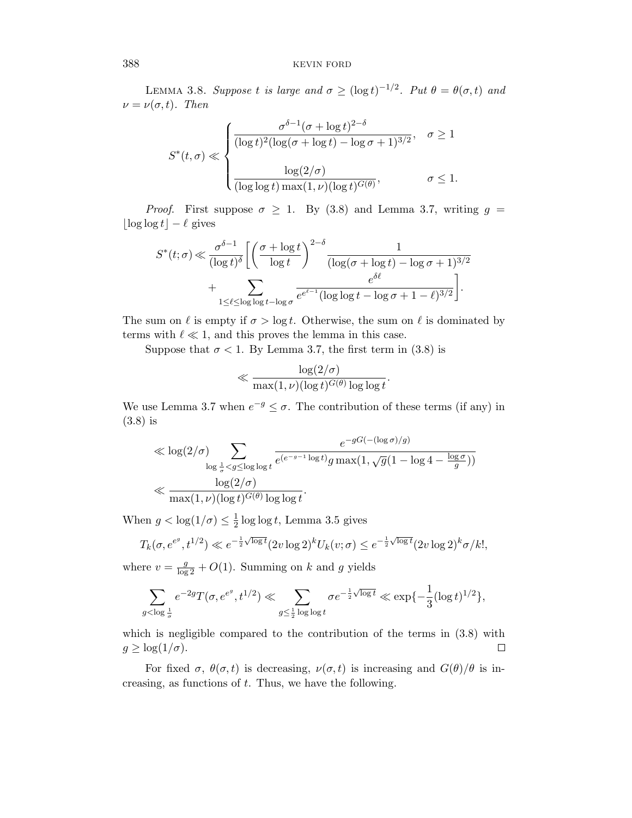LEMMA 3.8. Suppose t is large and  $\sigma \geq (\log t)^{-1/2}$ . Put  $\theta = \theta(\sigma, t)$  and  $\nu = \nu(\sigma, t)$ . Then

$$
S^*(t, \sigma) \ll \begin{cases} \frac{\sigma^{\delta - 1} (\sigma + \log t)^{2 - \delta}}{(\log t)^2 (\log(\sigma + \log t) - \log \sigma + 1)^{3/2}}, & \sigma \ge 1 \\ & \\ \frac{\log(2/\sigma)}{(\log \log t) \max(1, \nu) (\log t)^{G(\theta)}}, & \sigma \le 1. \end{cases}
$$

*Proof.* First suppose  $\sigma \geq 1$ . By (3.8) and Lemma 3.7, writing  $g =$  $\log \log t - \ell$  gives

$$
S^*(t; \sigma) \ll \frac{\sigma^{\delta - 1}}{(\log t)^{\delta}} \left[ \left( \frac{\sigma + \log t}{\log t} \right)^{2 - \delta} \frac{1}{(\log(\sigma + \log t) - \log \sigma + 1)^{3/2}} + \sum_{1 \leq \ell \leq \log \log t - \log \sigma} \frac{e^{\delta \ell}}{e^{\epsilon - 1} (\log \log t - \log \sigma + 1 - \ell)^{3/2}} \right].
$$

The sum on  $\ell$  is empty if  $\sigma > \log t$ . Otherwise, the sum on  $\ell$  is dominated by terms with  $\ell \ll 1$ , and this proves the lemma in this case.

Suppose that  $\sigma$  < 1. By Lemma 3.7, the first term in (3.8) is

$$
\ll \frac{\log(2/\sigma)}{\max(1,\nu)(\log t)^{G(\theta)}\log\log t}.
$$

We use Lemma 3.7 when  $e^{-g} \leq \sigma$ . The contribution of these terms (if any) in (3.8) is

$$
\ll \log(2/\sigma) \sum_{\log\frac{1}{\sigma} < g \le \log\log t} \frac{e^{-gG(-(\log\sigma)/g)}}{e^{(e^{-g-1}\log t)}g\max(1,\sqrt{g}(1-\log 4-\frac{\log\sigma}{g}))} \ll \frac{\log(2/\sigma)}{\max(1,\nu)(\log t)^{G(\theta)}\log\log t}.
$$

When  $g < \log(1/\sigma) \leq \frac{1}{2}$  $\frac{1}{2}$  log log t, Lemma 3.5 gives

$$
T_k(\sigma, e^{e^g}, t^{1/2}) \ll e^{-\frac{1}{2}\sqrt{\log t}} (2v \log 2)^k U_k(v; \sigma) \le e^{-\frac{1}{2}\sqrt{\log t}} (2v \log 2)^k \sigma / k!,
$$

where  $v = \frac{g}{\log 2} + O(1)$ . Summing on k and g yields

$$
\sum_{g < \log \frac{1}{\sigma}} e^{-2g} T(\sigma, e^{e^g}, t^{1/2}) \ll \sum_{g \leq \frac{1}{2} \log \log t} \sigma e^{-\frac{1}{2} \sqrt{\log t}} \ll \exp \{-\frac{1}{3} (\log t)^{1/2}\},
$$

which is negligible compared to the contribution of the terms in  $(3.8)$  with  $g \geq \log(1/\sigma)$ .  $\Box$ 

For fixed  $\sigma$ ,  $\theta(\sigma, t)$  is decreasing,  $\nu(\sigma, t)$  is increasing and  $G(\theta)/\theta$  is increasing, as functions of  $t$ . Thus, we have the following.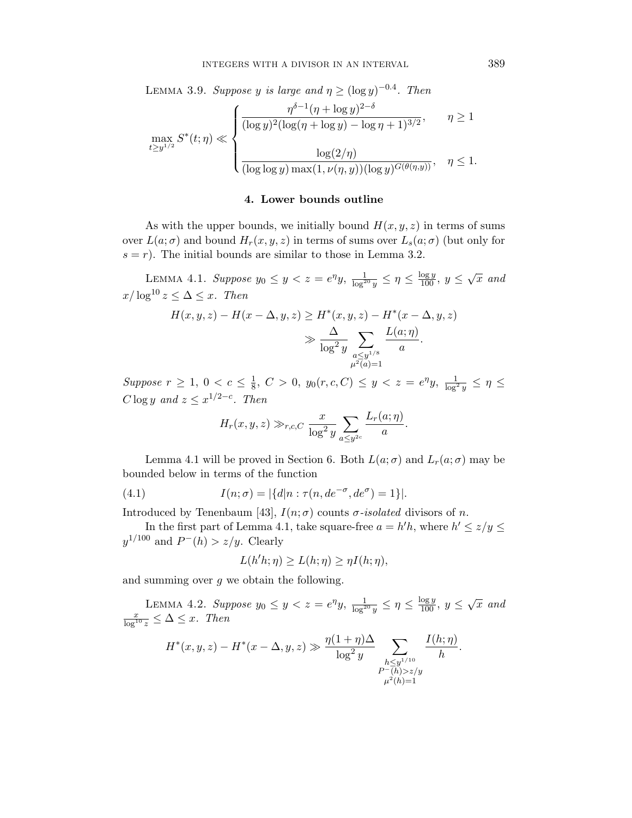LEMMA 3.9. Suppose y is large and  $\eta \ge (\log y)^{-0.4}$ . Then

$$
\max_{t \ge y^{1/2}} S^*(t; \eta) \ll \begin{cases} \frac{\eta^{\delta - 1} (\eta + \log y)^{2 - \delta}}{(\log y)^2 (\log(\eta + \log y) - \log \eta + 1)^{3/2}}, & \eta \ge 1 \\ \frac{\log(2/\eta)}{(\log \log y) \max(1, \nu(\eta, y))(\log y)^{G(\theta(\eta, y))}}, & \eta \le 1. \end{cases}
$$

# 4. Lower bounds outline

As with the upper bounds, we initially bound  $H(x, y, z)$  in terms of sums over  $L(a; \sigma)$  and bound  $H_r(x, y, z)$  in terms of sums over  $L_s(a; \sigma)$  (but only for  $s = r$ ). The initial bounds are similar to those in Lemma 3.2.

LEMMA 4.1. Suppose  $y_0 \le y < z = e^{\eta}y$ ,  $\frac{1}{\log^{20} y} \le \eta \le \frac{\log y}{100}$ ,  $y \le \sqrt{x}$  and  $x/\log^{10} z \leq \Delta \leq x$ . Then

$$
H(x, y, z) - H(x - \Delta, y, z) \ge H^*(x, y, z) - H^*(x - \Delta, y, z)
$$
  

$$
\gg \frac{\Delta}{\log^2 y} \sum_{\substack{a \le y^{1/8} \\ \mu^2(a) = 1}} \frac{L(a; \eta)}{a}.
$$

Suppose  $r \geq 1, 0 < c \leq \frac{1}{8}$  $\frac{1}{8}$ ,  $C > 0$ ,  $y_0(r, c, C) \le y < z = e^{\eta}y$ ,  $\frac{1}{\log^2 y} \le \eta \le$  $C \log y$  and  $z \leq x^{1/2-c}$ . Then

$$
H_r(x, y, z) \gg_{r,c,C} \frac{x}{\log^2 y} \sum_{a \leq y^{2c}} \frac{L_r(a; \eta)}{a}.
$$

Lemma 4.1 will be proved in Section 6. Both  $L(a; \sigma)$  and  $L_r(a; \sigma)$  may be bounded below in terms of the function

(4.1) 
$$
I(n; \sigma) = |\{d|n : \tau(n, de^{-\sigma}, de^{\sigma}) = 1\}|.
$$

Introduced by Tenenbaum [43],  $I(n; \sigma)$  counts  $\sigma$ -isolated divisors of n.

In the first part of Lemma 4.1, take square-free  $a = h'h$ , where  $h' \le z/y \le$  $y^{1/100}$  and  $P^{-}(h) > z/y$ . Clearly

$$
L(h'h;\eta) \ge L(h;\eta) \ge \eta I(h;\eta),
$$

and summing over  $q$  we obtain the following.

LEMMA 4.2. Suppose  $y_0 \le y < z = e^{\eta}y$ ,  $\frac{1}{\log^{20}y} \le \eta \le \frac{\log y}{100}$ ,  $y \le \sqrt{x}$  and  $\frac{x}{\log^{10} z} \leq \Delta \leq x$ . Then

$$
H^*(x, y, z) - H^*(x - \Delta, y, z) \gg \frac{\eta(1 + \eta)\Delta}{\log^2 y} \sum_{\substack{h \leq y^{1/10} \\ P^-(h) > z/y}} \frac{I(h; \eta)}{h}
$$

.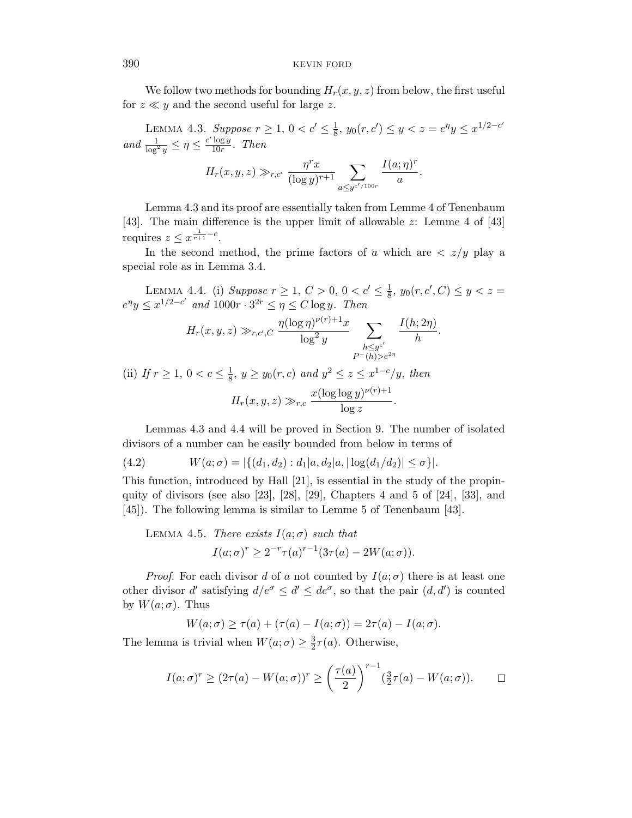We follow two methods for bounding  $H_r(x, y, z)$  from below, the first useful for  $z \ll y$  and the second useful for large z.

LEMMA 4.3. Suppose  $r \geq 1, 0 < c' \leq \frac{1}{8}$  $\frac{1}{8}$ ,  $y_0(r, c') \le y < z = e^{\eta}y \le x^{1/2 - c'}$ and  $\frac{1}{\log^2 y} \leq \eta \leq \frac{c' \log y}{10r}$  $rac{10g y}{10r}$ . Then

$$
H_r(x, y, z) \gg_{r, c'} \frac{\eta^r x}{(\log y)^{r+1}} \sum_{a \leq y^{c'/100r}} \frac{I(a; \eta)^r}{a}.
$$

Lemma 4.3 and its proof are essentially taken from Lemme 4 of Tenenbaum [43]. The main difference is the upper limit of allowable z: Lemme 4 of [43] requires  $z \leq x^{\frac{1}{r+1}-c}$ .

In the second method, the prime factors of a which are  $\langle z/y \rangle$  play a special role as in Lemma 3.4.

LEMMA 4.4. (i) Suppose  $r \ge 1, C > 0, 0 < c' \le \frac{1}{8}$  $\frac{1}{8}$ ,  $y_0(r, c', C) \le y < z =$  $e^{\eta}y \leq x^{1/2-c'}$  and  $1000r \cdot 3^{2r} \leq \eta \leq C \log y$ . Then  $H_r(x,y,z) \gg_{r,c',C}$  $\eta(\log \eta)^{\nu(r)+1}x$  $\log^2 y$  $\sum$  $h\leq y^{c'}$  $I(h;2\eta)$  $\frac{n}{h}$ .

 $P^-(h) > e^{2\eta}$ 

(ii) If  $r \geq 1, 0 < c \leq \frac{1}{8}$  $\frac{1}{8}$ ,  $y \ge y_0(r, c)$  and  $y^2 \le z \le x^{1-c}/y$ , then  $H_r(x, y, z) \gg_{r,c} \frac{x(\log \log y)^{\nu(r)+1}}{\log x}$  $\frac{\log y}{\log z}$ .

Lemmas 4.3 and 4.4 will be proved in Section 9. The number of isolated divisors of a number can be easily bounded from below in terms of

(4.2) 
$$
W(a; \sigma) = |\{(d_1, d_2) : d_1|a, d_2|a, |\log(d_1/d_2)| \leq \sigma\}|.
$$

This function, introduced by Hall [21], is essential in the study of the propinquity of divisors (see also [23], [28], [29], Chapters 4 and 5 of [24], [33], and [45]). The following lemma is similar to Lemme 5 of Tenenbaum [43].

LEMMA 4.5. There exists 
$$
I(a; \sigma)
$$
 such that  
\n
$$
I(a; \sigma)^r \ge 2^{-r} \tau(a)^{r-1} (3\tau(a) - 2W(a; \sigma)).
$$

*Proof.* For each divisor d of a not counted by  $I(a; \sigma)$  there is at least one other divisor d' satisfying  $d/e^{\sigma} \leq d' \leq de^{\sigma}$ , so that the pair  $(d, d')$  is counted by  $W(a;\sigma)$ . Thus

$$
W(a; \sigma) \ge \tau(a) + (\tau(a) - I(a; \sigma)) = 2\tau(a) - I(a; \sigma).
$$

The lemma is trivial when  $W(a;\sigma) \geq \frac{3}{2}$  $\frac{3}{2}\tau(a)$ . Otherwise,

$$
I(a; \sigma)^r \ge (2\tau(a) - W(a; \sigma))^r \ge \left(\frac{\tau(a)}{2}\right)^{r-1}(\frac{3}{2}\tau(a) - W(a; \sigma)). \square
$$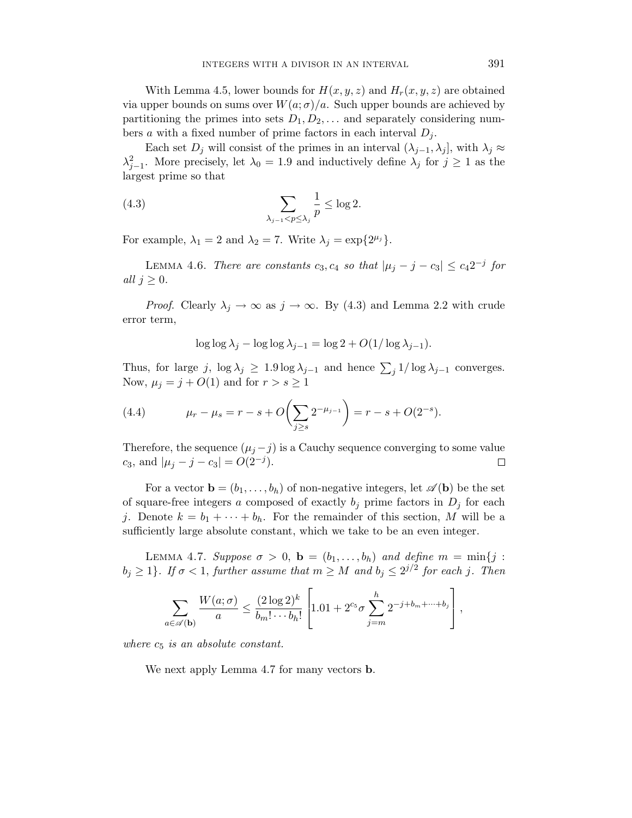With Lemma 4.5, lower bounds for  $H(x, y, z)$  and  $H_r(x, y, z)$  are obtained via upper bounds on sums over  $W(a;\sigma)/a$ . Such upper bounds are achieved by partitioning the primes into sets  $D_1, D_2, \ldots$  and separately considering numbers a with a fixed number of prime factors in each interval  $D_i$ .

Each set  $D_i$  will consist of the primes in an interval  $(\lambda_{i-1}, \lambda_i]$ , with  $\lambda_i \approx$  $\lambda_{j-1}^2$ . More precisely, let  $\lambda_0 = 1.9$  and inductively define  $\lambda_j$  for  $j \geq 1$  as the largest prime so that

(4.3) 
$$
\sum_{\lambda_{j-1} < p \le \lambda_j} \frac{1}{p} \le \log 2.
$$

For example,  $\lambda_1 = 2$  and  $\lambda_2 = 7$ . Write  $\lambda_j = \exp\{2^{\mu_j}\}.$ 

LEMMA 4.6. There are constants  $c_3, c_4$  so that  $|\mu_j - j - c_3| \le c_4 2^{-j}$  for all  $j \geq 0$ .

*Proof.* Clearly  $\lambda_j \to \infty$  as  $j \to \infty$ . By (4.3) and Lemma 2.2 with crude error term,

$$
\log \log \lambda_j - \log \log \lambda_{j-1} = \log 2 + O(1/\log \lambda_{j-1}).
$$

Thus, for large j,  $\log \lambda_j \geq 1.9 \log \lambda_{j-1}$  and hence  $\sum_j 1/\log \lambda_{j-1}$  converges. Now,  $\mu_j = j + O(1)$  and for  $r > s \geq 1$ 

(4.4) 
$$
\mu_r - \mu_s = r - s + O\left(\sum_{j\geq s} 2^{-\mu_{j-1}}\right) = r - s + O(2^{-s}).
$$

Therefore, the sequence  $(\mu_j - j)$  is a Cauchy sequence converging to some value c<sub>3</sub>, and  $|\mu_j - j - c_3| = O(2^{-j}).$  $\Box$ 

For a vector  $\mathbf{b} = (b_1, \ldots, b_h)$  of non-negative integers, let  $\mathscr{A}(\mathbf{b})$  be the set of square-free integers a composed of exactly  $b_i$  prime factors in  $D_i$  for each j. Denote  $k = b_1 + \cdots + b_h$ . For the remainder of this section, M will be a sufficiently large absolute constant, which we take to be an even integer.

LEMMA 4.7. Suppose  $\sigma > 0$ ,  $\mathbf{b} = (b_1, \ldots, b_h)$  and define  $m = \min\{j :$  $b_j \geq 1$ . If  $\sigma < 1$ , further assume that  $m \geq M$  and  $b_j \leq 2^{j/2}$  for each j. Then

$$
\sum_{a\in\mathscr{A}(\mathbf{b})}\frac{W(a;\sigma)}{a}\leq \frac{(2\log 2)^k}{b_m!\cdots b_h!}\left[1.01+2^{c_5}\sigma\sum_{j=m}^h 2^{-j+b_m+\cdots+b_j}\right],
$$

where  $c_5$  is an absolute constant.

We next apply Lemma 4.7 for many vectors b.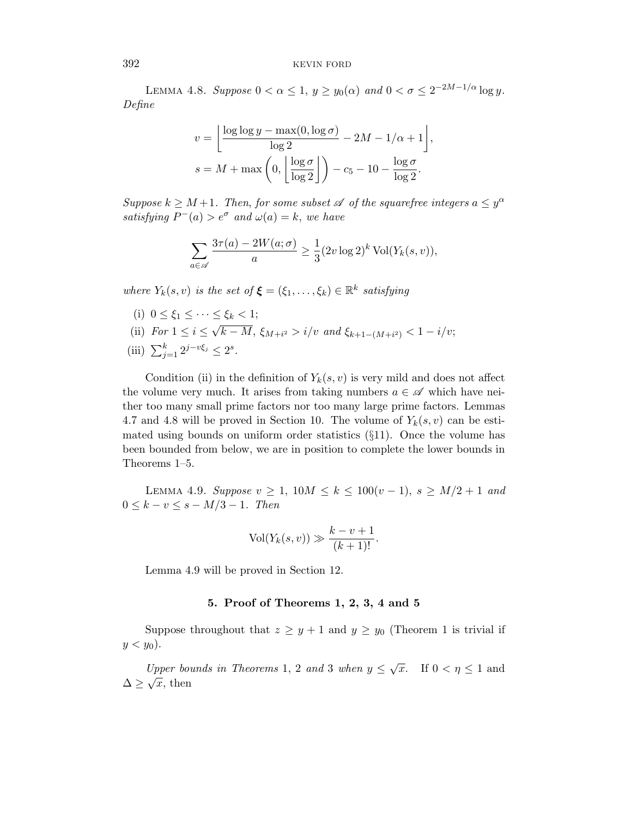LEMMA 4.8. Suppose  $0 < \alpha \leq 1$ ,  $y \geq y_0(\alpha)$  and  $0 < \sigma \leq 2^{-2M-1/\alpha} \log y$ . Define

$$
v = \left\lfloor \frac{\log \log y - \max(0, \log \sigma)}{\log 2} - 2M - 1/\alpha + 1 \right\rfloor,
$$
  

$$
s = M + \max\left(0, \left\lfloor \frac{\log \sigma}{\log 2} \right\rfloor\right) - c_5 - 10 - \frac{\log \sigma}{\log 2}.
$$

Suppose  $k \geq M+1$ . Then, for some subset  $\mathscr A$  of the squarefree integers  $a \leq y^{\alpha}$ satisfying  $P^-(a) > e^{\sigma}$  and  $\omega(a) = k$ , we have

$$
\sum_{a \in \mathscr{A}} \frac{3\tau(a) - 2W(a; \sigma)}{a} \ge \frac{1}{3} (2v \log 2)^k \operatorname{Vol}(Y_k(s, v)),
$$

where  $Y_k(s, v)$  is the set of  $\boldsymbol{\xi} = (\xi_1, \dots, \xi_k) \in \mathbb{R}^k$  satisfying

(i)  $0 \le \xi_1 \le \cdots \le \xi_k < 1;$ (ii) For  $1 \leq i \leq$ √  $k-M$ ,  $\xi_{M+i^2} > i/v$  and  $\xi_{k+1-(M+i^2)} < 1-i/v;$ (iii)  $\sum_{j=1}^{k} 2^{j-v\xi_j} \leq 2^s$ .

Condition (ii) in the definition of  $Y_k(s, v)$  is very mild and does not affect the volume very much. It arises from taking numbers  $a \in \mathscr{A}$  which have neither too many small prime factors nor too many large prime factors. Lemmas 4.7 and 4.8 will be proved in Section 10. The volume of  $Y_k(s, v)$  can be estimated using bounds on uniform order statistics  $(\S11)$ . Once the volume has been bounded from below, we are in position to complete the lower bounds in Theorems 1–5.

LEMMA 4.9. Suppose  $v \ge 1$ ,  $10M \le k \le 100(v-1)$ ,  $s \ge M/2 + 1$  and  $0 \leq k - v \leq s - M/3 - 1$ . Then

$$
Vol(Y_k(s, v)) \gg \frac{k - v + 1}{(k + 1)!}.
$$

Lemma 4.9 will be proved in Section 12.

# 5. Proof of Theorems 1, 2, 3, 4 and 5

Suppose throughout that  $z \geq y+1$  and  $y \geq y_0$  (Theorem 1 is trivial if  $y < y_0$ ).

Upper bounds in Theorems 1, 2 and 3 when  $y \leq \sqrt{x}$ . If  $0 < \eta \leq 1$  and  $\Delta \geq \sqrt{x}$ , then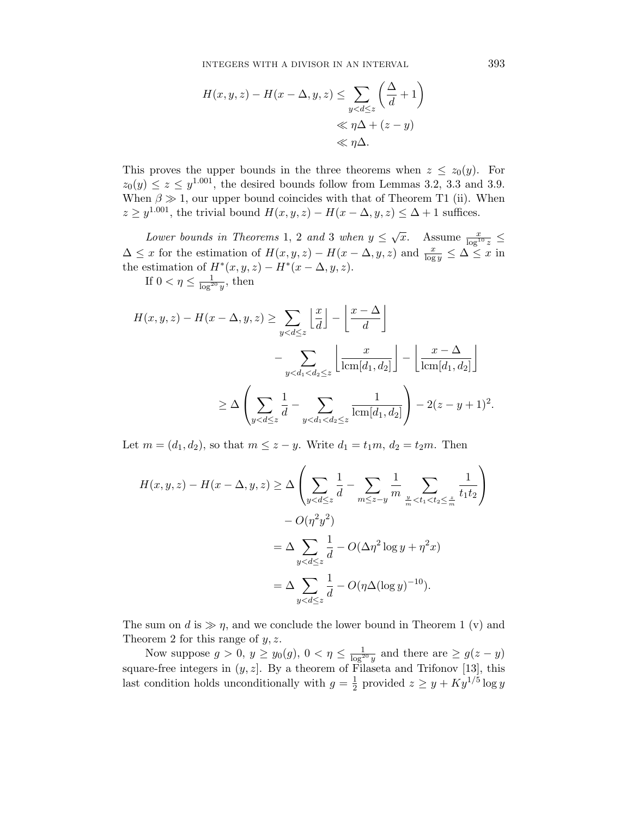$$
H(x, y, z) - H(x - \Delta, y, z) \le \sum_{y < d \le z} \left(\frac{\Delta}{d} + 1\right)
$$
\n
$$
\ll \eta \Delta + (z - y)
$$
\n
$$
\ll \eta \Delta.
$$

This proves the upper bounds in the three theorems when  $z \leq z_0(y)$ . For  $z_0(y) \leq z \leq y^{1.001}$ , the desired bounds follow from Lemmas 3.2, 3.3 and 3.9. When  $\beta \gg 1$ , our upper bound coincides with that of Theorem T1 (ii). When  $z \geq y^{1.001}$ , the trivial bound  $H(x, y, z) - H(x - \Delta, y, z) \leq \Delta + 1$  suffices.

Lower bounds in Theorems 1, 2 and 3 when  $y \leq \sqrt{x}$ . Assume  $\frac{x}{\log^{10} z}$   $\leq$  $\Delta \leq x$  for the estimation of  $H(x, y, z) - H(x - \Delta, y, z)$  and  $\frac{x}{\log y} \leq \Delta \leq x$  in the estimation of  $H^*(x, y, z) - H^*(x - \Delta, y, z)$ .

If  $0 < \eta \leq \frac{1}{\log^{20} y}$ , then

$$
H(x, y, z) - H(x - \Delta, y, z) \ge \sum_{y < d \le z} \left\lfloor \frac{x}{d} \right\rfloor - \left\lfloor \frac{x - \Delta}{d} \right\rfloor
$$
\n
$$
- \sum_{y < d_1 < d_2 \le z} \left\lfloor \frac{x}{\operatorname{lcm}[d_1, d_2]} \right\rfloor - \left\lfloor \frac{x - \Delta}{\operatorname{lcm}[d_1, d_2]} \right\rfloor
$$
\n
$$
\ge \Delta \left( \sum_{y < d \le z} \frac{1}{d} - \sum_{y < d_1 < d_2 \le z} \frac{1}{\operatorname{lcm}[d_1, d_2]} \right) - 2(z - y + 1)^2.
$$

Let  $m = (d_1, d_2)$ , so that  $m \leq z - y$ . Write  $d_1 = t_1 m$ ,  $d_2 = t_2 m$ . Then

$$
H(x, y, z) - H(x - \Delta, y, z) \ge \Delta \left( \sum_{y < d \le z} \frac{1}{d} - \sum_{m \le z - y} \frac{1}{m} \sum_{\frac{y}{m} < t_1 < t_2 \le \frac{z}{m}} \frac{1}{t_1 t_2} \right)
$$

$$
- O(\eta^2 y^2)
$$

$$
= \Delta \sum_{y < d \le z} \frac{1}{d} - O(\Delta \eta^2 \log y + \eta^2 x)
$$

$$
= \Delta \sum_{y < d \le z} \frac{1}{d} - O(\eta \Delta (\log y)^{-10}).
$$

The sum on d is  $\gg \eta$ , and we conclude the lower bound in Theorem 1 (v) and Theorem 2 for this range of  $y, z$ .

Now suppose  $g > 0$ ,  $y \ge y_0(g)$ ,  $0 < \eta \le \frac{1}{\log^{20} y}$  and there are  $\ge g(z - y)$ square-free integers in  $(y, z]$ . By a theorem of Filaseta and Trifonov [13], this last condition holds unconditionally with  $g=\frac{1}{2}$  $\frac{1}{2}$  provided  $z \geq y + Ky^{1/5} \log y$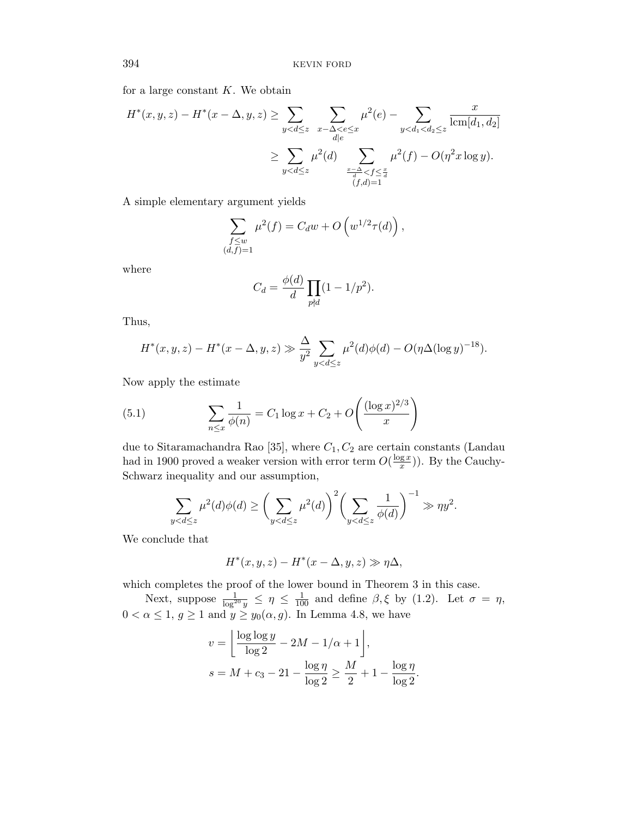for a large constant  $K$ . We obtain

$$
H^*(x, y, z) - H^*(x - \Delta, y, z) \ge \sum_{y < d \le z} \sum_{x - \Delta < e \le x} \mu^2(e) - \sum_{y < d_1 < d_2 \le z} \frac{x}{\text{lcm}[d_1, d_2]} \\
\ge \sum_{y < d \le z} \mu^2(d) \sum_{\substack{x - \Delta < f \le \frac{x}{d} \\ (f, d) = 1}} \mu^2(f) - O(\eta^2 x \log y).
$$

A simple elementary argument yields

$$
\sum_{\substack{f \leq w \\ (d,f)=1}} \mu^2(f) = C_d w + O\left(w^{1/2} \tau(d)\right),
$$

where

$$
C_d = \frac{\phi(d)}{d} \prod_{p \nmid d} (1 - 1/p^2).
$$

Thus,

$$
H^*(x, y, z) - H^*(x - \Delta, y, z) \gg \frac{\Delta}{y^2} \sum_{y < d \le z} \mu^2(d)\phi(d) - O(\eta \Delta(\log y)^{-18}).
$$

Now apply the estimate

(5.1) 
$$
\sum_{n \leq x} \frac{1}{\phi(n)} = C_1 \log x + C_2 + O\left(\frac{(\log x)^{2/3}}{x}\right)
$$

due to Sitaramachandra Rao [35], where  $C_1, C_2$  are certain constants (Landau had in 1900 proved a weaker version with error term  $O(\frac{\log x}{x})$  $\frac{gx}{x}$ ). By the Cauchy-Schwarz inequality and our assumption,

$$
\sum_{y
$$

We conclude that

$$
H^*(x, y, z) - H^*(x - \Delta, y, z) \gg \eta \Delta,
$$

which completes the proof of the lower bound in Theorem 3 in this case.

Next, suppose  $\frac{1}{\log^{20} y} \leq \eta \leq \frac{1}{100}$  and define  $\beta, \xi$  by (1.2). Let  $\sigma = \eta$ ,  $0 < \alpha \leq 1, g \geq 1$  and  $y \geq y_0(\alpha, g)$ . In Lemma 4.8, we have

$$
v = \left\lfloor \frac{\log \log y}{\log 2} - 2M - 1/\alpha + 1 \right\rfloor,
$$
  

$$
s = M + c_3 - 21 - \frac{\log \eta}{\log 2} \ge \frac{M}{2} + 1 - \frac{\log \eta}{\log 2}.
$$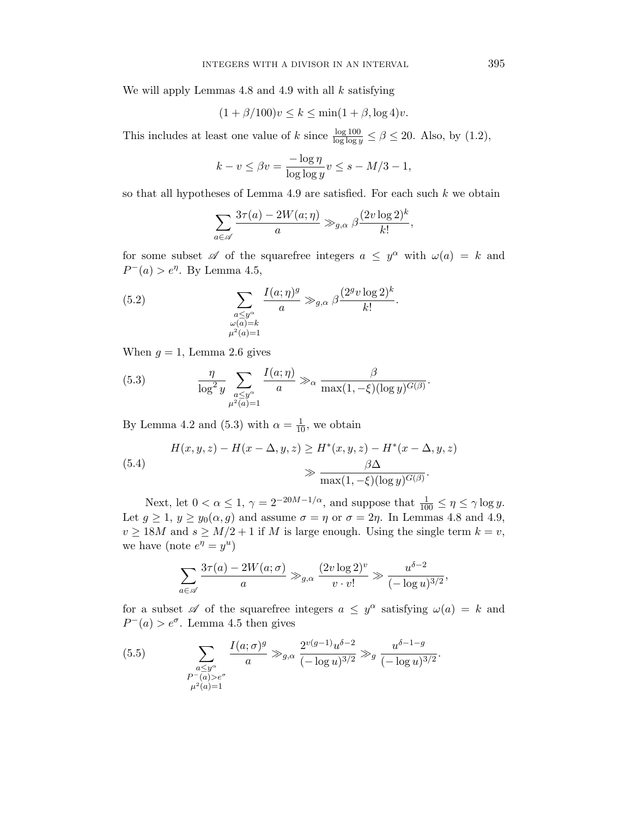We will apply Lemmas  $4.8$  and  $4.9$  with all  $k$  satisfying

$$
(1 + \beta/100)v \le k \le \min(1 + \beta, \log 4)v.
$$

This includes at least one value of k since  $\frac{\log 100}{\log \log y} \le \beta \le 20$ . Also, by (1.2),

$$
k - v \le \beta v = \frac{-\log \eta}{\log \log y} v \le s - M/3 - 1,
$$

so that all hypotheses of Lemma 4.9 are satisfied. For each such  $k$  we obtain

$$
\sum_{a \in \mathscr{A}} \frac{3\tau(a) - 2W(a; \eta)}{a} \gg_{g,\alpha} \beta \frac{(2v \log 2)^k}{k!},
$$

for some subset  $\mathscr A$  of the squarefree integers  $a \leq y^{\alpha}$  with  $\omega(a) = k$  and  $P^-(a) > e^{\eta}$ . By Lemma 4.5,

(5.2) 
$$
\sum_{\substack{a \le y^{\alpha} \\ \omega(a)=k \\ \mu^2(a)=1}} \frac{I(a;\eta)^g}{a} \gg_{g,\alpha} \beta \frac{(2^g v \log 2)^k}{k!}.
$$

When  $g = 1$ , Lemma 2.6 gives

(5.3) 
$$
\frac{\eta}{\log^2 y} \sum_{\substack{a \le y^\alpha \\ \mu^2(a) = 1}} \frac{I(a; \eta)}{a} \gg_\alpha \frac{\beta}{\max(1, -\xi)(\log y)^{G(\beta)}}
$$

By Lemma 4.2 and (5.3) with  $\alpha = \frac{1}{10}$ , we obtain

(5.4)  

$$
H(x, y, z) - H(x - \Delta, y, z) \ge H^*(x, y, z) - H^*(x - \Delta, y, z)
$$

$$
\gg \frac{\beta \Delta}{\max(1, -\xi)(\log y)^{G(\beta)}}.
$$

Next, let  $0 < \alpha \le 1$ ,  $\gamma = 2^{-20M-1/\alpha}$ , and suppose that  $\frac{1}{100} \le \eta \le \gamma \log y$ . Let  $g \ge 1$ ,  $y \ge y_0(\alpha, g)$  and assume  $\sigma = \eta$  or  $\sigma = 2\eta$ . In Lemmas 4.8 and 4.9,  $v \ge 18M$  and  $s \ge M/2 + 1$  if M is large enough. Using the single term  $k = v$ , we have (note  $e^{\eta} = y^u$ )

$$
\sum_{a \in \mathscr{A}} \frac{3\tau(a) - 2W(a; \sigma)}{a} \gg_{g,\alpha} \frac{(2v \log 2)^v}{v \cdot v!} \gg \frac{u^{\delta - 2}}{(-\log u)^{3/2}},
$$

for a subset  $\mathscr A$  of the squarefree integers  $a \leq y^{\alpha}$  satisfying  $\omega(a) = k$  and  $P^-(a) > e^{\sigma}$ . Lemma 4.5 then gives

(5.5) 
$$
\sum_{\substack{a \le y^{\alpha} \\ P^-(a) > e^{\sigma} \\ \mu^2(a) = 1}} \frac{I(a; \sigma)^g}{a} \gg_{g,\alpha} \frac{2^{v(g-1)} u^{\delta - 2}}{(-\log u)^{3/2}} \gg_g \frac{u^{\delta - 1 - g}}{(-\log u)^{3/2}}.
$$

.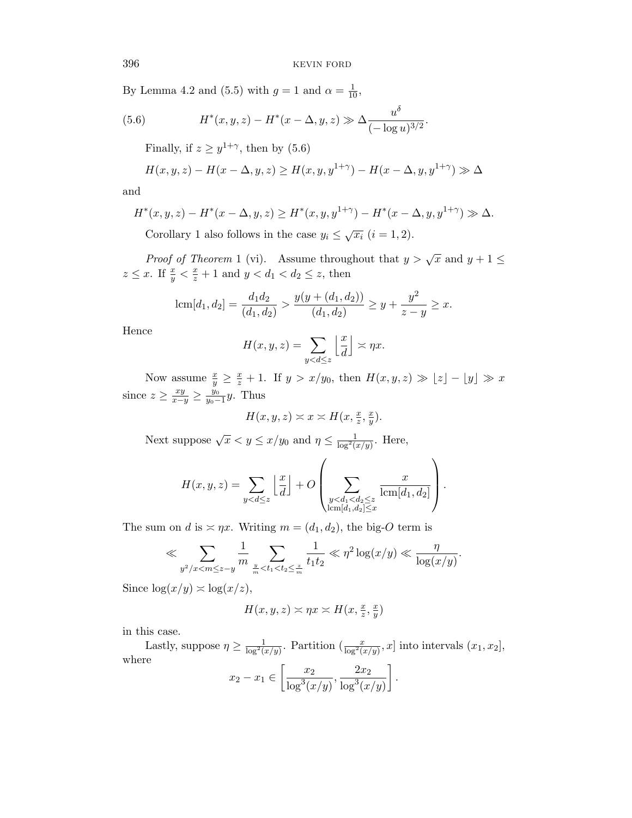.

By Lemma 4.2 and (5.5) with  $g = 1$  and  $\alpha = \frac{1}{10}$ ,

(5.6) 
$$
H^*(x, y, z) - H^*(x - \Delta, y, z) \gg \Delta \frac{u^{\delta}}{(-\log u)^{3/2}}
$$

Finally, if  $z \geq y^{1+\gamma}$ , then by (5.6)

$$
H(x, y, z) - H(x - \Delta, y, z) \ge H(x, y, y^{1+\gamma}) - H(x - \Delta, y, y^{1+\gamma}) \gg \Delta
$$

and

$$
H^*(x, y, z) - H^*(x - \Delta, y, z) \ge H^*(x, y, y^{1+\gamma}) - H^*(x - \Delta, y, y^{1+\gamma}) \gg \Delta.
$$

Corollary 1 also follows in the case  $y_i \leq \sqrt{x_i}$   $(i = 1, 2)$ .

*Proof of Theorem* 1 (vi). Assume throughout that  $y > \sqrt{x}$  and  $y + 1 \leq$  $z \leq x$ . If  $\frac{x}{y} < \frac{x}{z} + 1$  and  $y < d_1 < d_2 \leq z$ , then

$$
\operatorname{lcm}[d_1, d_2] = \frac{d_1 d_2}{(d_1, d_2)} > \frac{y(y + (d_1, d_2))}{(d_1, d_2)} \ge y + \frac{y^2}{z - y} \ge x.
$$

Hence

$$
H(x, y, z) = \sum_{y < d \leq z} \left\lfloor \frac{x}{d} \right\rfloor \asymp \eta x.
$$

Now assume  $\frac{x}{y} \geq \frac{x}{z} + 1$ . If  $y > x/y_0$ , then  $H(x, y, z) \gg |z| - |y| \gg x$ since  $z \geq \frac{xy}{x-y} \geq \frac{y_0}{y_0-y}$  $\frac{y_0}{y_0-1}y$ . Thus

$$
H(x, y, z) \asymp x \asymp H(x, \frac{x}{z}, \frac{x}{y}).
$$

Next suppose  $\sqrt{x} < y \leq x/y_0$  and  $\eta \leq \frac{1}{\log^2(x/y)}$ . Here,

$$
H(x,y,z) = \sum_{y
$$

The sum on d is  $\asymp \eta x$ . Writing  $m = (d_1, d_2)$ , the big-O term is

$$
\ll \sum_{y^2/x < m \leq z-y} \frac{1}{m} \sum_{\frac{y}{m} < t_1 < t_2 \leq \frac{z}{m}} \frac{1}{t_1 t_2} \ll \eta^2 \log(x/y) \ll \frac{\eta}{\log(x/y)}.
$$

Since  $\log(x/y) \asymp \log(x/z)$ ,

$$
H(x, y, z) \asymp \eta x \asymp H(x, \frac{x}{z}, \frac{x}{y})
$$

in this case.

Lastly, suppose  $\eta \ge \frac{1}{\log^2(x/y)}$ . Partition  $\left(\frac{x}{\log^2(x/y)}, x\right)$  into intervals  $(x_1, x_2]$ , where  $x_2 - x_1 \in \left[\frac{x_2}{1 - 3x}\right]$  $\log^3(x/y)$  $, \frac{2x_2}{x_1}$  $\log^3(x/y)$ .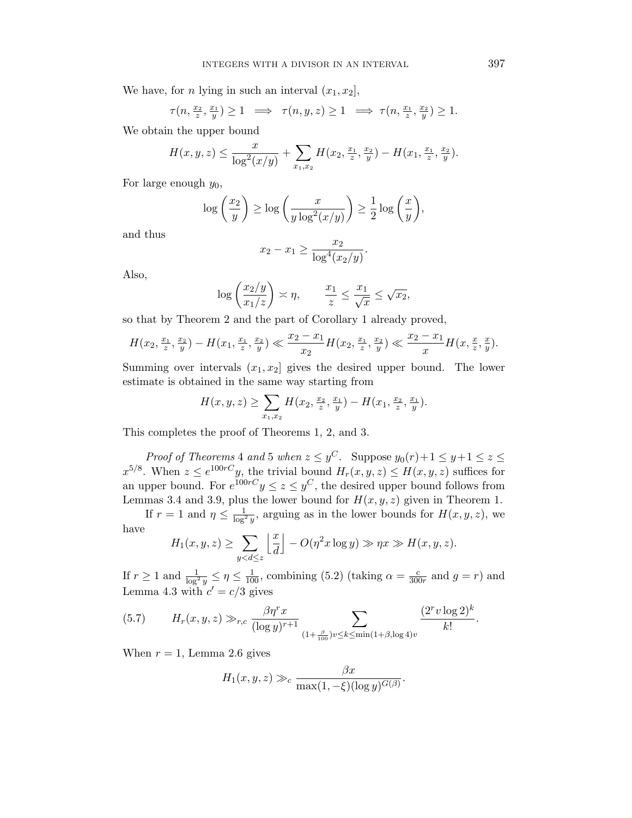We have, for *n* lying in such an interval  $(x_1, x_2]$ ,

$$
\tau(n,\frac{x_2}{z},\frac{x_1}{y}) \ge 1 \implies \tau(n,y,z) \ge 1 \implies \tau(n,\frac{x_1}{z},\frac{x_2}{y}) \ge 1.
$$

We obtain the upper bound

$$
H(x,y,z) \le \frac{x}{\log^2(x/y)} + \sum_{x_1,x_2} H(x_2, \frac{x_1}{z}, \frac{x_2}{y}) - H(x_1, \frac{x_1}{z}, \frac{x_2}{y}).
$$

For large enough  $y_0$ ,

$$
\log\left(\frac{x_2}{y}\right) \ge \log\left(\frac{x}{y\log^2(x/y)}\right) \ge \frac{1}{2}\log\left(\frac{x}{y}\right),
$$

and thus

$$
x_2 - x_1 \ge \frac{x_2}{\log^4(x_2/y)}.
$$

Also,

$$
\log\left(\frac{x_2/y}{x_1/z}\right) \asymp \eta, \qquad \frac{x_1}{z} \le \frac{x_1}{\sqrt{x}} \le \sqrt{x_2},
$$

so that by Theorem 2 and the part of Corollary 1 already proved,

$$
H(x_2, \frac{x_1}{z}, \frac{x_2}{y}) - H(x_1, \frac{x_1}{z}, \frac{x_2}{y}) \ll \frac{x_2 - x_1}{x_2} H(x_2, \frac{x_1}{z}, \frac{x_2}{y}) \ll \frac{x_2 - x_1}{x} H(x, \frac{x}{z}, \frac{x}{y}).
$$

Summing over intervals  $(x_1, x_2)$  gives the desired upper bound. The lower estimate is obtained in the same way starting from

$$
H(x, y, z) \ge \sum_{x_1, x_2} H(x_2, \frac{x_2}{z}, \frac{x_1}{y}) - H(x_1, \frac{x_2}{z}, \frac{x_1}{y}).
$$

This completes the proof of Theorems 1, 2, and 3.

Proof of Theorems 4 and 5 when  $z \le y^C$ . Suppose  $y_0(r) + 1 \le y + 1 \le z \le$  $x^{5/8}$ . When  $z \le e^{100rC}y$ , the trivial bound  $H_r(x, y, z) \le H(x, y, z)$  suffices for an upper bound. For  $e^{100rC}y \leq z \leq y^C$ , the desired upper bound follows from Lemmas 3.4 and 3.9, plus the lower bound for  $H(x, y, z)$  given in Theorem 1.

If  $r = 1$  and  $\eta \leq \frac{1}{\log^2 y}$ , arguing as in the lower bounds for  $H(x, y, z)$ , we have

$$
H_1(x, y, z) \ge \sum_{y < d \le z} \left\lfloor \frac{x}{d} \right\rfloor - O(\eta^2 x \log y) \gg \eta x \gg H(x, y, z).
$$

If  $r \ge 1$  and  $\frac{1}{\log^2 y} \le \eta \le \frac{1}{100}$ , combining (5.2) (taking  $\alpha = \frac{c}{300}$  $\frac{c}{300r}$  and  $g = r$ ) and Lemma 4.3 with  $c' = c/3$  gives

(5.7) 
$$
H_r(x, y, z) \gg_{r,c} \frac{\beta \eta^r x}{(\log y)^{r+1}} \sum_{(1+\frac{\beta}{100})v \le k \le \min(1+\beta, \log 4)v} \frac{(2^r v \log 2)^k}{k!}.
$$

When  $r = 1$ , Lemma 2.6 gives

$$
H_1(x, y, z) \gg_c \frac{\beta x}{\max(1, -\xi)(\log y)^{G(\beta)}}.
$$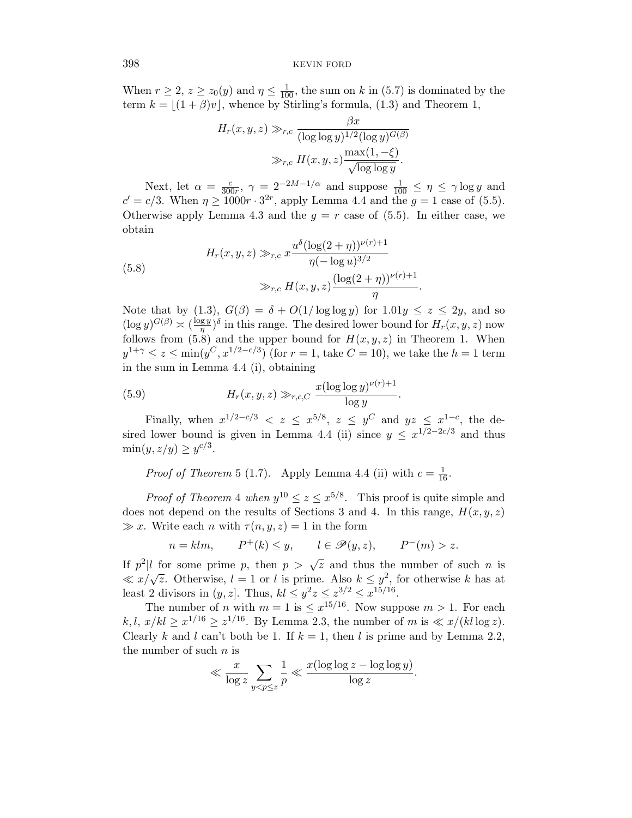When  $r \ge 2$ ,  $z \ge z_0(y)$  and  $\eta \le \frac{1}{100}$ , the sum on k in (5.7) is dominated by the term  $k = |(1 + \beta)v|$ , whence by Stirling's formula, (1.3) and Theorem 1,

$$
H_r(x, y, z) \gg_{r,c} \frac{\beta x}{(\log \log y)^{1/2} (\log y)^{G(\beta)}}\n\gg_{r,c} H(x, y, z) \frac{\max(1, -\xi)}{\sqrt{\log \log y}}.
$$

Next, let  $\alpha = \frac{c}{300}$  $\frac{c}{300r}$ ,  $\gamma = 2^{-2M-1/\alpha}$  and suppose  $\frac{1}{100} \leq \eta \leq \gamma \log y$  and  $c' = c/3$ . When  $\eta \ge 1000r \cdot 3^{2r}$ , apply Lemma 4.4 and the  $g = 1$  case of (5.5). Otherwise apply Lemma 4.3 and the  $g = r$  case of (5.5). In either case, we obtain

(5.8) 
$$
H_r(x, y, z) \gg_{r,c} x \frac{u^{\delta} (\log(2 + \eta))^{\nu(r)+1}}{\eta(-\log u)^{3/2}}
$$

$$
\gg_{r,c} H(x, y, z) \frac{(\log(2 + \eta))^{\nu(r)+1}}{\eta}
$$

Note that by (1.3),  $G(\beta) = \delta + O(1/\log \log y)$  for  $1.01y \leq z \leq 2y$ , and so  $(\log y)^{G(\beta)} \asymp (\frac{\log y}{n})$  $(\frac{gy}{\eta})^{\delta}$  in this range. The desired lower bound for  $H_r(x, y, z)$  now follows from  $(5.8)$  and the upper bound for  $H(x, y, z)$  in Theorem 1. When  $y^{1+\gamma} \leq z \leq \min(y^C, x^{1/2-c/3})$  (for  $r = 1$ , take  $C = 10$ ), we take the  $h = 1$  term in the sum in Lemma 4.4 (i), obtaining

.

(5.9) 
$$
H_r(x, y, z) \gg_{r,c,C} \frac{x(\log \log y)^{\nu(r)+1}}{\log y}.
$$

Finally, when  $x^{1/2-c/3} < z \leq x^{5/8}$ ,  $z \leq y^C$  and  $yz \leq x^{1-c}$ , the desired lower bound is given in Lemma 4.4 (ii) since  $y \leq x^{1/2-2c/3}$  and thus  $\min(y, z/y) \ge y^{c/3}.$ 

*Proof of Theorem* 5 (1.7). Apply Lemma 4.4 (ii) with  $c = \frac{1}{16}$ .

*Proof of Theorem* 4 when  $y^{10} \le z \le x^{5/8}$ . This proof is quite simple and does not depend on the results of Sections 3 and 4. In this range,  $H(x, y, z)$  $\gg x$ . Write each *n* with  $\tau(n, y, z) = 1$  in the form

$$
n = klm, \qquad P^+(k) \le y, \qquad l \in \mathscr{P}(y, z), \qquad P^-(m) > z.
$$

If  $p^2|l$  for some prime p, then  $p > \sqrt{z}$  and thus the number of such n is  $x \sim \sqrt{z}$ . Otherwise,  $l = 1$  or l is prime. Also  $k \leq y^2$ , for otherwise k has at least 2 divisors in  $(y, z]$ . Thus,  $kl \leq y^2z \leq z^{3/2} \leq x^{15/16}$ .

The number of *n* with  $m = 1$  is  $\leq x^{15/16}$ . Now suppose  $m > 1$ . For each  $k, l, x/kl \geq x^{1/16} \geq z^{1/16}$ . By Lemma 2.3, the number of m is  $\ll x/(kl \log z)$ . Clearly k and l can't both be 1. If  $k = 1$ , then l is prime and by Lemma 2.2, the number of such  $n$  is

$$
\ll \frac{x}{\log z} \sum_{y < p \leq z} \frac{1}{p} \ll \frac{x(\log \log z - \log \log y)}{\log z}.
$$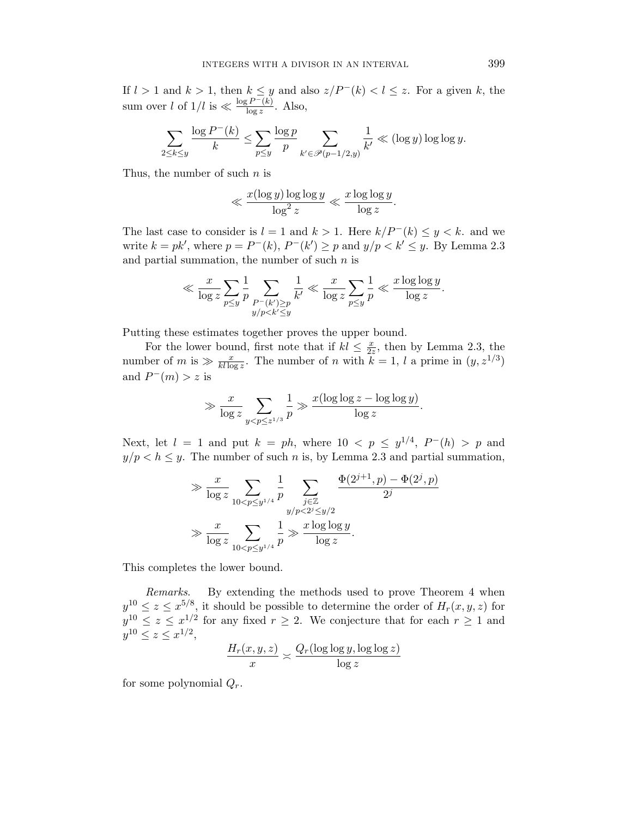If  $l > 1$  and  $k > 1$ , then  $k \leq y$  and also  $z/P^{-1}(k) < l \leq z$ . For a given k, the sum over l of  $1/l$  is  $\ll \frac{\log P^{-}(k)}{\log z}$  $\frac{(F - (k)}{\log z}$ . Also,

$$
\sum_{2\leq k\leq y}\frac{\log P^-(k)}{k}\leq \sum_{p\leq y}\frac{\log p}{p}\sum_{k'\in\mathscr{P}(p-1/2,y)}\frac{1}{k'}\ll (\log y)\log\log y.
$$

Thus, the number of such  $n$  is

$$
\ll \frac{x(\log y) \log \log y}{\log^2 z} \ll \frac{x \log \log y}{\log z}.
$$

The last case to consider is  $l = 1$  and  $k > 1$ . Here  $k/P^-(k) \leq y < k$ . and we write  $k = pk'$ , where  $p = P^-(k)$ ,  $P^-(k') \geq p$  and  $y/p < k' \leq y$ . By Lemma 2.3 and partial summation, the number of such  $n$  is

$$
\ll \frac{x}{\log z} \sum_{p \leq y} \frac{1}{p} \sum_{\substack{P-(k') \geq p \\ y/p < k' \leq y}} \frac{1}{k'} \ll \frac{x}{\log z} \sum_{p \leq y} \frac{1}{p} \ll \frac{x \log \log y}{\log z}.
$$

Putting these estimates together proves the upper bound.

For the lower bound, first note that if  $kl \leq \frac{x}{2}$  $\frac{x}{2z}$ , then by Lemma 2.3, the number of m is  $\gg \frac{x}{kl \log z}$ . The number of n with  $k = 1, l$  a prime in  $(y, z^{1/3})$ and  $P^-(m) > z$  is

$$
\gg \frac{x}{\log z} \sum_{y < p \leq z^{1/3}} \frac{1}{p} \gg \frac{x(\log \log z - \log \log y)}{\log z}.
$$

Next, let  $l = 1$  and put  $k = ph$ , where  $10 < p \leq y^{1/4}$ ,  $P^{-}(h) > p$  and  $y/p < h \leq y$ . The number of such n is, by Lemma 2.3 and partial summation,

$$
\gg \frac{x}{\log z} \sum_{10 < p \le y^{1/4}} \frac{1}{p} \sum_{\substack{j \in \mathbb{Z} \\ y/p < 2^j \le y/2}} \frac{\Phi(2^{j+1}, p) - \Phi(2^j, p)}{2^j}
$$

$$
\gg \frac{x}{\log z} \sum_{10 < p \le y^{1/4}} \frac{1}{p} \gg \frac{x \log \log y}{\log z}.
$$

This completes the lower bound.

Remarks. By extending the methods used to prove Theorem 4 when  $y^{10} \le z \le x^{5/8}$ , it should be possible to determine the order of  $H_r(x, y, z)$  for  $y^{10} \le z \le x^{1/2}$  for any fixed  $r \ge 2$ . We conjecture that for each  $r \ge 1$  and  $y^{10} \le z \le x^{1/2},$ 

$$
\frac{H_r(x,y,z)}{x} \asymp \frac{Q_r(\log\log y, \log\log z)}{\log z}
$$

for some polynomial  $Q_r$ .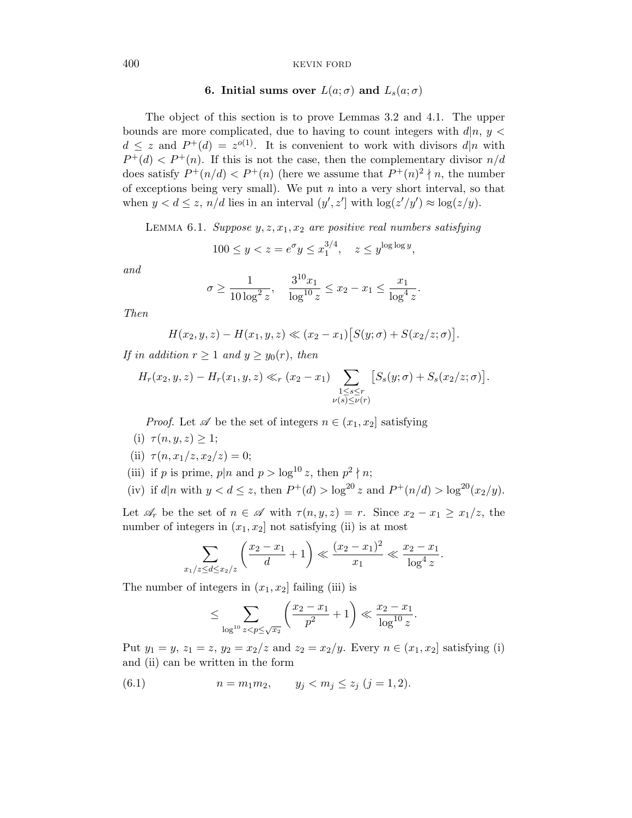# 6. Initial sums over  $L(a; \sigma)$  and  $L_s(a; \sigma)$

The object of this section is to prove Lemmas 3.2 and 4.1. The upper bounds are more complicated, due to having to count integers with  $d|n, y$  $d \leq z$  and  $P^+(d) = z^{o(1)}$ . It is convenient to work with divisors  $d|n$  with  $P^+(d) < P^+(n)$ . If this is not the case, then the complementary divisor  $n/d$ does satisfy  $P^+(n/d) < P^+(n)$  (here we assume that  $P^+(n)^2 \nmid n$ , the number of exceptions being very small). We put  $n$  into a very short interval, so that when  $y < d \leq z$ ,  $n/d$  lies in an interval  $(y', z')$  with  $\log(z'/y') \approx \log(z/y)$ .

LEMMA 6.1. Suppose  $y, z, x_1, x_2$  are positive real numbers satisfying

$$
100 \le y < z = e^{\sigma} y \le x_1^{3/4}, \quad z \le y^{\log \log y},
$$

and

$$
\sigma \ge \frac{1}{10 \log^2 z}, \quad \frac{3^{10} x_1}{\log^{10} z} \le x_2 - x_1 \le \frac{x_1}{\log^4 z}.
$$

Then

$$
H(x_2, y, z) - H(x_1, y, z) \ll (x_2 - x_1) [S(y; \sigma) + S(x_2/z; \sigma)].
$$

If in addition  $r \geq 1$  and  $y \geq y_0(r)$ , then

$$
H_r(x_2, y, z) - H_r(x_1, y, z) \ll_r (x_2 - x_1) \sum_{\substack{1 \le s \le r \\ \nu(s) \le \nu(r)}} [S_s(y; \sigma) + S_s(x_2/z; \sigma)].
$$

*Proof.* Let  $\mathscr A$  be the set of integers  $n \in (x_1, x_2]$  satisfying

(i)  $\tau(n, y, z) \geq 1$ ;

(ii) 
$$
\tau(n, x_1/z, x_2/z) = 0;
$$

- (iii) if p is prime,  $p|n$  and  $p > log^{10} z$ , then  $p^2 \nmid n$ ;
- (iv) if  $d|n$  with  $y < d \le z$ , then  $P^+(d) > \log^{20} z$  and  $P^+(n/d) > \log^{20} (x_2/y)$ .

Let  $\mathscr{A}_r$  be the set of  $n \in \mathscr{A}$  with  $\tau(n, y, z) = r$ . Since  $x_2 - x_1 \geq x_1/z$ , the number of integers in  $(x_1, x_2]$  not satisfying (ii) is at most

$$
\sum_{x_1/z \le d \le x_2/z} \left( \frac{x_2 - x_1}{d} + 1 \right) \ll \frac{(x_2 - x_1)^2}{x_1} \ll \frac{x_2 - x_1}{\log^4 z}.
$$

The number of integers in  $(x_1, x_2]$  failing (iii) is

$$
\leq \sum_{\log^{10} z < p \leq \sqrt{x_2}} \left( \frac{x_2 - x_1}{p^2} + 1 \right) \ll \frac{x_2 - x_1}{\log^{10} z}.
$$

Put  $y_1 = y, z_1 = z, y_2 = x_2/z$  and  $z_2 = x_2/y$ . Every  $n \in (x_1, x_2]$  satisfying (i) and (ii) can be written in the form

(6.1) 
$$
n = m_1 m_2
$$
,  $y_j < m_j \le z_j$   $(j = 1, 2)$ .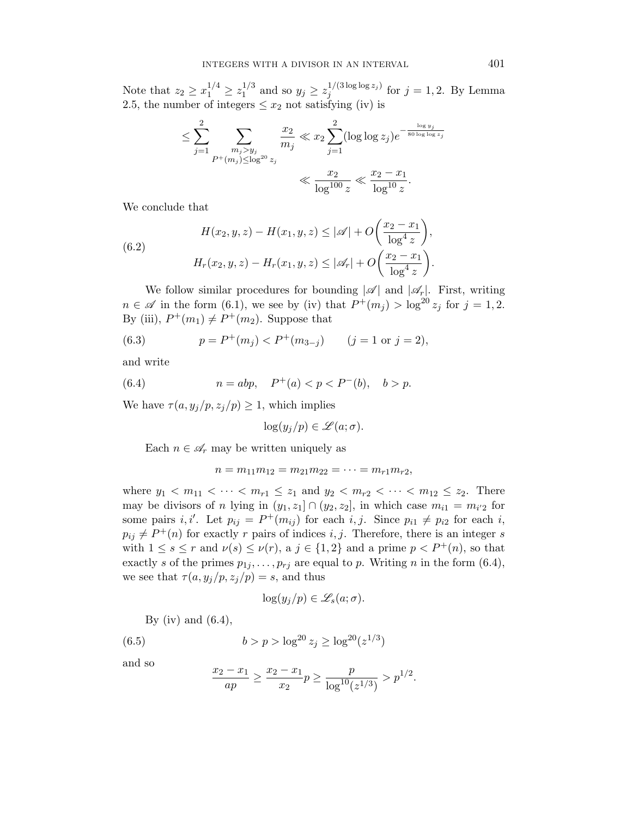Note that  $z_2 \ge x_1^{1/4} \ge z_1^{1/3}$  $j_1^{1/3}$  and so  $y_j \geq z_j^{1/(3\log\log z_j)}$  $j_j^{1/(3 \log \log z_j)}$  for  $j = 1, 2$ . By Lemma 2.5, the number of integers  $\leq x_2$  not satisfying (iv) is

$$
\leq \sum_{j=1}^{2} \sum_{\substack{m_j > y_j \\ P^+(m_j) \leq \log^{20} z_j}} \frac{x_2}{m_j} \ll x_2 \sum_{j=1}^{2} (\log \log z_j) e^{-\frac{\log y_j}{80 \log \log z_j}} \ll \frac{x_2 - x_1}{\log^{10} z}.
$$

We conclude that

(6.2) 
$$
H(x_2, y, z) - H(x_1, y, z) \le |\mathscr{A}| + O\left(\frac{x_2 - x_1}{\log^4 z}\right),
$$

$$
H_r(x_2, y, z) - H_r(x_1, y, z) \le |\mathscr{A}_r| + O\left(\frac{x_2 - x_1}{\log^4 z}\right).
$$

We follow similar procedures for bounding  $|\mathscr{A}|$  and  $|\mathscr{A}_r|$ . First, writing  $n \in \mathscr{A}$  in the form (6.1), we see by (iv) that  $P^+(m_j) > \log^{20} z_j$  for  $j = 1, 2$ . By (iii),  $P^+(m_1) \neq P^+(m_2)$ . Suppose that

(6.3) 
$$
p = P^{+}(m_{j}) < P^{+}(m_{3-j}) \qquad (j = 1 \text{ or } j = 2),
$$

and write

(6.4) 
$$
n = abp
$$
,  $P^+(a) < p < P^-(b)$ ,  $b > p$ .

We have  $\tau(a, y_j/p, z_j/p) \geq 1$ , which implies

$$
\log(y_j/p) \in \mathcal{L}(a;\sigma).
$$

Each  $n \in \mathcal{A}_r$  may be written uniquely as

$$
n = m_{11}m_{12} = m_{21}m_{22} = \cdots = m_{r1}m_{r2},
$$

where  $y_1 < m_{11} < \cdots < m_{r1} \le z_1$  and  $y_2 < m_{r2} < \cdots < m_{12} \le z_2$ . There may be divisors of n lying in  $(y_1, z_1] \cap (y_2, z_2]$ , in which case  $m_{i1} = m_{i2}$  for some pairs i, i'. Let  $p_{ij} = P^+(m_{ij})$  for each i, j. Since  $p_{i1} \neq p_{i2}$  for each i,  $p_{ij} \neq P^+(n)$  for exactly r pairs of indices i, j. Therefore, there is an integer s with  $1 \leq s \leq r$  and  $\nu(s) \leq \nu(r)$ , a  $j \in \{1,2\}$  and a prime  $p < P^+(n)$ , so that exactly s of the primes  $p_1, \ldots, p_{rj}$  are equal to p. Writing n in the form (6.4), we see that  $\tau(a, y_j/p, z_j/p) = s$ , and thus

$$
\log(y_j/p) \in \mathscr{L}_s(a;\sigma).
$$

By (iv) and  $(6.4)$ ,

(6.5) 
$$
b > p > \log^{20} z_j \ge \log^{20} (z^{1/3})
$$

and so

$$
\frac{x_2 - x_1}{ap} \ge \frac{x_2 - x_1}{x_2} p \ge \frac{p}{\log^{10}(z^{1/3})} > p^{1/2}.
$$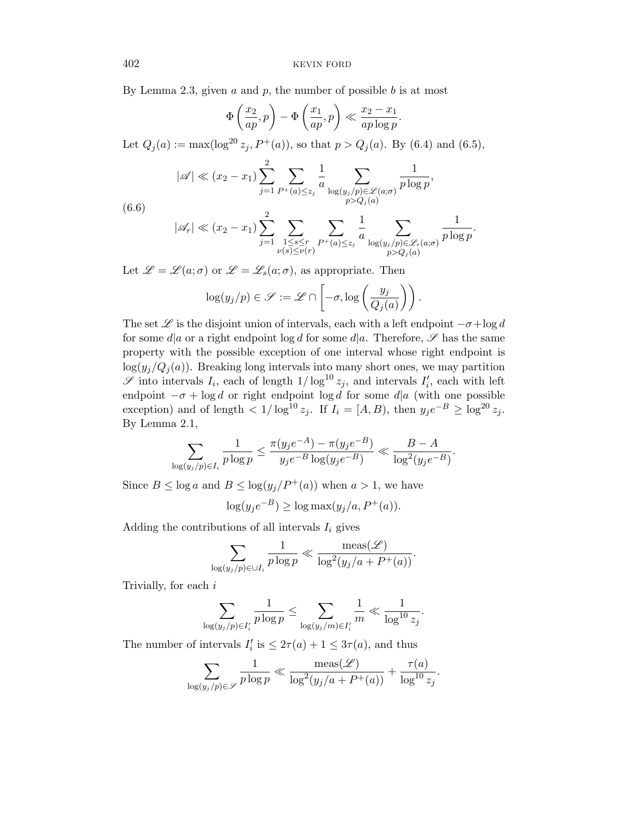By Lemma 2.3, given  $a$  and  $p$ , the number of possible  $b$  is at most

$$
\Phi\left(\frac{x_2}{ap},p\right) - \Phi\left(\frac{x_1}{ap},p\right) \ll \frac{x_2 - x_1}{ap \log p}.
$$

Let  $Q_j(a) := \max(\log^{20} z_j, P^+(a))$ , so that  $p > Q_j(a)$ . By (6.4) and (6.5),

$$
|\mathscr{A}| \ll (x_2 - x_1) \sum_{j=1}^2 \sum_{P^+(a) \le z_j} \frac{1}{a} \sum_{\substack{\log(y_j/p) \in \mathscr{L}(a; \sigma) \\ p > Q_j(a)}} \frac{1}{p \log p},
$$

$$
^{(0.0)}
$$

$$
|\mathscr{A}_r| \ll (x_2 - x_1) \sum_{j=1}^2 \sum_{\substack{1 \le s \le r \\ \nu(s) \le \nu(r)}} \sum_{P^+(a) \le z_j} \frac{1}{a} \sum_{\substack{\log(y_j/p) \in \mathscr{L}_s(a; \sigma) \\ p > Q_j(a)}} \frac{1}{p \log p}.
$$

Let  $\mathscr{L} = \mathscr{L}(a; \sigma)$  or  $\mathscr{L} = \mathscr{L}_s(a; \sigma)$ , as appropriate. Then

$$
\log(y_j/p) \in \mathscr{S} := \mathscr{L} \cap \left[ -\sigma, \log\left( \frac{y_j}{Q_j(a)} \right) \right).
$$

The set  $\mathscr L$  is the disjoint union of intervals, each with a left endpoint  $-\sigma + \log d$ for some  $d|a$  or a right endpoint log d for some  $d|a$ . Therefore,  $\mathscr S$  has the same property with the possible exception of one interval whose right endpoint is  $\log(y_i/Q_i(a))$ . Breaking long intervals into many short ones, we may partition  $\mathscr S$  into intervals  $I_i$ , each of length  $1/\log^{10} z_j$ , and intervals  $I'_i$ , each with left endpoint  $-\sigma + \log d$  or right endpoint  $\log d$  for some  $d|a$  (with one possible exception) and of length  $\langle 1/\log^{10} z_j$ . If  $I_i = [A, B)$ , then  $y_j e^{-B} \ge \log^{20} z_j$ . By Lemma 2.1,

$$
\sum_{\log(y_j/p)\in I_i} \frac{1}{p\log p} \le \frac{\pi(y_j e^{-A}) - \pi(y_j e^{-B})}{y_j e^{-B} \log(y_j e^{-B})} \ll \frac{B-A}{\log^2(y_j e^{-B})}.
$$

Since  $B \le \log a$  and  $B \le \log(y_i/P^+(a))$  when  $a > 1$ , we have

$$
\log(y_j e^{-B}) \ge \log \max(y_j/a, P^+(a)).
$$

Adding the contributions of all intervals  $I_i$  gives

$$
\sum_{\log(y_j/p)\in \cup I_i} \frac{1}{p\log p} \ll \frac{\text{meas}(\mathscr{L})}{\log^2(y_j/a + P^+(a))}.
$$

Trivially, for each i

$$
\sum_{\log(y_j/p)\in I_i'}\frac{1}{p\log p}\leq \sum_{\log(y_j/m)\in I_i'}\frac{1}{m}\ll \frac{1}{\log^{10}z_j}.
$$

The number of intervals  $I'_i$  is  $\leq 2\tau(a) + 1 \leq 3\tau(a)$ , and thus

$$
\sum_{\log(y_j/p)\in\mathscr{S}}\frac{1}{p\log p}\ll \frac{\operatorname{meas}(\mathscr{L})}{\log^2(y_j/a+P^+(a))}+\frac{\tau(a)}{\log^{10}z_j}.
$$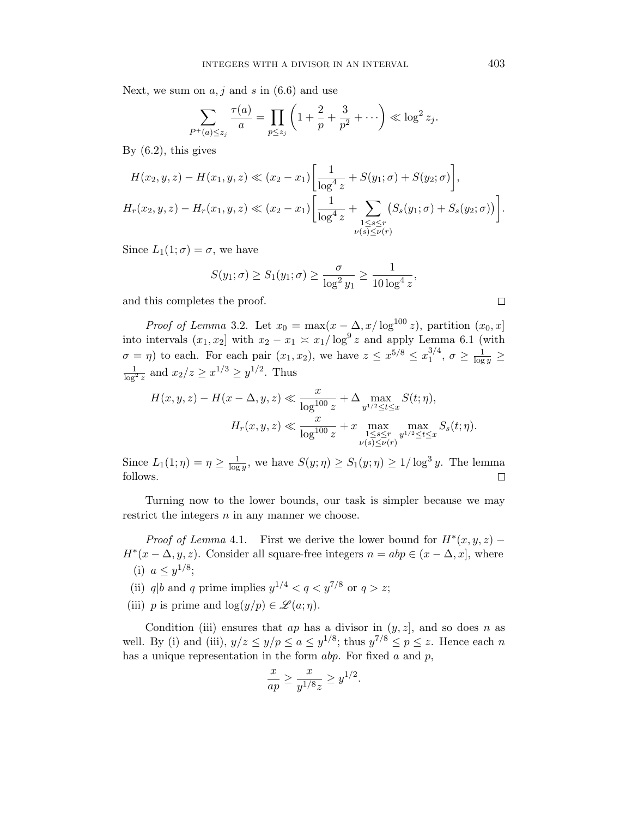Next, we sum on  $a, j$  and s in  $(6.6)$  and use

$$
\sum_{P^+(a)\leq z_j} \frac{\tau(a)}{a} = \prod_{p\leq z_j} \left(1 + \frac{2}{p} + \frac{3}{p^2} + \cdots \right) \ll \log^2 z_j.
$$

By  $(6.2)$ , this gives

$$
H(x_2, y, z) - H(x_1, y, z) \ll (x_2 - x_1) \left[ \frac{1}{\log^4 z} + S(y_1; \sigma) + S(y_2; \sigma) \right],
$$
  

$$
H_r(x_2, y, z) - H_r(x_1, y, z) \ll (x_2 - x_1) \left[ \frac{1}{\log^4 z} + \sum_{\substack{1 \le s \le r \\ \nu(s) \le \nu(r)}} (S_s(y_1; \sigma) + S_s(y_2; \sigma)) \right].
$$

Since  $L_1(1;\sigma) = \sigma$ , we have

$$
S(y_1; \sigma) \ge S_1(y_1; \sigma) \ge \frac{\sigma}{\log^2 y_1} \ge \frac{1}{10 \log^4 z},
$$

and this completes the proof.

*Proof of Lemma* 3.2. Let  $x_0 = \max(x - \Delta, x/\log^{100} z)$ , partition  $(x_0, x]$ into intervals  $(x_1, x_2]$  with  $x_2 - x_1 \asymp x_1/\log^9 z$  and apply Lemma 6.1 (with  $\sigma = \eta$ ) to each. For each pair  $(x_1, x_2)$ , we have  $z \leq x^{5/8} \leq x_1^{3/4}$  $_1^{3/4},\,\sigma\geq\frac{1}{\log y}\geq$  $\frac{1}{\log^2 z}$  and  $x_2/z \geq x^{1/3} \geq y^{1/2}$ . Thus

$$
H(x, y, z) - H(x - \Delta, y, z) \ll \frac{x}{\log^{100} z} + \Delta \max_{y^{1/2} \le t \le x} S(t; \eta),
$$
  

$$
H_r(x, y, z) \ll \frac{x}{\log^{100} z} + x \max_{\substack{1 \le s \le r \\ \nu(s) \le \nu(r)}} \max_{y^{1/2} \le t \le x} S_s(t; \eta).
$$

Since  $L_1(1;\eta) = \eta \geq \frac{1}{\log n}$  $\frac{1}{\log y}$ , we have  $S(y; \eta) \geq S_1(y; \eta) \geq 1/\log^3 y$ . The lemma follows.  $\Box$ 

Turning now to the lower bounds, our task is simpler because we may restrict the integers  $n$  in any manner we choose.

*Proof of Lemma* 4.1. First we derive the lower bound for  $H^*(x, y, z)$  –  $H^*(x - \Delta, y, z)$ . Consider all square-free integers  $n = abp \in (x - \Delta, x]$ , where (i)  $a \leq y^{1/8}$ ;

(ii) q|b and q prime implies  $y^{1/4} < q < y^{7/8}$  or  $q > z$ ;

(iii) p is prime and  $\log(y/p) \in \mathscr{L}(a;\eta)$ .

Condition (iii) ensures that  $ap$  has a divisor in  $(y, z]$ , and so does n as well. By (i) and (iii),  $y/z \le y/p \le a \le y^{1/8}$ ; thus  $y^{7/8} \le p \le z$ . Hence each n has a unique representation in the form  $abp$ . For fixed a and  $p$ ,

$$
\frac{x}{ap} \ge \frac{x}{y^{1/8}z} \ge y^{1/2}.
$$

 $\Box$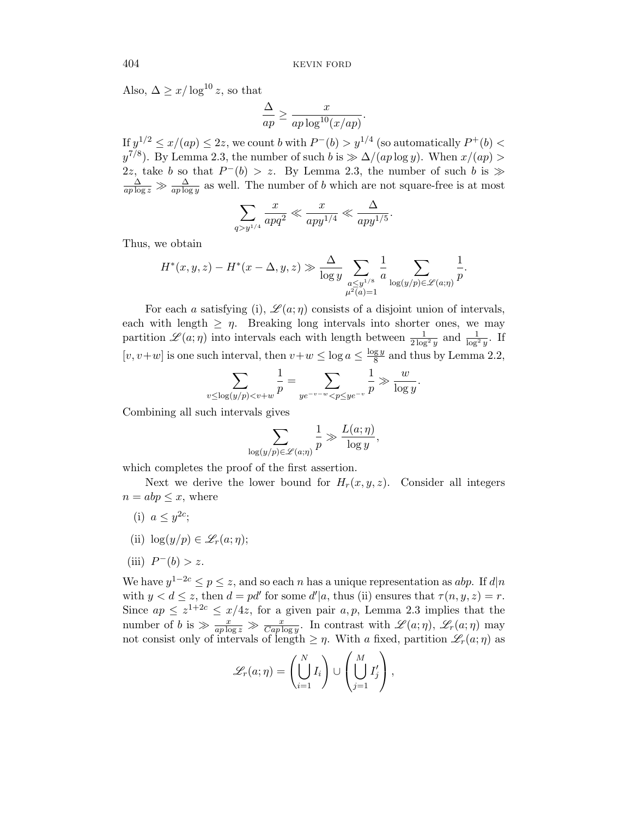.

.

,

Also,  $\Delta \geq x/\log^{10} z$ , so that

$$
\frac{\Delta}{ap} \ge \frac{x}{ap \log^{10}(x/ap)}
$$

If  $y^{1/2} \leq x/(ap) \leq 2z$ , we count b with  $P^{-}(b) > y^{1/4}$  (so automatically  $P^{+}(b) <$  $y^{7/8}$ ). By Lemma 2.3, the number of such b is  $\gg \Delta/(ap \log y)$ . When  $x/(ap) >$ 2z, take b so that  $P^-(b) > z$ . By Lemma 2.3, the number of such b is  $\gg$  $\frac{\Delta}{ap \log z} \gg \frac{\Delta}{ap \log y}$  as well. The number of b which are not square-free is at most

$$
\sum_{q>y^{1/4}} \frac{x}{apq^2} \ll \frac{x}{app^{1/4}} \ll \frac{\Delta}{app^{1/5}}
$$

Thus, we obtain

$$
H^*(x, y, z) - H^*(x - \Delta, y, z) \gg \frac{\Delta}{\log y} \sum_{\substack{a \le y^{1/8} \\ \mu^2(a) = 1}} \frac{1}{a} \sum_{\log(y/p) \in \mathcal{L}(a; \eta)} \frac{1}{p}.
$$

For each a satisfying (i),  $\mathscr{L}(a;\eta)$  consists of a disjoint union of intervals, each with length  $\geq \eta$ . Breaking long intervals into shorter ones, we may partition  $\mathscr{L}(a;\eta)$  into intervals each with length between  $\frac{1}{2\log^2 y}$  and  $\frac{1}{\log^2 y}$ . If  $[v, v+w]$  is one such interval, then  $v+w \leq \log a \leq \frac{\log y}{8}$  $\frac{g y}{8}$  and thus by Lemma 2.2,

$$
\sum_{v \le \log(y/p) < v + w} \frac{1}{p} = \sum_{y e^{-v - w} < p \le y e^{-v}} \frac{1}{p} \gg \frac{w}{\log y}.
$$

Combining all such intervals gives

$$
\sum_{\log(y/p)\in\mathscr{L}(a;\eta)}\frac{1}{p}\gg\frac{L(a;\eta)}{\log y}
$$

which completes the proof of the first assertion.

Next we derive the lower bound for  $H_r(x, y, z)$ . Consider all integers  $n = abp \leq x$ , where

- (i)  $a \leq y^{2c}$ ;
- (ii)  $\log(y/p) \in \mathscr{L}_r(a;\eta);$
- (iii)  $P^-(b) > z$ .

We have  $y^{1-2c} \leq p \leq z$ , and so each n has a unique representation as abp. If  $d|n$ with  $y < d \le z$ , then  $d = pd'$  for some  $d'|a$ , thus (ii) ensures that  $\tau(n, y, z) = r$ . Since  $ap \leq z^{1+2c} \leq x/4z$ , for a given pair  $a, p$ , Lemma 2.3 implies that the number of b is  $\gg \frac{x}{ap \log z} \gg \frac{x}{Cap \log y}$ . In contrast with  $\mathscr{L}(a;\eta)$ ,  $\mathscr{L}_r(a;\eta)$  may not consist only of intervals of length  $\geq \eta$ . With a fixed, partition  $\mathscr{L}_r(a;\eta)$  as

$$
\mathscr{L}_r(a;\eta) = \left(\bigcup_{i=1}^N I_i\right) \cup \left(\bigcup_{j=1}^M I'_j\right),\,
$$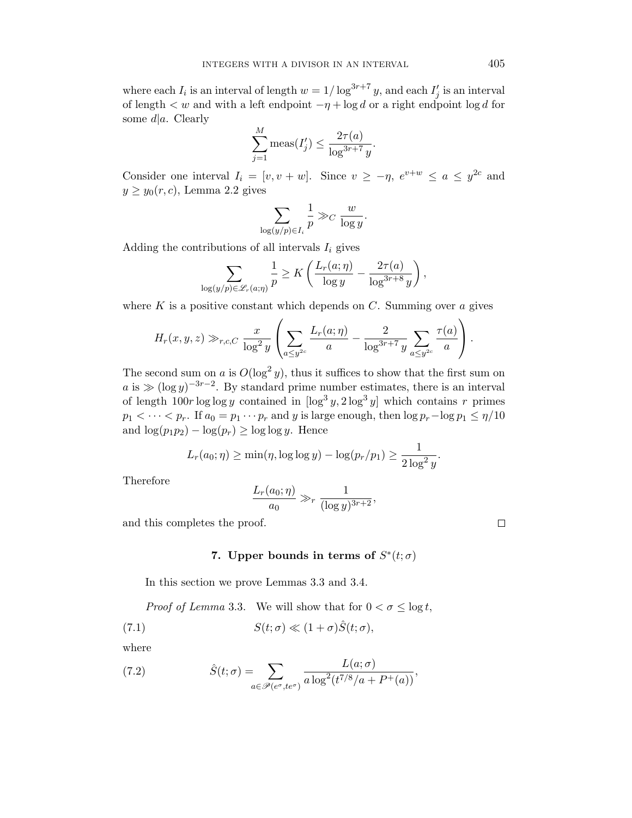where each  $I_i$  is an interval of length  $w = 1/\log^{3r+7} y$ , and each  $I'_j$  is an interval of length  $\lt w$  and with a left endpoint  $-\eta + \log d$  or a right endpoint  $\log d$  for some  $d|a$ . Clearly M

$$
\sum_{j=1}^{M} \text{meas}(I'_j) \le \frac{2\tau(a)}{\log^{3r+7} y}.
$$

Consider one interval  $I_i = [v, v + w]$ . Since  $v \ge -\eta$ ,  $e^{v+w} \le a \le y^{2c}$  and  $y \geq y_0(r, c)$ , Lemma 2.2 gives

$$
\sum_{\log(y/p)\in I_i}\frac{1}{p}\gg_C\frac{w}{\log y}.
$$

Adding the contributions of all intervals  $I_i$  gives

$$
\sum_{\log(y/p)\in\mathscr{L}_r(a;\eta)}\frac{1}{p}\geq K\left(\frac{L_r(a;\eta)}{\log y}-\frac{2\tau(a)}{\log^{3r+8}y}\right),\,
$$

where  $K$  is a positive constant which depends on  $C$ . Summing over  $a$  gives

$$
H_r(x,y,z) \gg_{r,c,C} \frac{x}{\log^2 y} \left( \sum_{a \leq y^{2c}} \frac{L_r(a;\eta)}{a} - \frac{2}{\log^{3r+7} y} \sum_{a \leq y^{2c}} \frac{\tau(a)}{a} \right).
$$

The second sum on a is  $O(\log^2 y)$ , thus it suffices to show that the first sum on  $a$  is  $\gg (\log y)^{-3r-2}$ . By standard prime number estimates, there is an interval of length  $100r \log \log y$  contained in  $[\log^3 y, 2 \log^3 y]$  which contains r primes  $p_1 < \cdots < p_r$ . If  $a_0 = p_1 \cdots p_r$  and y is large enough, then  $\log p_r - \log p_1 \leq \eta/10$ and  $\log(p_1p_2) - \log(p_r) \ge \log \log y$ . Hence

$$
L_r(a_0; \eta) \ge \min(\eta, \log \log y) - \log(p_r/p_1) \ge \frac{1}{2\log^2 y}.
$$

Therefore

$$
\frac{L_r(a_0;\eta)}{a_0}\gg_r \frac{1}{(\log y)^{3r+2}},
$$

and this completes the proof.

# 7. Upper bounds in terms of  $S^*(t; \sigma)$

In this section we prove Lemmas 3.3 and 3.4.

*Proof of Lemma* 3.3. We will show that for  $0 < \sigma \leq \log t$ ,

(7.1) 
$$
S(t; \sigma) \ll (1 + \sigma) \hat{S}(t; \sigma),
$$

where

(7.2) 
$$
\hat{S}(t;\sigma) = \sum_{a \in \mathscr{P}(e^{\sigma},te^{\sigma})} \frac{L(a;\sigma)}{a \log^2(t^{7/8}/a + P^+(a))},
$$

 $\Box$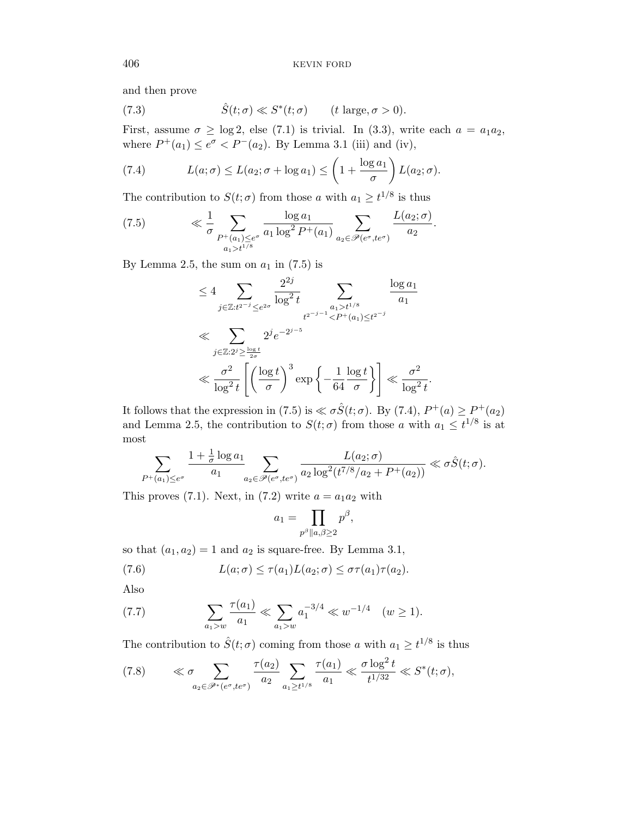and then prove

(7.3) 
$$
\hat{S}(t; \sigma) \ll S^*(t; \sigma) \qquad (t \text{ large}, \sigma > 0).
$$

First, assume  $\sigma \ge \log 2$ , else (7.1) is trivial. In (3.3), write each  $a = a_1 a_2$ , where  $P^+(a_1) \leq e^{\sigma} < P^-(a_2)$ . By Lemma 3.1 (iii) and (iv),

(7.4) 
$$
L(a; \sigma) \le L(a_2; \sigma + \log a_1) \le \left(1 + \frac{\log a_1}{\sigma}\right) L(a_2; \sigma).
$$

The contribution to  $S(t; \sigma)$  from those a with  $a_1 \geq t^{1/8}$  is thus

(7.5) 
$$
\ll \frac{1}{\sigma} \sum_{\substack{P^+(a_1)\leq e^{\sigma} \\ a_1 > t^{1/8}}} \frac{\log a_1}{a_1 \log^2 P^+(a_1)} \sum_{a_2 \in \mathscr{P}(e^{\sigma}, te^{\sigma})} \frac{L(a_2; \sigma)}{a_2}.
$$

By Lemma 2.5, the sum on  $a_1$  in (7.5) is

$$
\leq 4 \sum_{j \in \mathbb{Z}: t^{2^{-j}} \leq e^{2\sigma}} \frac{2^{2j}}{\log^2 t} \sum_{\substack{a_1 > t^{1/8} \\ t^{2^{-j-1}} < P^+(a_1) \leq t^{2^{-j}}}} \frac{\log a_1}{a_1}
$$
\n
$$
\ll \sum_{j \in \mathbb{Z}: 2^j \geq \frac{\log t}{2\sigma}} 2^j e^{-2^{j-5}}
$$
\n
$$
\ll \frac{\sigma^2}{\log^2 t} \left[ \left( \frac{\log t}{\sigma} \right)^3 \exp \left\{ -\frac{1}{64} \frac{\log t}{\sigma} \right\} \right] \ll \frac{\sigma^2}{\log^2 t}
$$

It follows that the expression in (7.5) is  $\ll \sigma \hat{S}(t; \sigma)$ . By (7.4),  $P^+(a) \ge P^+(a_2)$ and Lemma 2.5, the contribution to  $S(t; \sigma)$  from those a with  $a_1 \leq t^{1/8}$  is at most

.

$$
\sum_{P^+(a_1)\leq e^{\sigma}}\frac{1+\frac{1}{\sigma}\log a_1}{a_1}\sum_{a_2\in\mathscr{P}(e^{\sigma},te^{\sigma})}\frac{L(a_2;\sigma)}{a_2\log^2(t^{7/8}/a_2+P^+(a_2))}\ll\sigma\hat{S}(t;\sigma).
$$

This proves (7.1). Next, in (7.2) write  $a = a_1 a_2$  with

$$
a_1 = \prod_{p^{\beta} || a, \beta \geq 2} p^{\beta},
$$

so that  $(a_1, a_2) = 1$  and  $a_2$  is square-free. By Lemma 3.1,

(7.6) 
$$
L(a; \sigma) \leq \tau(a_1) L(a_2; \sigma) \leq \sigma \tau(a_1) \tau(a_2).
$$

Also

(7.7) 
$$
\sum_{a_1 > w} \frac{\tau(a_1)}{a_1} \ll \sum_{a_1 > w} a_1^{-3/4} \ll w^{-1/4} \quad (w \ge 1).
$$

The contribution to  $\hat{S}(t; \sigma)$  coming from those a with  $a_1 \geq t^{1/8}$  is thus

(7.8) 
$$
\ll \sigma \sum_{a_2 \in \mathscr{P}^*(e^{\sigma}, te^{\sigma})} \frac{\tau(a_2)}{a_2} \sum_{a_1 \ge t^{1/8}} \frac{\tau(a_1)}{a_1} \ll \frac{\sigma \log^2 t}{t^{1/32}} \ll S^*(t; \sigma),
$$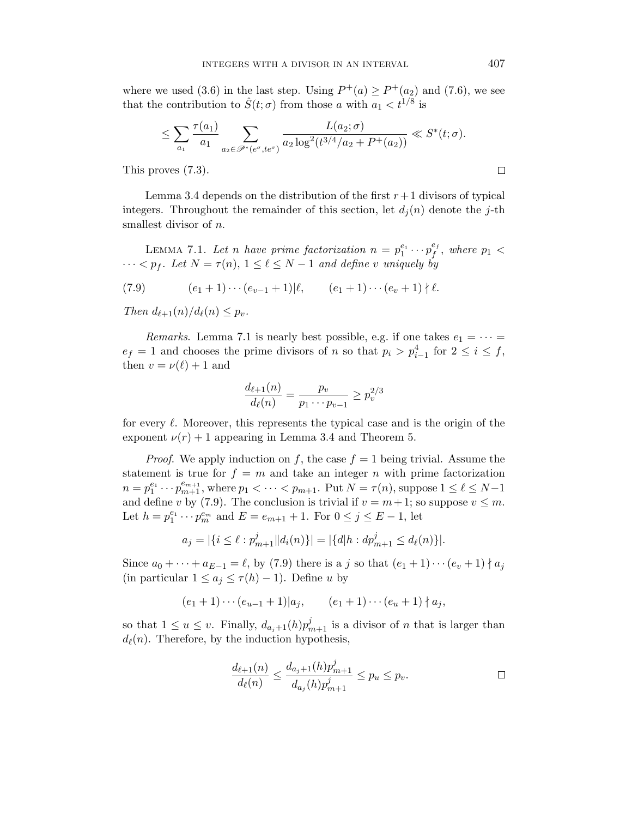where we used (3.6) in the last step. Using  $P^+(a) \ge P^+(a_2)$  and (7.6), we see that the contribution to  $\hat{S}(t; \sigma)$  from those a with  $a_1 < t^{1/8}$  is

$$
\leq \sum_{a_1} \frac{\tau(a_1)}{a_1} \sum_{a_2 \in \mathscr{P}^*(e^{\sigma}, te^{\sigma})} \frac{L(a_2; \sigma)}{a_2 \log^2(t^{3/4}/a_2 + P^+(a_2))} \ll S^*(t; \sigma).
$$

This proves (7.3).

Lemma 3.4 depends on the distribution of the first  $r+1$  divisors of typical integers. Throughout the remainder of this section, let  $d_i(n)$  denote the j-th smallest divisor of *n*.

LEMMA 7.1. Let n have prime factorization  $n = p_1^{e_1} \cdots p_f^{e_f}$  $_{f}^{e_{f}},$  where  $p_{1}$   $<$  $\cdots < p_f$ . Let  $N = \tau(n)$ ,  $1 \leq \ell \leq N-1$  and define v uniquely by

(7.9) 
$$
(e_1 + 1) \cdots (e_{v-1} + 1) | \ell, \qquad (e_1 + 1) \cdots (e_v + 1) | \ell.
$$

Then  $d_{\ell+1}(n)/d_{\ell}(n) \leq p_{\nu}$ .

Remarks. Lemma 7.1 is nearly best possible, e.g. if one takes  $e_1 = \cdots =$  $e_f = 1$  and chooses the prime divisors of n so that  $p_i > p_{i-1}^4$  for  $2 \le i \le f$ , then  $v = \nu(\ell) + 1$  and

$$
\frac{d_{\ell+1}(n)}{d_{\ell}(n)} = \frac{p_v}{p_1 \cdots p_{v-1}} \ge p_v^{2/3}
$$

for every  $\ell$ . Moreover, this represents the typical case and is the origin of the exponent  $\nu(r) + 1$  appearing in Lemma 3.4 and Theorem 5.

*Proof.* We apply induction on f, the case  $f = 1$  being trivial. Assume the statement is true for  $f = m$  and take an integer n with prime factorization  $n = p_1^{e_1} \cdots p_{m+1}^{e_{m+1}}$ , where  $p_1 < \cdots < p_{m+1}$ . Put  $N = \tau(n)$ , suppose  $1 \leq \ell \leq N-1$ and define v by (7.9). The conclusion is trivial if  $v = m + 1$ ; so suppose  $v \leq m$ . Let  $h = p_1^{e_1} \cdots p_m^{e_m}$  and  $E = e_{m+1} + 1$ . For  $0 \le j \le E - 1$ , let

$$
a_j = |\{i \le \ell : p_{m+1}^j || d_i(n)\}| = |\{d | h : d p_{m+1}^j \le d_\ell(n)\}|.
$$

Since  $a_0 + \cdots + a_{E-1} = \ell$ , by (7.9) there is a j so that  $(e_1 + 1) \cdots (e_v + 1) \nmid a_j$ (in particular  $1 \leq a_j \leq \tau(h) - 1$ ). Define u by

$$
(e_1 + 1) \cdots (e_{u-1} + 1)|a_j
$$
,  $(e_1 + 1) \cdots (e_u + 1) |a_j$ ,

so that  $1 \le u \le v$ . Finally,  $d_{a_j+1}(h)p_{m+1}^j$  is a divisor of n that is larger than  $d_{\ell}(n)$ . Therefore, by the induction hypothesis,

$$
\frac{d_{\ell+1}(n)}{d_{\ell}(n)} \le \frac{d_{a_j+1}(h)p_{m+1}^j}{d_{a_j}(h)p_{m+1}^j} \le p_u \le p_v.
$$

 $\Box$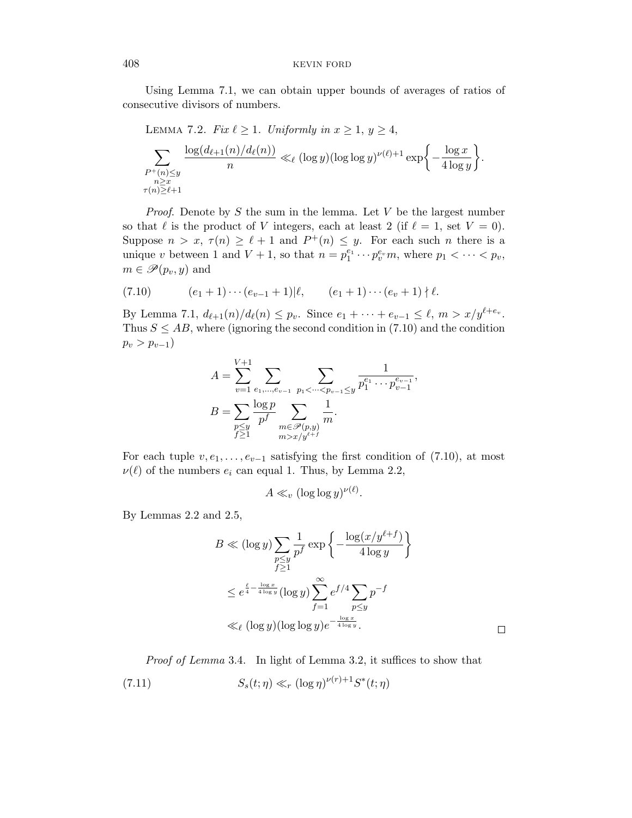Using Lemma 7.1, we can obtain upper bounds of averages of ratios of consecutive divisors of numbers.

LEMMA 7.2. Fix  $\ell \geq 1$ . Uniformly in  $x \geq 1$ ,  $y \geq 4$ ,  $\sum$  $P^+(n) \leq y$ n≥x  $\tau(n) \geq \ell+1$  $log(d_{\ell+1}(n)/d_{\ell}(n))$  $\frac{(n)/d_\ell(n))}{n} \ll_\ell (\log y)(\log \log y)^{\nu(\ell)+1} \exp \biggl\{-\frac{\log x}{4\log y}$  $4 \log y$  $\big\}$ .

*Proof.* Denote by  $S$  the sum in the lemma. Let  $V$  be the largest number so that  $\ell$  is the product of V integers, each at least 2 (if  $\ell = 1$ , set  $V = 0$ ). Suppose  $n > x$ ,  $\tau(n) \geq \ell + 1$  and  $P^+(n) \leq y$ . For each such *n* there is a unique v between 1 and  $V + 1$ , so that  $n = p_1^{e_1} \cdots p_v^{e_v} m$ , where  $p_1 < \cdots < p_v$ ,  $m \in \mathscr{P}(p_v, y)$  and

(7.10) 
$$
(e_1 + 1) \cdots (e_{v-1} + 1) | \ell, \qquad (e_1 + 1) \cdots (e_v + 1) | \ell.
$$

By Lemma 7.1,  $d_{\ell+1}(n)/d_{\ell}(n) \leq p_v$ . Since  $e_1 + \cdots + e_{v-1} \leq \ell, m > x/y^{\ell+e_v}$ . Thus  $S \leq AB$ , where (ignoring the second condition in (7.10) and the condition  $p_v > p_{v-1}$ 

$$
A = \sum_{v=1}^{V+1} \sum_{e_1, \dots, e_{v-1}} \sum_{\substack{p_1 < \dots < p_{v-1} \le y \\ p \le y}} \frac{1}{p_1^{e_1} \cdots p_{v-1}^{e_{v-1}}},
$$
  

$$
B = \sum_{\substack{p \le y \\ f \ge 1}} \frac{\log p}{p_f^f} \sum_{\substack{m \in \mathcal{P}(p,y) \\ m > x/y^{e+f}}} \frac{1}{m}.
$$

For each tuple  $v, e_1, \ldots, e_{v-1}$  satisfying the first condition of (7.10), at most  $\nu(\ell)$  of the numbers  $e_i$  can equal 1. Thus, by Lemma 2.2,

$$
A \ll_v (\log \log y)^{\nu(\ell)}
$$

By Lemmas 2.2 and 2.5,

$$
B \ll (\log y) \sum_{\substack{p \le y \\ f \ge 1}} \frac{1}{p^f} \exp \left\{-\frac{\log(x/y^{\ell+f})}{4 \log y}\right\}
$$
  

$$
\le e^{\frac{\ell}{4} - \frac{\log x}{4 \log y}} (\log y) \sum_{f=1}^{\infty} e^{f/4} \sum_{p \le y} p^{-f}
$$
  

$$
\ll_{\ell} (\log y) (\log \log y) e^{-\frac{\log x}{4 \log y}}.
$$

.

Proof of Lemma 3.4. In light of Lemma 3.2, it suffices to show that (7.11)  $S_s(t; \eta) \ll_r (\log \eta)^{\nu(r)+1} S^*(t; \eta)$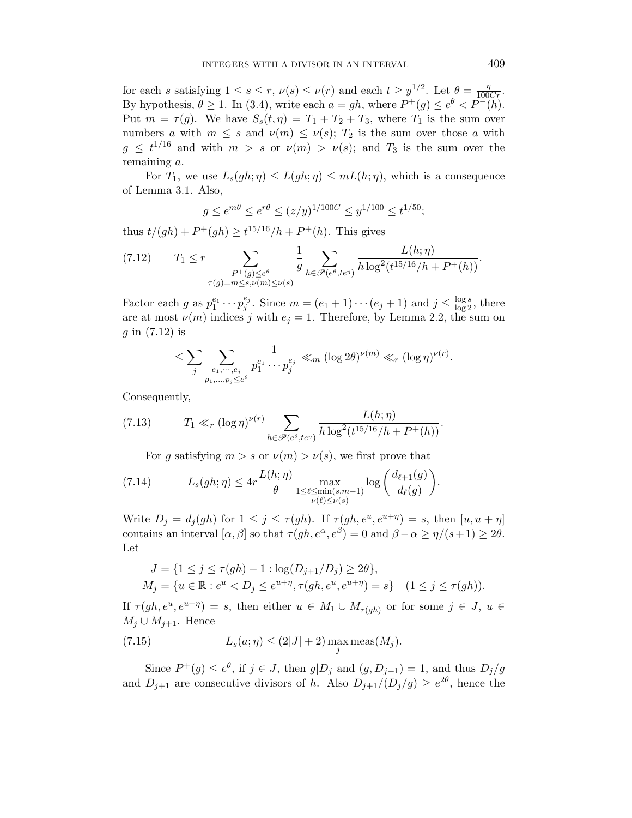for each s satisfying  $1 \leq s \leq r$ ,  $\nu(s) \leq \nu(r)$  and each  $t \geq y^{1/2}$ . Let  $\theta = \frac{\eta}{100Cr}$ . By hypothesis,  $\theta \ge 1$ . In (3.4), write each  $a = gh$ , where  $P^+(g) \le e^{\theta} < P^-(h)$ . Put  $m = \tau(g)$ . We have  $S_s(t, \eta) = T_1 + T_2 + T_3$ , where  $T_1$  is the sum over numbers a with  $m \leq s$  and  $\nu(m) \leq \nu(s)$ ;  $T_2$  is the sum over those a with  $g \leq t^{1/16}$  and with  $m > s$  or  $\nu(m) > \nu(s)$ ; and  $T_3$  is the sum over the remaining a.

For  $T_1$ , we use  $L_s(gh;\eta) \leq L(gh;\eta) \leq mL(h;\eta)$ , which is a consequence of Lemma 3.1. Also,

$$
g \le e^{m\theta} \le e^{r\theta} \le (z/y)^{1/100C} \le y^{1/100} \le t^{1/50};
$$

thus  $t/(gh) + P^+(gh) \ge t^{15/16}/h + P^+(h)$ . This gives

(7.12) 
$$
T_1 \leq r \sum_{\substack{P^+(g) \leq e^{\theta} \\ \tau(g) = m \leq s, \nu(m) \leq \nu(s)}} \frac{1}{g} \sum_{h \in \mathscr{P}(e^{\theta}, te^{\eta})} \frac{L(h; \eta)}{h \log^2(t^{15/16}/h + P^+(h))}.
$$

Factor each g as  $p_1^{e_1} \cdots p_j^{e_j}$  $j^e_j$ . Since  $m = (e_1 + 1) \cdots (e_j + 1)$  and  $j \le \frac{\log s}{\log 2}$ , there are at most  $\nu(m)$  indices j with  $e_j = 1$ . Therefore, by Lemma 2.2, the sum on  $g$  in  $(7.12)$  is

$$
\leq \sum_{j} \sum_{\substack{e_1,\cdots,e_j\\p_1,\ldots,p_j\leq e^{\theta}}} \frac{1}{p_1^{e_1}\cdots p_j^{e_j}} \ll_m (\log 2\theta)^{\nu(m)} \ll_r (\log \eta)^{\nu(r)}.
$$

Consequently,

(7.13) 
$$
T_1 \ll_r (\log \eta)^{\nu(r)} \sum_{h \in \mathscr{P}(e^{\theta}, te^{\eta})} \frac{L(h; \eta)}{h \log^2(t^{15/16}/h + P^+(h))}.
$$

For g satisfying  $m > s$  or  $\nu(m) > \nu(s)$ , we first prove that

(7.14) 
$$
L_s(gh;\eta) \leq 4r \frac{L(h;\eta)}{\theta} \max_{\substack{1 \leq \ell \leq \min(s,m-1) \\ \nu(\ell) \leq \nu(s)}} \log \left( \frac{d_{\ell+1}(g)}{d_{\ell}(g)} \right).
$$

Write  $D_j = d_j(gh)$  for  $1 \leq j \leq \tau(gh)$ . If  $\tau(gh, e^u, e^{u+\eta}) = s$ , then  $[u, u + \eta]$ contains an interval  $[\alpha, \beta]$  so that  $\tau(gh, e^{\alpha}, e^{\beta}) = 0$  and  $\beta - \alpha \geq \eta/(s+1) \geq 2\theta$ . Let

$$
J = \{1 \le j \le \tau(gh) - 1 : \log(D_{j+1}/D_j) \ge 2\theta\},\newline M_j = \{u \in \mathbb{R} : e^u < D_j \le e^{u+\eta}, \tau(gh, e^u, e^{u+\eta}) = s\} \quad (1 \le j \le \tau(gh)).
$$

If  $\tau(gh, e^u, e^{u+\eta}) = s$ , then either  $u \in M_1 \cup M_{\tau(gh)}$  or for some  $j \in J$ ,  $u \in$  $M_j \cup M_{j+1}$ . Hence

(7.15) 
$$
L_s(a; \eta) \le (2|J| + 2) \max_j \text{meas}(M_j).
$$

Since  $P^+(g) \leq e^{\theta}$ , if  $j \in J$ , then  $g|D_j$  and  $(g, D_{j+1}) = 1$ , and thus  $D_j/g$ and  $D_{j+1}$  are consecutive divisors of h. Also  $D_{j+1}/(D_j/g) \geq e^{2\theta}$ , hence the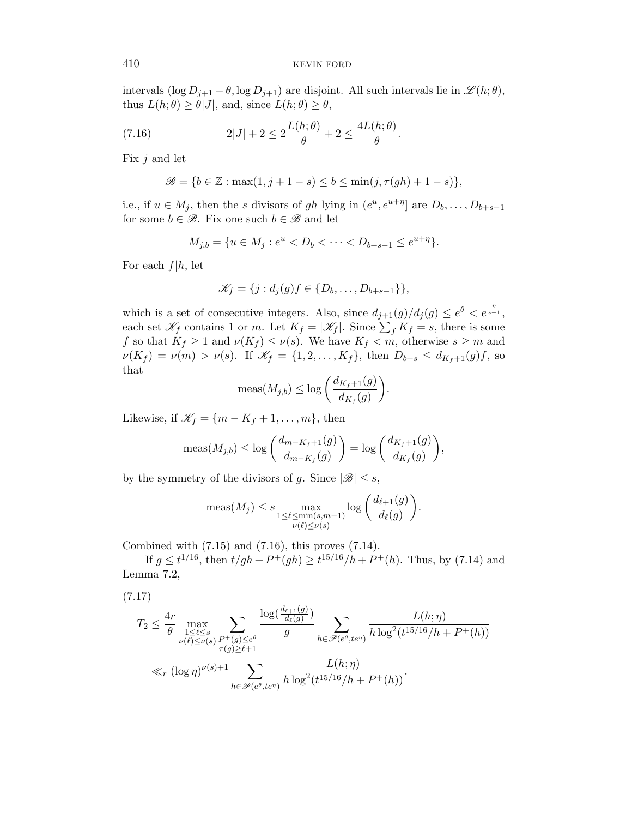intervals (log  $D_{j+1} - \theta$ , log  $D_{j+1}$ ) are disjoint. All such intervals lie in  $\mathscr{L}(h; \theta)$ , thus  $L(h; \theta) \ge \theta |J|$ , and, since  $L(h; \theta) \ge \theta$ ,

(7.16) 
$$
2|J| + 2 \le 2\frac{L(h;\theta)}{\theta} + 2 \le \frac{4L(h;\theta)}{\theta}.
$$

Fix  $j$  and let

$$
\mathscr{B} = \{b \in \mathbb{Z} : \max(1, j + 1 - s) \le b \le \min(j, \tau(gh) + 1 - s)\},\
$$

i.e., if  $u \in M_j$ , then the s divisors of gh lying in  $(e^u, e^{u+\eta})$  are  $D_b, \ldots, D_{b+s-1}$ for some  $b \in \mathcal{B}$ . Fix one such  $b \in \mathcal{B}$  and let

$$
M_{j,b} = \{ u \in M_j : e^u < D_b < \cdots < D_{b+s-1} \leq e^{u+\eta} \}.
$$

For each  $f|h$ , let

$$
\mathscr{K}_f = \{j : d_j(g)f \in \{D_b, \ldots, D_{b+s-1}\}\},\
$$

which is a set of consecutive integers. Also, since  $d_{j+1}(g)/d_j(g) \leq e^{\theta} < e^{\frac{\eta}{s+1}},$ each set  $\mathscr{K}_f$  contains 1 or m. Let  $K_f = |\mathscr{K}_f|$ . Since  $\sum_f K_f = s$ , there is some f so that  $K_f \geq 1$  and  $\nu(K_f) \leq \nu(s)$ . We have  $K_f < m$ , otherwise  $s \geq m$  and  $\nu(K_f) = \nu(m) > \nu(s)$ . If  $\mathscr{K}_f = \{1, 2, ..., K_f\}$ , then  $D_{b+s} \leq d_{K_f+1}(g)f$ , so that

$$
\operatorname{meas}(M_{j,b}) \le \log \left( \frac{d_{K_f+1}(g)}{d_{K_f}(g)} \right).
$$

Likewise, if  $\mathcal{K}_f = \{m - K_f + 1, \ldots, m\}$ , then

$$
\operatorname{meas}(M_{j,b}) \le \log\left(\frac{d_{m-K_f+1}(g)}{d_{m-K_f}(g)}\right) = \log\left(\frac{d_{K_f+1}(g)}{d_{K_f}(g)}\right),
$$

by the symmetry of the divisors of g. Since  $|\mathscr{B}| \leq s$ ,

$$
\operatorname{meas}(M_j) \le s \max_{\substack{1 \le \ell \le \min(s,m-1) \\ \nu(\ell) \le \nu(s)}} \log \left( \frac{d_{\ell+1}(g)}{d_{\ell}(g)} \right).
$$

Combined with (7.15) and (7.16), this proves (7.14).

If  $g \le t^{1/16}$ , then  $t/gh + P^+(gh) \ge t^{15/16}/h + P^+(h)$ . Thus, by (7.14) and Lemma 7.2,

$$
(7.17)
$$

$$
T_2 \leq \frac{4r}{\theta} \max_{\substack{1 \leq \ell \leq s \\ \nu(\ell) \leq \nu(s)}} \sum_{\substack{P^+(g) \leq e^{\theta} \\ \tau(g) \geq \ell+1}} \frac{\log(\frac{d_{\ell+1}(g)}{d_{\ell}(g)})}{g} \sum_{h \in \mathscr{P}(e^{\theta}, te^{\eta})} \frac{L(h; \eta)}{h \log^2(t^{15/16}/h + P^+(h))}
$$
  

$$
\ll_r (\log \eta)^{\nu(s)+1} \sum_{h \in \mathscr{P}(e^{\theta}, te^{\eta})} \frac{L(h; \eta)}{h \log^2(t^{15/16}/h + P^+(h))}.
$$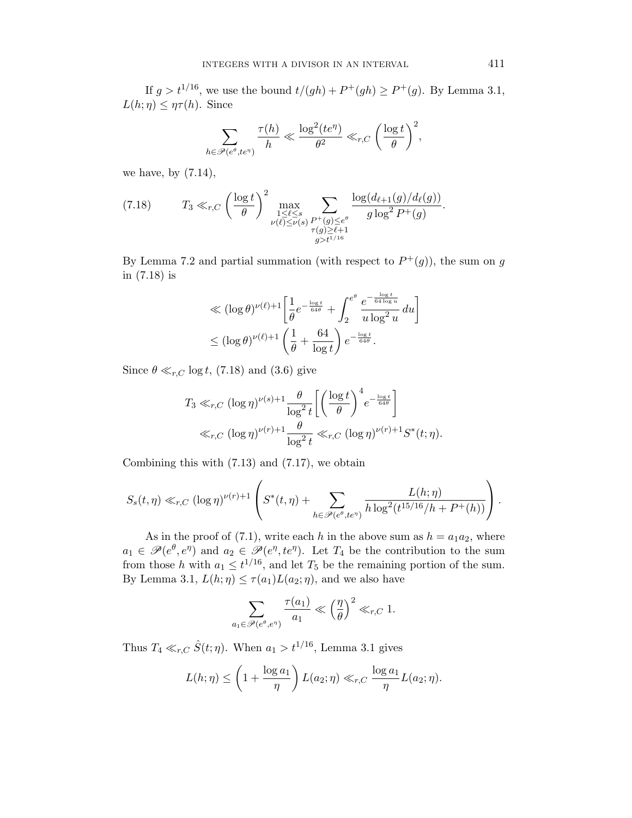If  $g > t^{1/16}$ , we use the bound  $t/(gh) + P^+(gh) \ge P^+(g)$ . By Lemma 3.1,  $L(h;\eta) \leq \eta \tau(h)$ . Since

$$
\sum_{h \in \mathscr{P}(e^{\theta}, te^{\eta})} \frac{\tau(h)}{h} \ll \frac{\log^2(te^{\eta})}{\theta^2} \ll_{r,C} \left(\frac{\log t}{\theta}\right)^2,
$$

we have, by  $(7.14)$ ,

(7.18) 
$$
T_3 \ll_{r,C} \left(\frac{\log t}{\theta}\right)^2 \max_{\substack{1 \leq \ell \leq s \\ \nu(\ell) \leq \nu(s)}} \sum_{\substack{P^+(g) \leq e^{\theta} \\ \tau(g) \geq \ell+1 \\ g > t^{1/16}}} \frac{\log(d_{\ell+1}(g)/d_{\ell}(g))}{g \log^2 P^+(g)}.
$$

By Lemma 7.2 and partial summation (with respect to  $P^+(g)$ ), the sum on g in (7.18) is

$$
\ll (\log \theta)^{\nu(\ell)+1} \left[ \frac{1}{\theta} e^{-\frac{\log t}{64\theta}} + \int_{2}^{e^{\theta}} \frac{e^{-\frac{\log t}{64\log u}}}{u \log^{2} u} du \right]
$$
  

$$
\leq (\log \theta)^{\nu(\ell)+1} \left( \frac{1}{\theta} + \frac{64}{\log t} \right) e^{-\frac{\log t}{64\theta}}.
$$

Since  $\theta \ll_{r,C} \log t$ , (7.18) and (3.6) give

$$
T_3 \ll_{r,C} (\log \eta)^{\nu(s)+1} \frac{\theta}{\log^2 t} \left[ \left( \frac{\log t}{\theta} \right)^4 e^{-\frac{\log t}{64\theta}} \right]
$$
  

$$
\ll_{r,C} (\log \eta)^{\nu(r)+1} \frac{\theta}{\log^2 t} \ll_{r,C} (\log \eta)^{\nu(r)+1} S^*(t;\eta).
$$

Combining this with  $(7.13)$  and  $(7.17)$ , we obtain

$$
S_s(t,\eta) \ll_{r,C} (\log \eta)^{\nu(r)+1} \left( S^*(t,\eta) + \sum_{h \in \mathscr{P}(e^{\theta},te^{\eta})} \frac{L(h;\eta)}{h \log^2(t^{15/16}/h + P^+(h))} \right).
$$

As in the proof of (7.1), write each h in the above sum as  $h = a_1 a_2$ , where  $a_1 \in \mathscr{P}(e^{\theta}, e^{\eta})$  and  $a_2 \in \mathscr{P}(e^{\eta}, te^{\eta})$ . Let  $T_4$  be the contribution to the sum from those h with  $a_1 \n\t\le t^{1/16}$ , and let  $T_5$  be the remaining portion of the sum. By Lemma 3.1,  $L(h; \eta) \leq \tau(a_1) L(a_2; \eta)$ , and we also have

$$
\sum_{a_1 \in \mathscr{P}(e^{\theta}, e^{\eta})} \frac{\tau(a_1)}{a_1} \ll \left(\frac{\eta}{\theta}\right)^2 \ll_{r, C} 1.
$$

Thus  $T_4 \ll_{r,C} \hat{S}(t; \eta)$ . When  $a_1 > t^{1/16}$ , Lemma 3.1 gives

$$
L(h; \eta) \le \left(1 + \frac{\log a_1}{\eta}\right) L(a_2; \eta) \ll_{r, C} \frac{\log a_1}{\eta} L(a_2; \eta).
$$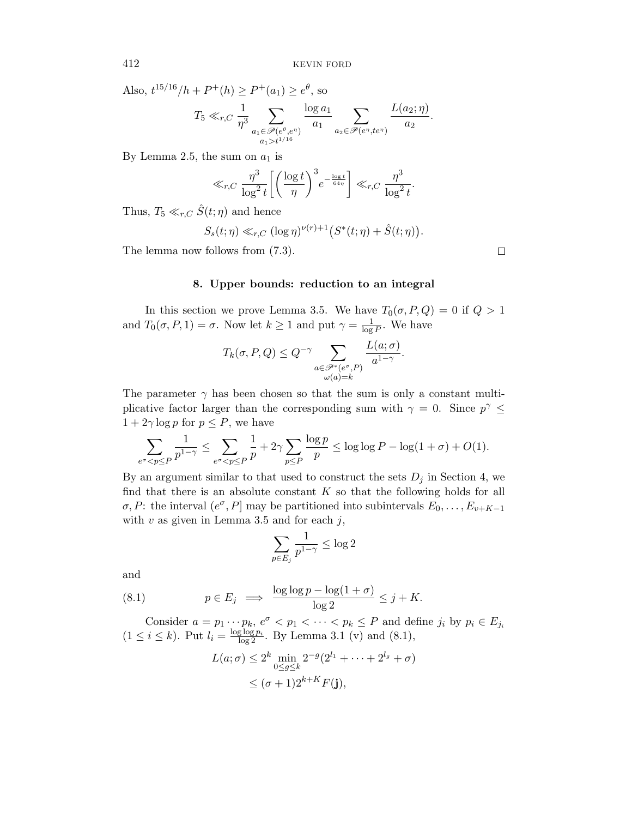Also,  $t^{15/16}/h + P^+(h) \ge P^+(a_1) \ge e^{\theta}$ , so

$$
T_5 \ll_{r,C} \frac{1}{\eta^3} \sum_{\substack{a_1 \in \mathcal{P}(e^{\theta}, e^{\eta}) \\ a_1 > t^{1/16}}} \frac{\log a_1}{a_1} \sum_{a_2 \in \mathcal{P}(e^{\eta}, te^{\eta})} \frac{L(a_2; \eta)}{a_2}
$$

By Lemma 2.5, the sum on  $a_1$  is

$$
\ll_{r,C} \frac{\eta^3}{\log^2 t} \left[ \left( \frac{\log t}{\eta} \right)^3 e^{-\frac{\log t}{64\eta}} \right] \ll_{r,C} \frac{\eta^3}{\log^2 t}.
$$

Thus,  $T_5 \ll_{r,C} \hat{S}(t;\eta)$  and hence

$$
S_s(t;\eta) \ll_{r,C} (\log \eta)^{\nu(r)+1} \bigl(S^*(t;\eta) + \hat{S}(t;\eta)\bigr).
$$

The lemma now follows from (7.3).

# 8. Upper bounds: reduction to an integral

In this section we prove Lemma 3.5. We have  $T_0(\sigma, P, Q) = 0$  if  $Q > 1$ and  $T_0(\sigma, P, 1) = \sigma$ . Now let  $k \geq 1$  and put  $\gamma = \frac{1}{\log n}$  $\frac{1}{\log P}$ . We have

$$
T_k(\sigma, P, Q) \le Q^{-\gamma} \sum_{\substack{a \in \mathscr{P}^*(e^{\sigma}, P) \\ \omega(a) = k}} \frac{L(a; \sigma)}{a^{1-\gamma}}.
$$

The parameter  $\gamma$  has been chosen so that the sum is only a constant multiplicative factor larger than the corresponding sum with  $\gamma = 0$ . Since  $p^{\gamma} \leq$  $1 + 2\gamma \log p$  for  $p \leq P$ , we have

$$
\sum_{e^{\sigma}
$$

By an argument similar to that used to construct the sets  $D_i$  in Section 4, we find that there is an absolute constant  $K$  so that the following holds for all  $\sigma$ , P: the interval  $(e^{\sigma}, P]$  may be partitioned into subintervals  $E_0, \ldots, E_{v+K-1}$ with  $v$  as given in Lemma 3.5 and for each  $j$ ,

$$
\sum_{p\in E_j}\frac{1}{p^{1-\gamma}}\leq \log 2
$$

and

(8.1) 
$$
p \in E_j \implies \frac{\log \log p - \log(1 + \sigma)}{\log 2} \leq j + K.
$$

Consider  $a = p_1 \cdots p_k$ ,  $e^{\sigma} < p_1 < \cdots < p_k \le P$  and define  $j_i$  by  $p_i \in E_{j_i}$  $(1 \le i \le k)$ . Put  $l_i = \frac{\log \log p_i}{\log 2}$ . By Lemma 3.1 (v) and (8.1),

$$
L(a; \sigma) \le 2^k \min_{0 \le g \le k} 2^{-g} (2^{l_1} + \dots + 2^{l_g} + \sigma)
$$
  
\$\le (\sigma + 1)2^{k+K}F(\mathbf{j}),\$

 $\Box$ 

.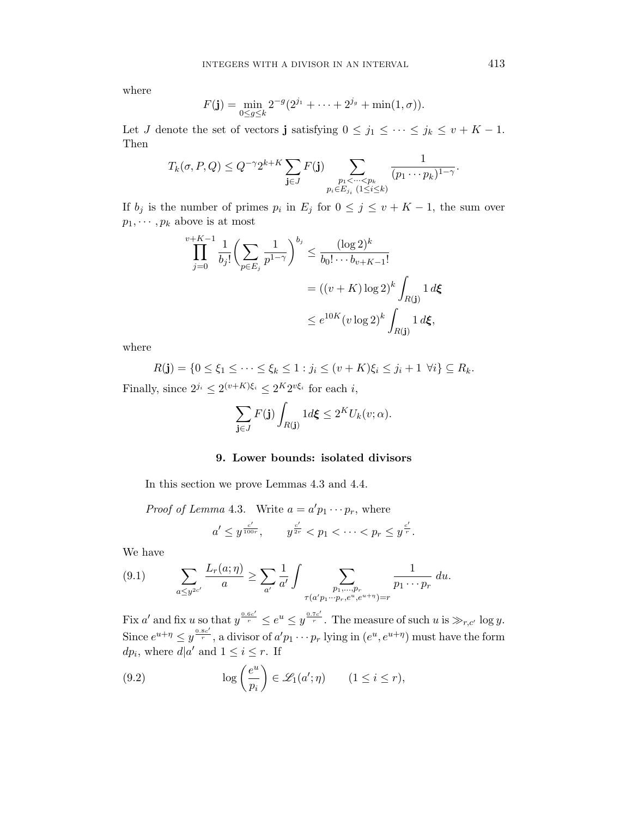where

$$
F(\mathbf{j}) = \min_{0 \le g \le k} 2^{-g} (2^{j_1} + \cdots + 2^{j_g} + \min(1, \sigma)).
$$

Let J denote the set of vectors j satisfying  $0 \le j_1 \le \cdots \le j_k \le v + K - 1$ . Then

$$
T_k(\sigma, P, Q) \leq Q^{-\gamma} 2^{k+K} \sum_{\mathbf{j} \in J} F(\mathbf{j}) \sum_{\substack{p_1 < \dots < p_k \\ p_i \in E_{j_i} \ (1 \leq i \leq k)}} \frac{1}{(p_1 \cdots p_k)^{1-\gamma}}.
$$

If  $b_j$  is the number of primes  $p_i$  in  $E_j$  for  $0 \leq j \leq v + K - 1$ , the sum over  $p_1, \cdots, p_k$  above is at most

$$
\prod_{j=0}^{v+K-1} \frac{1}{b_j!} \left( \sum_{p \in E_j} \frac{1}{p^{1-\gamma}} \right)^{b_j} \le \frac{(\log 2)^k}{b_0! \cdots b_{v+K-1}!}
$$
  
=  $((v+K) \log 2)^k \int_{R(\mathbf{j})} 1 d\xi$   
 $\le e^{10K} (v \log 2)^k \int_{R(\mathbf{j})} 1 d\xi,$ 

where

 $R(j) = \{0 \le \xi_1 \le \cdots \le \xi_k \le 1 : j_i \le (v + K)\xi_i \le j_i + 1 \ \forall i\} \subseteq R_k.$ Finally, since  $2^{j_i} \leq 2^{(v+K)\xi_i} \leq 2^{K}2^{v\xi_i}$  for each i,

$$
\sum_{\mathbf{j}\in J} F(\mathbf{j}) \int_{R(\mathbf{j})} 1 d\mathbf{\xi} \le 2^K U_k(v;\alpha).
$$

# 9. Lower bounds: isolated divisors

In this section we prove Lemmas 4.3 and 4.4.

Proof of Lemma 4.3. Write 
$$
a = a'p_1 \cdots p_r
$$
, where  
\n
$$
a' \le y^{\frac{c'}{100r}}, \qquad y^{\frac{c'}{2r}} < p_1 < \cdots < p_r \le y^{\frac{c'}{r}}.
$$

We have

(9.1) 
$$
\sum_{a \leq y^{2c'}} \frac{L_r(a; \eta)}{a} \geq \sum_{a'} \frac{1}{a'} \int \sum_{\substack{p_1, \dots, p_r \\ \tau(a'p_1 \cdots p_r, e^u, e^{u+\eta}) = r}} \frac{1}{p_1 \cdots p_r} du.
$$

Fix a' and fix u so that  $y^{\frac{0.6c'}{r}} \leq e^u \leq y^{\frac{0.7c'}{r}}$ . The measure of such u is  $\gg_{r,c'}$  log y. Since  $e^{u+\eta} \leq y^{\frac{0.8c'}{r}}$ , a divisor of  $a'p_1 \cdots p_r$  lying in  $(e^u, e^{u+\eta})$  must have the form  $dp_i$ , where  $d|a'$  and  $1 \leq i \leq r$ . If

(9.2) 
$$
\log\left(\frac{e^u}{p_i}\right) \in \mathscr{L}_1(a';\eta) \qquad (1 \le i \le r),
$$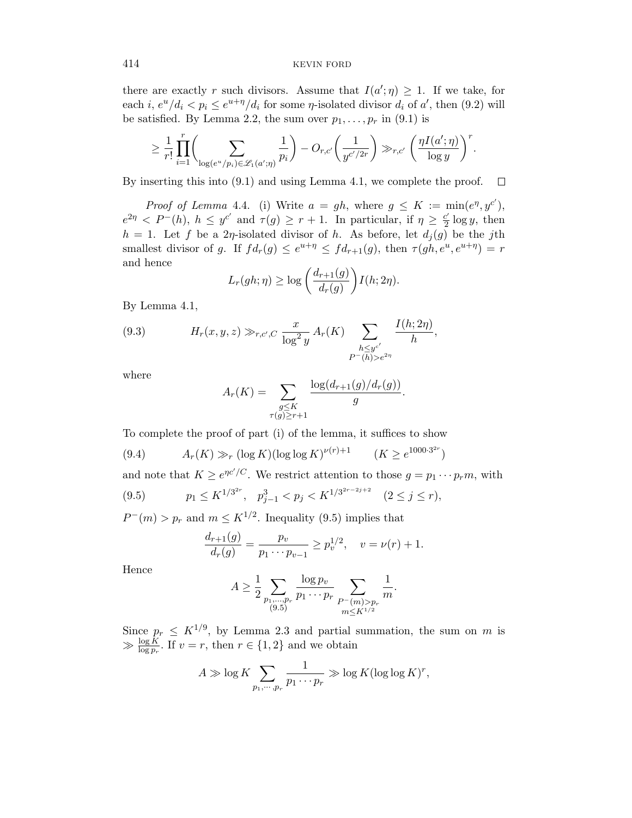there are exactly r such divisors. Assume that  $I(a';\eta) \geq 1$ . If we take, for each i,  $e^u/d_i < p_i \le e^{u+\eta}/d_i$  for some  $\eta$ -isolated divisor  $d_i$  of  $a'$ , then (9.2) will be satisfied. By Lemma 2.2, the sum over  $p_1, \ldots, p_r$  in (9.1) is

$$
\geq \frac{1}{r!} \prod_{i=1}^r \biggl(\sum_{\log(e^u/p_i) \in \mathscr{L}_1(a';\eta)} \frac{1}{p_i}\biggr) - O_{r,c'}\biggl(\frac{1}{y^{c'/2r}}\biggr) \gg_{r,c'} \biggl(\frac{\eta I(a';\eta)}{\log y}\biggr)^r.
$$

By inserting this into (9.1) and using Lemma 4.1, we complete the proof.  $\Box$ 

*Proof of Lemma 4.4.* (i) Write  $a = gh$ , where  $g \leq K := \min(e^{\eta}, y^{c'})$ ,  $e^{2\eta} < P^{-}(h)$ ,  $h \leq y^{c'}$  and  $\tau(g) \geq r+1$ . In particular, if  $\eta \geq \frac{c'}{2}$  $\frac{c'}{2} \log y$ , then  $h = 1$ . Let f be a 2*η*-isolated divisor of h. As before, let  $d_j(g)$  be the jth smallest divisor of g. If  $fd_r(g) \leq e^{u+\eta} \leq fd_{r+1}(g)$ , then  $\tau(gh, e^u, e^{u+\eta}) = r$ and hence

$$
L_r(gh;\eta) \ge \log\left(\frac{d_{r+1}(g)}{d_r(g)}\right)I(h;2\eta).
$$

By Lemma 4.1,

(9.3) 
$$
H_r(x, y, z) \gg_{r, c', C} \frac{x}{\log^2 y} A_r(K) \sum_{\substack{h \leq y^{c'} \\ P^-(h) > e^{2\eta}}} \frac{I(h; 2\eta)}{h},
$$

where

$$
A_r(K) = \sum_{\substack{g \leq K \\ \tau(g) \geq r+1}} \frac{\log(d_{r+1}(g)/d_r(g))}{g}.
$$

To complete the proof of part (i) of the lemma, it suffices to show

(9.4) 
$$
A_r(K) \gg_r (\log K) (\log \log K)^{\nu(r)+1}
$$
  $(K \ge e^{1000 \cdot 3^{2r}})$ 

and note that  $K \geq e^{\eta c'/C}$ . We restrict attention to those  $g = p_1 \cdots p_r m$ , with

$$
(9.5) \t\t p_1 \le K^{1/3^{2r}}, \quad p_{j-1}^3 < p_j < K^{1/3^{2r-2j+2}} \quad (2 \le j \le r),
$$

 $P^-(m) > p_r$  and  $m \leq K^{1/2}$ . Inequality (9.5) implies that

$$
\frac{d_{r+1}(g)}{d_r(g)} = \frac{p_v}{p_1 \cdots p_{v-1}} \ge p_v^{1/2}, \quad v = \nu(r) + 1.
$$

Hence

$$
A \ge \frac{1}{2} \sum_{\substack{p_1, \dots, p_r \\ (9.5)}} \frac{\log p_v}{p_1 \cdots p_r} \sum_{\substack{P^-(m) > p_r \\ m \le K^{1/2}}} \frac{1}{m}.
$$

Since  $p_r \leq K^{1/9}$ , by Lemma 2.3 and partial summation, the sum on m is  $\gg \frac{\log K}{\log p_r}$ . If  $v = r$ , then  $r \in \{1, 2\}$  and we obtain

$$
A \gg \log K \sum_{p_1, \cdots, p_r} \frac{1}{p_1 \cdots p_r} \gg \log K (\log \log K)^r,
$$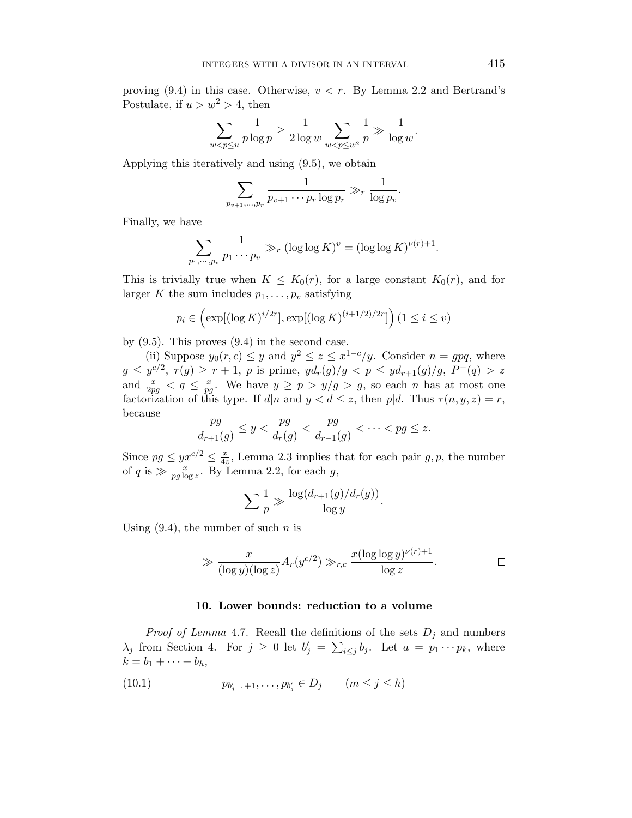proving  $(9.4)$  in this case. Otherwise,  $v < r$ . By Lemma 2.2 and Bertrand's Postulate, if  $u > w^2 > 4$ , then

$$
\sum_{w
$$

Applying this iteratively and using (9.5), we obtain

$$
\sum_{p_{v+1},...,p_r} \frac{1}{p_{v+1}\cdots p_r \log p_r} \gg_r \frac{1}{\log p_v}.
$$

Finally, we have

$$
\sum_{p_1,\cdots,p_v} \frac{1}{p_1\cdots p_v} \gg_r (\log \log K)^v = (\log \log K)^{\nu(r)+1}.
$$

This is trivially true when  $K \leq K_0(r)$ , for a large constant  $K_0(r)$ , and for larger K the sum includes  $p_1, \ldots, p_v$  satisfying

$$
p_i \in \left(\exp[(\log K)^{i/2r}], \exp[(\log K)^{(i+1/2)/2r}]\right) (1 \le i \le v)
$$

by  $(9.5)$ . This proves  $(9.4)$  in the second case.

(ii) Suppose  $y_0(r, c) \leq y$  and  $y^2 \leq z \leq x^{1-c}/y$ . Consider  $n = gpq$ , where  $g \leq y^{c/2}, \tau(g) \geq r+1, p$  is prime,  $yd_r(g)/g < p \leq yd_{r+1}(g)/g, P^{-}(q) > z$ and  $\frac{x}{2pg} < q \leq \frac{x}{pg}$  $\frac{x}{pg}$ . We have  $y \ge p > y/g > g$ , so each *n* has at most one factorization of this type. If  $d|n$  and  $y < d \leq z$ , then p|d. Thus  $\tau(n, y, z) = r$ , because

$$
\frac{pg}{d_{r+1}(g)}\leq y<\frac{pg}{d_{r}(g)}<\frac{pg}{d_{r-1}(g)}<\cdots
$$

Since  $pg \leq yx^{c/2} \leq \frac{x}{4x^c}$  $\frac{x}{4z}$ , Lemma 2.3 implies that for each pair  $g, p$ , the number of q is  $\gg \frac{x}{pg \log z}$ . By Lemma 2.2, for each g,

$$
\sum \frac{1}{p} \gg \frac{\log(d_{r+1}(g)/d_r(g))}{\log y}.
$$

Using  $(9.4)$ , the number of such *n* is

$$
\gg \frac{x}{(\log y)(\log z)} A_r(y^{c/2}) \gg_{r,c} \frac{x(\log \log y)^{\nu(r)+1}}{\log z}.
$$

#### 10. Lower bounds: reduction to a volume

*Proof of Lemma 4.7.* Recall the definitions of the sets  $D_j$  and numbers  $\lambda_j$  from Section 4. For  $j \geq 0$  let  $b'_j = \sum_{i \leq j} b_j$ . Let  $a = p_1 \cdots p_k$ , where  $k = b_1 + \cdots + b_h,$ 

(10.1) 
$$
p_{b'_{j-1}+1}, \ldots, p_{b'_{j}} \in D_j \qquad (m \le j \le h)
$$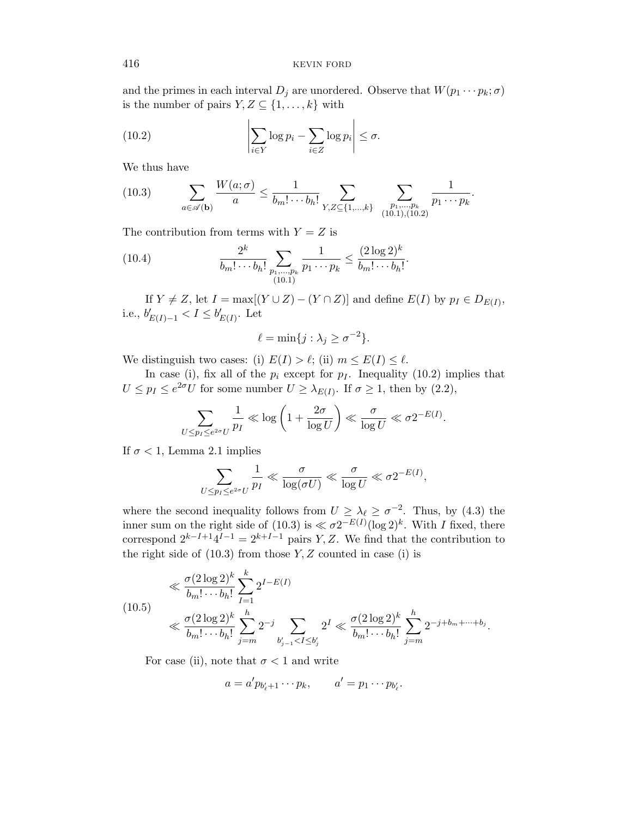and the primes in each interval  $D_j$  are unordered. Observe that  $W(p_1 \cdots p_k; \sigma)$ is the number of pairs  $Y, Z \subseteq \{1, \ldots, k\}$  with

(10.2) 
$$
\left| \sum_{i \in Y} \log p_i - \sum_{i \in Z} \log p_i \right| \leq \sigma.
$$

We thus have

(10.3) 
$$
\sum_{a \in \mathscr{A}(\mathbf{b})} \frac{W(a; \sigma)}{a} \leq \frac{1}{b_m! \cdots b_h!} \sum_{Y, Z \subseteq \{1, \ldots, k\}} \sum_{\substack{p_1, \ldots, p_k \\ (10.1), (10.2)}} \frac{1}{p_1 \cdots p_k}.
$$

The contribution from terms with  $Y = Z$  is

(10.4) 
$$
\frac{2^k}{b_m! \cdots b_h!} \sum_{\substack{p_1, \ldots, p_k \\ (10.1)}} \frac{1}{p_1 \cdots p_k} \leq \frac{(2 \log 2)^k}{b_m! \cdots b_h!}.
$$

If  $Y \neq Z$ , let  $I = \max[(Y \cup Z) - (Y \cap Z)]$  and define  $E(I)$  by  $p_I \in D_{E(I)}$ , i.e.,  $b'_{E(I)-1} < I \leq b'_{E(I)}$ . Let

$$
\ell = \min\{j : \lambda_j \ge \sigma^{-2}\}.
$$

We distinguish two cases: (i)  $E(I) > \ell$ ; (ii)  $m \le E(I) \le \ell$ .

In case (i), fix all of the  $p_i$  except for  $p_i$ . Inequality (10.2) implies that  $U \leq p_I \leq e^{2\sigma} U$  for some number  $U \geq \lambda_{E(I)}$ . If  $\sigma \geq 1$ , then by  $(2.2)$ ,

$$
\sum_{U \le p_I \le e^{2\sigma}U} \frac{1}{p_I} \ll \log \left(1 + \frac{2\sigma}{\log U}\right) \ll \frac{\sigma}{\log U} \ll \sigma 2^{-E(I)}.
$$

If  $\sigma$  < 1, Lemma 2.1 implies

$$
\sum_{U \leq p_I \leq e^{2\sigma}U} \frac{1}{p_I} \ll \frac{\sigma}{\log(\sigma U)} \ll \frac{\sigma}{\log U} \ll \sigma 2^{-E(I)},
$$

where the second inequality follows from  $U \geq \lambda_{\ell} \geq \sigma^{-2}$ . Thus, by (4.3) the inner sum on the right side of (10.3) is  $\ll \sigma 2^{-E(I)}(\log 2)^k$ . With I fixed, there correspond  $2^{k-I+1}4^{I-1} = 2^{k+I-1}$  pairs Y, Z. We find that the contribution to the right side of  $(10.3)$  from those Y, Z counted in case  $(i)$  is

$$
\ll \frac{\sigma (2 \log 2)^k}{b_m! \cdots b_h!} \sum_{I=1}^k 2^{I - E(I)} \ll \frac{\sigma (2 \log 2)^k}{b_m! \cdots b_h!} \sum_{j=m}^h 2^{-j} \sum_{b'_{j-1} < I \le b'_j} 2^I \ll \frac{\sigma (2 \log 2)^k}{b_m! \cdots b_h!} \sum_{j=m}^h 2^{-j + b_m + \cdots + b_j}.
$$

For case (ii), note that  $\sigma < 1$  and write

$$
a = a' p_{b'_\ell+1} \cdots p_k, \qquad a' = p_1 \cdots p_{b'_\ell}.
$$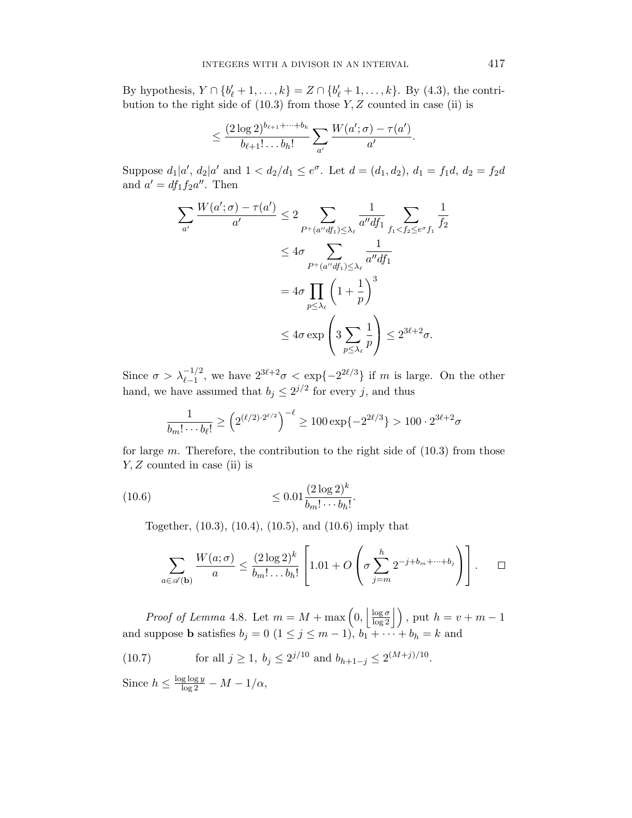By hypothesis,  $Y \cap \{b'_{\ell} + 1, ..., k\} = Z \cap \{b'_{\ell} + 1, ..., k\}$ . By (4.3), the contribution to the right side of  $(10.3)$  from those Y, Z counted in case (ii) is

$$
\leq \frac{(2\log 2)^{b_{\ell+1}+\cdots+b_h}}{b_{\ell+1}!\ldots b_h!}\sum_{a'}\frac{W(a';\sigma)-\tau(a')}{a'}.
$$

Suppose  $d_1|a'$ ,  $d_2|a'$  and  $1 < d_2/d_1 \le e^{\sigma}$ . Let  $d = (d_1, d_2)$ ,  $d_1 = f_1d$ ,  $d_2 = f_2d$ and  $a' = df_1 f_2 a''$ . Then

$$
\sum_{a'} \frac{W(a'; \sigma) - \tau(a')}{a'} \le 2 \sum_{P^+(a'' df_1) \le \lambda_{\ell}} \frac{1}{a'' df_1} \sum_{f_1 < f_2 \le e^{\sigma} f_1} \frac{1}{f_2}
$$
\n
$$
\le 4\sigma \sum_{P^+(a'' df_1) \le \lambda_{\ell}} \frac{1}{a'' df_1}
$$
\n
$$
= 4\sigma \prod_{p \le \lambda_{\ell}} \left(1 + \frac{1}{p}\right)^3
$$
\n
$$
\le 4\sigma \exp\left(3 \sum_{p \le \lambda_{\ell}} \frac{1}{p}\right) \le 2^{3\ell + 2} \sigma.
$$

Since  $\sigma > \lambda_{\ell-1}^{-1/2}$ , we have  $2^{3\ell+2}\sigma < \exp\{-2^{2\ell/3}\}\$ if m is large. On the other hand, we have assumed that  $b_j \leq 2^{j/2}$  for every j, and thus

$$
\frac{1}{b_m! \cdots b_\ell!} \ge \left(2^{(\ell/2) \cdot 2^{\ell/2}}\right)^{-\ell} \ge 100 \exp\{-2^{2\ell/3}\} > 100 \cdot 2^{3\ell+2} \sigma
$$

for large  $m$ . Therefore, the contribution to the right side of  $(10.3)$  from those  $Y, Z$  counted in case (ii) is

(10.6) 
$$
\leq 0.01 \frac{(2 \log 2)^k}{b_m! \cdots b_h!}.
$$

Together, (10.3), (10.4), (10.5), and (10.6) imply that

$$
\sum_{a \in \mathscr{A}(\mathbf{b})} \frac{W(a;\sigma)}{a} \le \frac{(2\log 2)^k}{b_m! \dots b_h!} \left[1.01 + O\left(\sigma \sum_{j=m}^h 2^{-j+b_m+\dots+b_j}\right)\right]. \qquad \Box
$$

*Proof of Lemma* 4.8. Let  $m = M + \max\left(0, \left|\frac{\log \sigma}{\log 2}\right|\right)$ , put  $h = v + m - 1$ and suppose **b** satisfies  $b_j = 0$   $(1 \le j \le m-1)$ ,  $b_1 + \cdots + b_h = k$  and

(10.7) for all  $j \ge 1$ ,  $b_j \le 2^{j/10}$  and  $b_{h+1-j} \le 2^{(M+j)/10}$ .

Since  $h \leq \frac{\log \log y}{\log 2} - M - 1/\alpha$ ,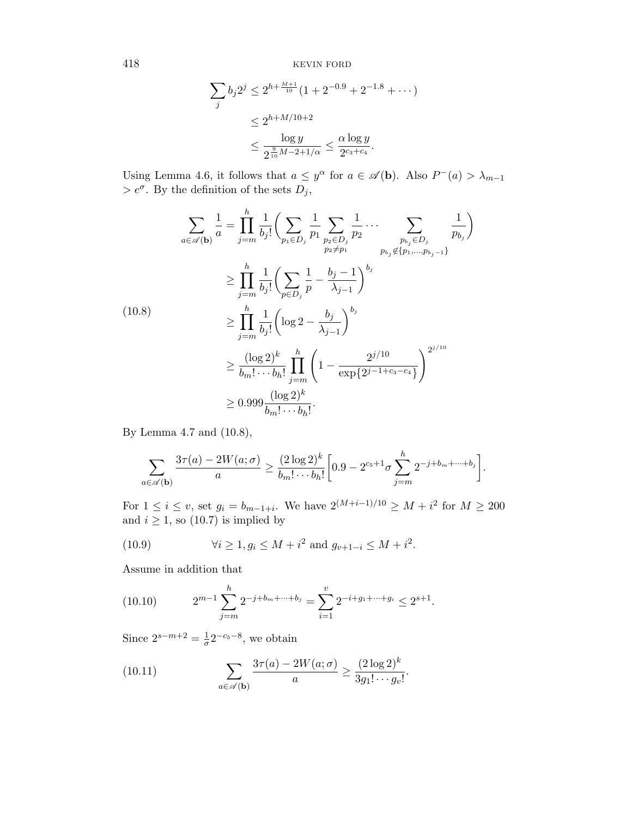$$
\sum_{j} b_{j} 2^{j} \le 2^{h + \frac{M+1}{10}} (1 + 2^{-0.9} + 2^{-1.8} + \cdots)
$$
  

$$
\le 2^{h + M/10 + 2}
$$
  

$$
\le \frac{\log y}{2^{\frac{9}{10}M - 2 + 1/\alpha}} \le \frac{\alpha \log y}{2^{c_3 + c_4}}.
$$

Using Lemma 4.6, it follows that  $a \leq y^{\alpha}$  for  $a \in \mathscr{A}(\mathbf{b})$ . Also  $P^-(a) > \lambda_{m-1}$  $> e^{\sigma}$ . By the definition of the sets  $D_j$ ,

h

$$
\sum_{a \in \mathscr{A}(\mathbf{b})} \frac{1}{a} = \prod_{j=m}^{h} \frac{1}{b_j!} \Biggl( \sum_{p_1 \in D_j} \frac{1}{p_1} \sum_{p_2 \in D_j} \frac{1}{p_2} \cdots \sum_{p_{b_j} \notin \{p_1, \dots, p_{b_j-1}\}} \frac{1}{p_{b_j}} \Biggr)
$$
\n
$$
\geq \prod_{j=m}^{h} \frac{1}{b_j!} \Biggl( \sum_{p \in D_j} \frac{1}{p} - \frac{b_j - 1}{\lambda_{j-1}} \Biggr)^{b_j}
$$
\n
$$
\geq \prod_{j=m}^{h} \frac{1}{b_j!} \Biggl( \log 2 - \frac{b_j}{\lambda_{j-1}} \Biggr)^{b_j}
$$
\n
$$
\geq \frac{(\log 2)^k}{b_m! \cdots b_h!} \prod_{j=m}^{h} \Biggl( 1 - \frac{2^{j/10}}{\exp\{2^{j-1+c_3-c_4}\}} \Biggr)^{2^{j/10}}
$$
\n
$$
\geq 0.999 \frac{(\log 2)^k}{b_m! \cdots b_h!}.
$$

By Lemma 4.7 and (10.8),

$$
\sum_{a \in \mathscr{A}(\mathbf{b})} \frac{3\tau(a) - 2W(a;\sigma)}{a} \ge \frac{(2\log 2)^k}{b_m! \cdots b_h!} \left[ 0.9 - 2^{c_5+1} \sigma \sum_{j=m}^h 2^{-j + b_m + \cdots + b_j} \right].
$$

For  $1 \le i \le v$ , set  $g_i = b_{m-1+i}$ . We have  $2^{(M+i-1)/10} \ge M + i^2$  for  $M \ge 200$ and  $i \geq 1$ , so (10.7) is implied by

(10.9) 
$$
\forall i \ge 1, g_i \le M + i^2 \text{ and } g_{v+1-i} \le M + i^2.
$$

Assume in addition that

(10.10) 
$$
2^{m-1} \sum_{j=m}^{h} 2^{-j+b_m+\cdots+b_j} = \sum_{i=1}^{v} 2^{-i+g_1+\cdots+g_i} \le 2^{s+1}.
$$

Since  $2^{s-m+2} = \frac{1}{\sigma}$  $\frac{1}{\sigma}2^{-c_5-8}$ , we obtain

(10.11) 
$$
\sum_{a \in \mathscr{A}(\mathbf{b})} \frac{3\tau(a) - 2W(a;\sigma)}{a} \ge \frac{(2\log 2)^k}{3g_1! \cdots g_v!}.
$$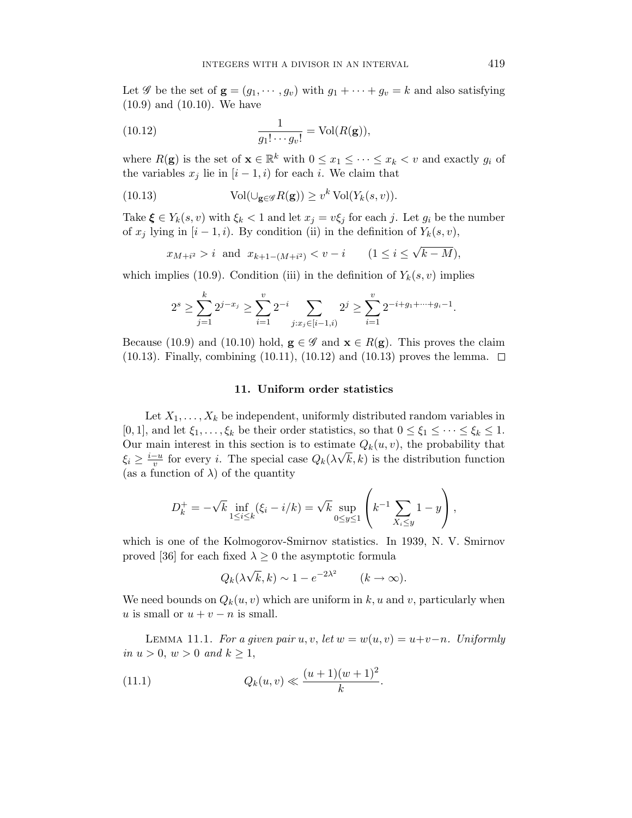Let  $\mathscr G$  be the set of  $\mathbf g = (g_1, \dots, g_v)$  with  $g_1 + \dots + g_v = k$  and also satisfying (10.9) and (10.10). We have

(10.12) 
$$
\frac{1}{g_1! \cdots g_v!} = \text{Vol}(R(\mathbf{g})),
$$

where  $R(\mathbf{g})$  is the set of  $\mathbf{x} \in \mathbb{R}^k$  with  $0 \leq x_1 \leq \cdots \leq x_k < v$  and exactly  $g_i$  of the variables  $x_j$  lie in  $[i - 1, i)$  for each i. We claim that

(10.13) 
$$
\text{Vol}(\cup_{\mathbf{g}\in\mathscr{G}} R(\mathbf{g})) \geq v^k \text{ Vol}(Y_k(s,v)).
$$

Take  $\xi \in Y_k(s, v)$  with  $\xi_k < 1$  and let  $x_j = v \xi_j$  for each j. Let  $g_i$  be the number of  $x_j$  lying in  $[i - 1, i)$ . By condition (ii) in the definition of  $Y_k(s, v)$ ,

$$
x_{M+i^2} > i
$$
 and  $x_{k+1-(M+i^2)} < v - i$   $(1 \le i \le \sqrt{k-M}),$ 

which implies (10.9). Condition (iii) in the definition of  $Y_k(s, v)$  implies

$$
2^{s} \ge \sum_{j=1}^{k} 2^{j-x_j} \ge \sum_{i=1}^{v} 2^{-i} \sum_{j:x_j \in [i-1,i)} 2^{j} \ge \sum_{i=1}^{v} 2^{-i+g_1+\dots+g_i-1}.
$$

Because (10.9) and (10.10) hold,  $g \in \mathscr{G}$  and  $x \in R(g)$ . This proves the claim (10.13). Finally, combining (10.11), (10.12) and (10.13) proves the lemma.  $\Box$ 

#### 11. Uniform order statistics

Let  $X_1, \ldots, X_k$  be independent, uniformly distributed random variables in [0, 1], and let  $\xi_1, \ldots, \xi_k$  be their order statistics, so that  $0 \leq \xi_1 \leq \cdots \leq \xi_k \leq 1$ . Our main interest in this section is to estimate  $Q_k(u, v)$ , the probability that  $\xi_i \geq \frac{i-u}{v}$  $\frac{-u}{v}$  for every *i*. The special case  $Q_k(\lambda \sqrt{k}, k)$  is the distribution function (as a function of  $\lambda$ ) of the quantity

$$
D_k^+ = -\sqrt{k} \inf_{1 \le i \le k} (\xi_i - i/k) = \sqrt{k} \sup_{0 \le y \le 1} \left( k^{-1} \sum_{X_i \le y} 1 - y \right),
$$

which is one of the Kolmogorov-Smirnov statistics. In 1939, N. V. Smirnov proved [36] for each fixed  $\lambda \geq 0$  the asymptotic formula

$$
Q_k(\lambda \sqrt{k}, k) \sim 1 - e^{-2\lambda^2} \qquad (k \to \infty).
$$

We need bounds on  $Q_k(u, v)$  which are uniform in k, u and v, particularly when u is small or  $u + v - n$  is small.

LEMMA 11.1. For a given pair u, v, let  $w = w(u, v) = u+v-n$ . Uniformly in  $u > 0$ ,  $w > 0$  and  $k \ge 1$ ,

(11.1) 
$$
Q_k(u,v) \ll \frac{(u+1)(w+1)^2}{k}.
$$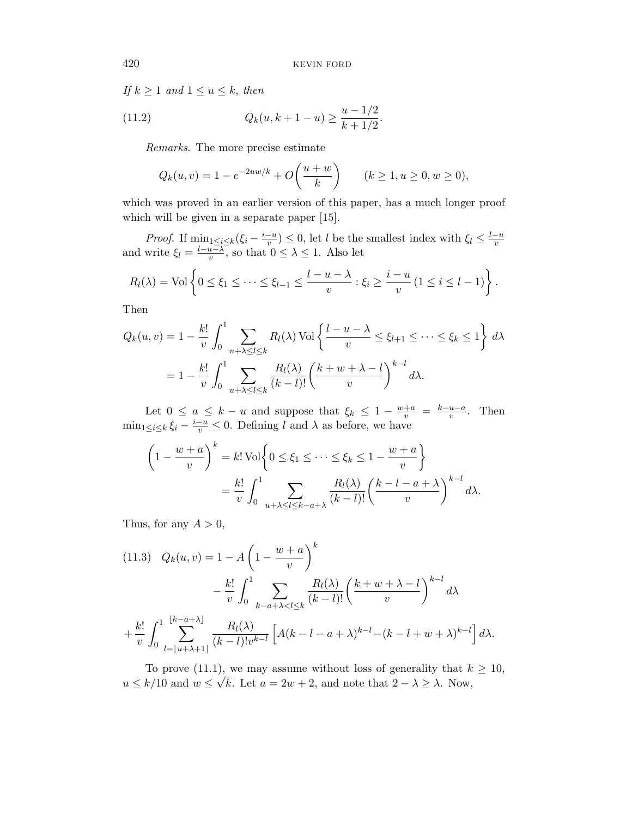If  $k \geq 1$  and  $1 \leq u \leq k$ , then

(11.2) 
$$
Q_k(u, k+1-u) \ge \frac{u-1/2}{k+1/2}.
$$

Remarks. The more precise estimate

$$
Q_k(u, v) = 1 - e^{-2uw/k} + O\left(\frac{u + w}{k}\right) \qquad (k \ge 1, u \ge 0, w \ge 0),
$$

which was proved in an earlier version of this paper, has a much longer proof which will be given in a separate paper [15].

*Proof.* If  $\min_{1 \leq i \leq k} (\xi_i - \frac{i-u_i}{v_i})$  $\frac{v-u}{v}$ )  $\leq 0$ , let l be the smallest index with  $\xi_l \leq \frac{l-u}{v}$ and write  $\xi_l = \frac{l-u-\lambda}{v}$ , so that  $0 \leq \lambda \leq 1$ . Also let  $\frac{u-\lambda}{v}$ , so that  $0 \leq \lambda \leq 1$ . Also let

$$
R_l(\lambda) = \text{Vol}\left\{0 \leq \xi_1 \leq \cdots \leq \xi_{l-1} \leq \frac{l-u-\lambda}{v} : \xi_i \geq \frac{i-u}{v} \ (1 \leq i \leq l-1)\right\}.
$$

Then

$$
Q_k(u, v) = 1 - \frac{k!}{v} \int_0^1 \sum_{u + \lambda \le l \le k} R_l(\lambda) \operatorname{Vol} \left\{ \frac{l - u - \lambda}{v} \le \xi_{l+1} \le \dots \le \xi_k \le 1 \right\} d\lambda
$$
  
= 
$$
1 - \frac{k!}{v} \int_0^1 \sum_{u + \lambda \le l \le k} \frac{R_l(\lambda)}{(k - l)!} \left( \frac{k + w + \lambda - l}{v} \right)^{k - l} d\lambda.
$$

Let  $0 \le a \le k - u$  and suppose that  $\xi_k \le 1 - \frac{w+a}{v} = \frac{k-u-a}{v}$  $\frac{u-a}{v}$ . Then  $\min_{1 \leq i \leq k} \xi_i - \frac{i-u}{v} \leq 0$ . Defining l and  $\lambda$  as before, we have

$$
\left(1 - \frac{w+a}{v}\right)^k = k! \operatorname{Vol} \left\{ 0 \le \xi_1 \le \dots \le \xi_k \le 1 - \frac{w+a}{v} \right\}
$$
  
=  $\frac{k!}{v} \int_0^1 \sum_{u+\lambda \le l \le k-a+\lambda} \frac{R_l(\lambda)}{(k-l)!} \left(\frac{k-l-a+\lambda}{v}\right)^{k-l} d\lambda.$ 

Thus, for any  $A > 0$ ,

(11.3) 
$$
Q_k(u, v) = 1 - A \left( 1 - \frac{w + a}{v} \right)^k
$$
  

$$
- \frac{k!}{v} \int_0^1 \sum_{k-a+\lambda < l \le k} \frac{R_l(\lambda)}{(k-l)!} \left( \frac{k+w+\lambda-l}{v} \right)^{k-l} d\lambda
$$

$$
+ \frac{k!}{v} \int_0^1 \sum_{l=|u+\lambda+1|} \frac{R_l(\lambda)}{(k-l)! v^{k-l}} \left[ A(k-l-a+\lambda)^{k-l} - (k-l+w+\lambda)^{k-l} \right] d\lambda.
$$

To prove (11.1), we may assume without loss of generality that  $k \geq 10$ ,  $u \leq k/10$  and  $w \leq \sqrt{k}$ . Let  $a = 2w + 2$ , and note that  $2 - \lambda \geq \lambda$ . Now,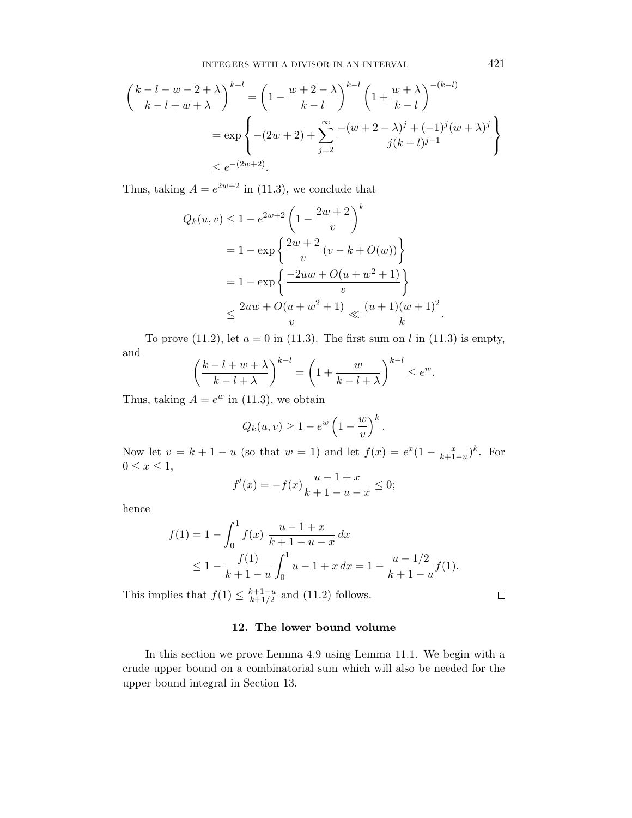$$
\left(\frac{k-l-w-2+\lambda}{k-l+w+\lambda}\right)^{k-l} = \left(1 - \frac{w+2-\lambda}{k-l}\right)^{k-l} \left(1 + \frac{w+\lambda}{k-l}\right)^{-(k-l)}
$$

$$
= \exp\left\{-(2w+2) + \sum_{j=2}^{\infty} \frac{-(w+2-\lambda)^j + (-1)^j (w+\lambda)^j}{j(k-l)^{j-1}}\right\}
$$

$$
\leq e^{-(2w+2)}.
$$

Thus, taking  $A = e^{2w+2}$  in (11.3), we conclude that

$$
Q_k(u, v) \le 1 - e^{2w+2} \left( 1 - \frac{2w+2}{v} \right)^k
$$
  
=  $1 - \exp \left\{ \frac{2w+2}{v} (v - k + O(w)) \right\}$   
=  $1 - \exp \left\{ \frac{-2uw + O(u + w^2 + 1)}{v} \right\}$   
 $\le \frac{2uw + O(u + w^2 + 1)}{v} \ll \frac{(u + 1)(w + 1)^2}{k}$ 

To prove (11.2), let  $a = 0$  in (11.3). The first sum on l in (11.3) is empty, and

$$
\left(\frac{k-l+w+\lambda}{k-l+\lambda}\right)^{k-l} = \left(1+\frac{w}{k-l+\lambda}\right)^{k-l} \le e^w.
$$

Thus, taking  $A = e^w$  in (11.3), we obtain

$$
Q_k(u, v) \ge 1 - e^w \left(1 - \frac{w}{v}\right)^k
$$

.

Now let  $v = k + 1 - u$  (so that  $w = 1$ ) and let  $f(x) = e^x(1 - \frac{x}{k+1-u})^k$ . For  $0 \leq x \leq 1$ ,

$$
f'(x) = -f(x)\frac{u-1+x}{k+1-u-x} \le 0;
$$

hence

$$
f(1) = 1 - \int_0^1 f(x) \frac{u - 1 + x}{k + 1 - u - x} dx
$$
  
\n
$$
\leq 1 - \frac{f(1)}{k + 1 - u} \int_0^1 u - 1 + x \, dx = 1 - \frac{u - 1/2}{k + 1 - u} f(1).
$$

This implies that  $f(1) \leq \frac{k+1-u}{k+1/2}$  $\frac{k+1-u}{k+1/2}$  and (11.2) follows.

 $\Box$ 

# 12. The lower bound volume

In this section we prove Lemma 4.9 using Lemma 11.1. We begin with a crude upper bound on a combinatorial sum which will also be needed for the upper bound integral in Section 13.

.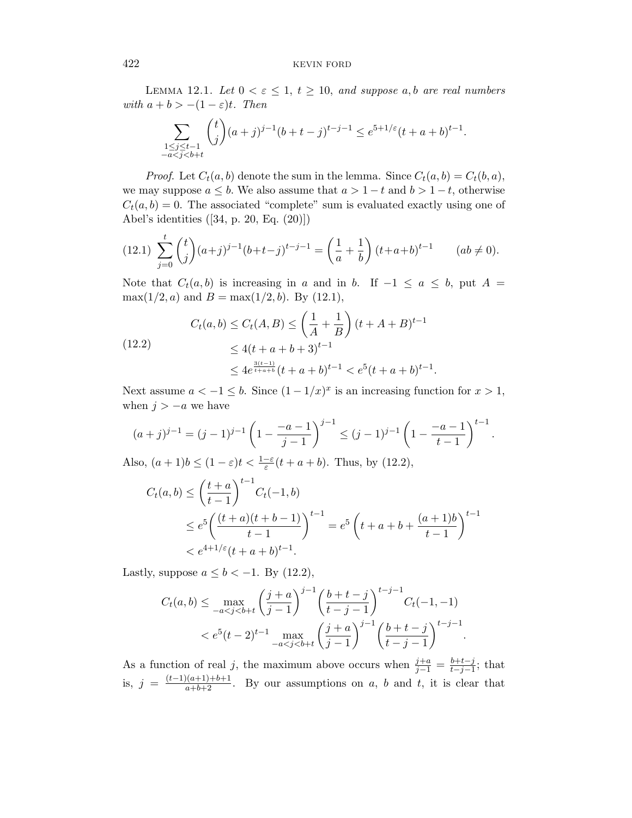LEMMA 12.1. Let  $0 < \varepsilon \leq 1$ ,  $t \geq 10$ , and suppose a, b are real numbers with  $a + b > -(1 - \varepsilon)t$ . Then

$$
\sum_{\substack{1 \le j \le t-1 \\ -a < j < b+t}} {t \choose j} (a+j)^{j-1} (b+t-j)^{t-j-1} \le e^{5+1/\varepsilon} (t+a+b)^{t-1}.
$$

*Proof.* Let  $C_t(a, b)$  denote the sum in the lemma. Since  $C_t(a, b) = C_t(b, a)$ , we may suppose  $a \leq b$ . We also assume that  $a > 1-t$  and  $b > 1-t$ , otherwise  $C_t(a, b) = 0$ . The associated "complete" sum is evaluated exactly using one of Abel's identities ([34, p. 20, Eq. (20)])

$$
(12.1) \sum_{j=0}^{t} {t \choose j} (a+j)^{j-1} (b+t-j)^{t-j-1} = \left(\frac{1}{a} + \frac{1}{b}\right) (t+a+b)^{t-1} \qquad (ab \neq 0).
$$

Note that  $C_t(a, b)$  is increasing in a and in b. If  $-1 \le a \le b$ , put  $A =$  $\max(1/2, a)$  and  $B = \max(1/2, b)$ . By (12.1),

(12.2)  

$$
C_t(a,b) \le C_t(A,B) \le \left(\frac{1}{A} + \frac{1}{B}\right)(t + A + B)^{t-1}
$$

$$
\le 4(t + a + b + 3)^{t-1}
$$

$$
\le 4e^{\frac{3(t-1)}{t+a+b}}(t + a + b)^{t-1} < e^5(t + a + b)^{t-1}.
$$

Next assume  $a < -1 \leq b$ . Since  $(1 - 1/x)^x$  is an increasing function for  $x > 1$ , when  $j > -a$  we have

$$
(a+j)^{j-1} = (j-1)^{j-1} \left(1 - \frac{-a-1}{j-1}\right)^{j-1} \le (j-1)^{j-1} \left(1 - \frac{-a-1}{t-1}\right)^{t-1}.
$$

Also,  $(a+1)b \leq (1-\varepsilon)t < \frac{1-\varepsilon}{\varepsilon}(t+a+b)$ . Thus, by (12.2),

$$
C_t(a,b) \le \left(\frac{t+a}{t-1}\right)^{t-1} C_t(-1,b)
$$
  
\n
$$
\le e^5 \left(\frac{(t+a)(t+b-1)}{t-1}\right)^{t-1} = e^5 \left(t+a+b+\frac{(a+1)b}{t-1}\right)^{t-1}
$$
  
\n
$$
< e^{4+1/\varepsilon}(t+a+b)^{t-1}.
$$

Lastly, suppose  $a \leq b < -1$ . By (12.2),

$$
C_t(a,b) \le \max_{-a < j < b+t} \left(\frac{j+a}{j-1}\right)^{j-1} \left(\frac{b+t-j}{t-j-1}\right)^{t-j-1} C_t(-1,-1)
$$
\n
$$
\le e^5(t-2)^{t-1} \max_{-a < j < b+t} \left(\frac{j+a}{j-1}\right)^{j-1} \left(\frac{b+t-j}{t-j-1}\right)^{t-j-1}.
$$

As a function of real j, the maximum above occurs when  $\frac{j+a}{j-1} = \frac{b+t-j}{t-j-1}$  $\frac{b+t-j}{t-j-1}$ ; that is,  $j = \frac{(t-1)(a+1)+b+1}{a+b+2}$ . By our assumptions on a, b and t, it is clear that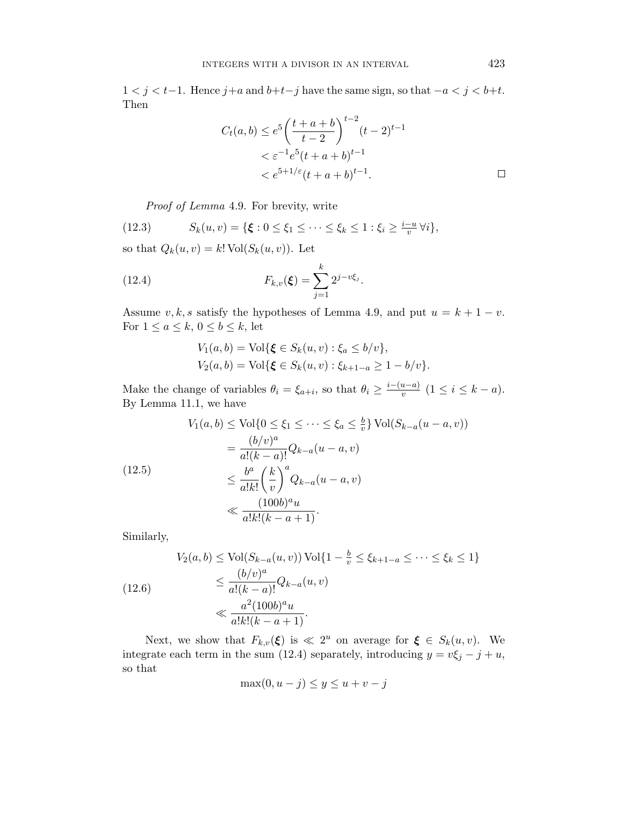1 < j < t−1. Hence j+a and  $b+t-j$  have the same sign, so that  $-a < j < b+t$ . Then

$$
C_t(a,b) \le e^5 \left( \frac{t+a+b}{t-2} \right)^{t-2} (t-2)^{t-1}
$$
  
<  $\le e^{-1} e^5 (t+a+b)^{t-1}$   
<  $\le e^{5+1/\varepsilon} (t+a+b)^{t-1}.$ 

Proof of Lemma 4.9. For brevity, write

(12.3) 
$$
S_k(u, v) = \{ \xi : 0 \le \xi_1 \le \cdots \le \xi_k \le 1 : \xi_i \ge \frac{i - u}{v} \forall i \},
$$

so that  $Q_k(u,v) = k! \operatorname{Vol}(S_k(u,v)).$  Let

(12.4) 
$$
F_{k,v}(\xi) = \sum_{j=1}^k 2^{j-v\xi_j}.
$$

Assume  $v, k, s$  satisfy the hypotheses of Lemma 4.9, and put  $u = k + 1 - v$ . For  $1 \le a \le k$ ,  $0 \le b \le k$ , let

$$
V_1(a, b) = Vol{\xi \in S_k(u, v) : \xi_a \le b/v},
$$
  
\n
$$
V_2(a, b) = Vol{\xi \in S_k(u, v) : \xi_{k+1-a} \ge 1 - b/v}.
$$

Make the change of variables  $\theta_i = \xi_{a+i}$ , so that  $\theta_i \geq \frac{i-(u-a)}{v}$  $\frac{u-a}{v}$   $(1 \leq i \leq k-a).$ By Lemma 11.1, we have

$$
V_1(a,b) \le \text{Vol}\{0 \le \xi_1 \le \dots \le \xi_a \le \frac{b}{v}\} \text{Vol}(S_{k-a}(u-a,v))
$$
  
= 
$$
\frac{(b/v)^a}{a!(k-a)!} Q_{k-a}(u-a,v)
$$
  

$$
\le \frac{b^a}{a!k!} \left(\frac{k}{v}\right)^a Q_{k-a}(u-a,v)
$$
  

$$
\le \frac{(100b)^a u}{a!k!(k-a+1)}.
$$

Similarly,

(12.6)  
\n
$$
V_2(a, b) \le \text{Vol}(S_{k-a}(u, v)) \text{ Vol}\{1 - \frac{b}{v} \le \xi_{k+1-a} \le \dots \le \xi_k \le 1\}
$$
\n
$$
\le \frac{(b/v)^a}{a!(k-a)!} Q_{k-a}(u, v)
$$
\n
$$
\le \frac{a^2 (100b)^a u}{a!k!(k-a+1)}.
$$

Next, we show that  $F_{k,v}(\xi)$  is  $\ll 2^u$  on average for  $\xi \in S_k(u, v)$ . We integrate each term in the sum (12.4) separately, introducing  $y = v\xi_j - j + u$ , so that

$$
\max(0, u - j) \le y \le u + v - j
$$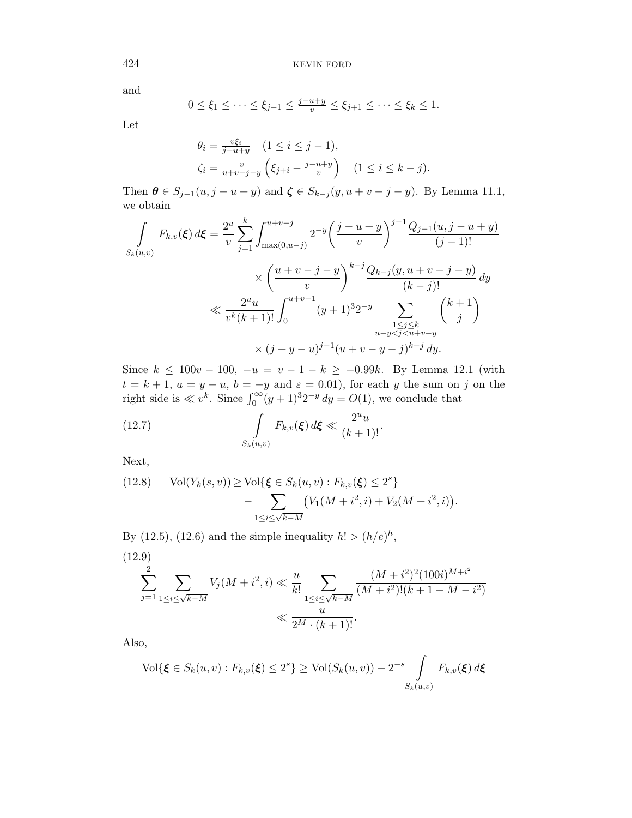and

$$
0 \le \xi_1 \le \cdots \le \xi_{j-1} \le \frac{j-u+y}{v} \le \xi_{j+1} \le \cdots \le \xi_k \le 1.
$$

Let

$$
\theta_i = \frac{v\xi_i}{j - u + y} \quad (1 \le i \le j - 1),
$$
  

$$
\zeta_i = \frac{v}{u + v - j - y} \left( \xi_{j + i} - \frac{j - u + y}{v} \right) \quad (1 \le i \le k - j).
$$

Then  $\theta \in S_{j-1}(u, j-u+y)$  and  $\zeta \in S_{k-j}(y, u+v-j-y)$ . By Lemma 11.1, we obtain

$$
\int_{S_k(u,v)} F_{k,v}(\xi) d\xi = \frac{2^u}{v} \sum_{j=1}^k \int_{\max(0,u-j)}^{u+v-j} 2^{-y} \left(\frac{j-u+y}{v}\right)^{j-1} \frac{Q_{j-1}(u,j-u+y)}{(j-1)!}
$$
\n
$$
\times \left(\frac{u+v-j-y}{v}\right)^{k-j} \frac{Q_{k-j}(y,u+v-j-y)}{(k-j)!} dy
$$
\n
$$
\ll \frac{2^u u}{v^k (k+1)!} \int_0^{u+v-1} (y+1)^3 2^{-y} \sum_{\substack{1 \le j \le k \\ u-y < j < u+v-y}} \binom{k+1}{j}
$$
\n
$$
\times (j+y-u)^{j-1} (u+v-y-j)^{k-j} dy.
$$

Since  $k \le 100v - 100$ ,  $-u = v - 1 - k \ge -0.99k$ . By Lemma 12.1 (with  $t = k + 1, a = y - u, b = -y \text{ and } \varepsilon = 0.01$ , for each y the sum on j on the right side is  $\ll v^k$ . Since  $\int_0^\infty (y+1)^3 2^{-y} dy = O(1)$ , we conclude that

(12.7) 
$$
\int\limits_{S_k(u,v)} F_{k,v}(\boldsymbol{\xi}) d\boldsymbol{\xi} \ll \frac{2^u u}{(k+1)!}.
$$

Next,

(12.8) 
$$
\text{Vol}(Y_k(s, v)) \ge \text{Vol}\{\xi \in S_k(u, v) : F_{k,v}(\xi) \le 2^s\} \\ - \sum_{1 \le i \le \sqrt{k-M}} (V_1(M + i^2, i) + V_2(M + i^2, i)).
$$

By (12.5), (12.6) and the simple inequality  $h! > (h/e)^h$ ,

(12.9)  
\n
$$
\sum_{j=1}^{2} \sum_{1 \le i \le \sqrt{k-M}} V_j(M + i^2, i) \ll \frac{u}{k!} \sum_{1 \le i \le \sqrt{k-M}} \frac{(M + i^2)^2 (100i)^{M + i^2}}{(M + i^2)!(k + 1 - M - i^2)} \ll \frac{u}{2^M \cdot (k + 1)!}.
$$

Also,

$$
\text{Vol}\{\xi \in S_k(u,v) : F_{k,v}(\xi) \le 2^s\} \ge \text{Vol}(S_k(u,v)) - 2^{-s} \int_{S_k(u,v)} F_{k,v}(\xi) d\xi
$$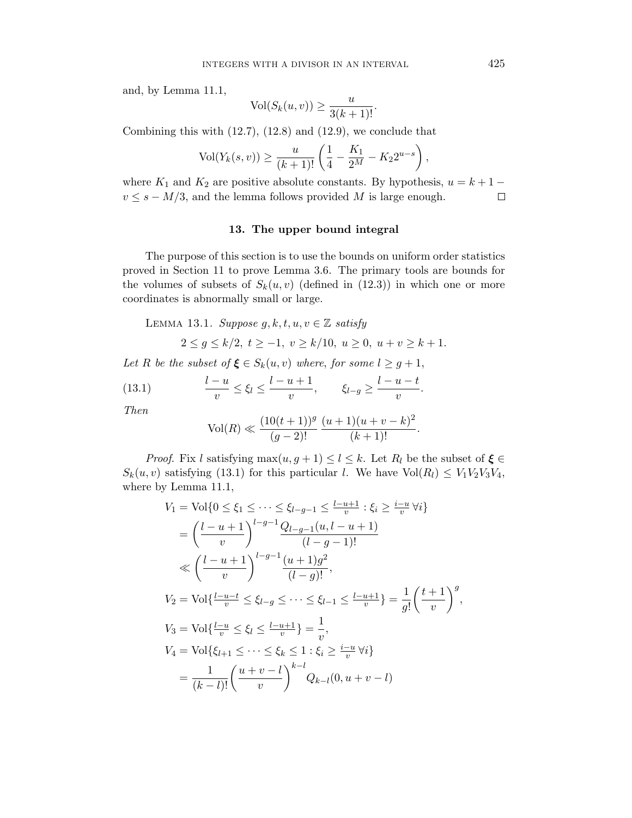and, by Lemma 11.1,

$$
Vol(S_k(u, v)) \ge \frac{u}{3(k+1)!}.
$$

Combining this with (12.7), (12.8) and (12.9), we conclude that

$$
Vol(Y_k(s, v)) \ge \frac{u}{(k+1)!} \left( \frac{1}{4} - \frac{K_1}{2^M} - K_2 2^{u-s} \right),
$$

where  $K_1$  and  $K_2$  are positive absolute constants. By hypothesis,  $u = k + 1$  $v \leq s - M/3$ , and the lemma follows provided M is large enough.  $\Box$ 

## 13. The upper bound integral

The purpose of this section is to use the bounds on uniform order statistics proved in Section 11 to prove Lemma 3.6. The primary tools are bounds for the volumes of subsets of  $S_k(u, v)$  (defined in (12.3)) in which one or more coordinates is abnormally small or large.

LEMMA 13.1. Suppose  $g, k, t, u, v \in \mathbb{Z}$  satisfy

$$
2 \le g \le k/2, \ t \ge -1, \ v \ge k/10, \ u \ge 0, \ u + v \ge k + 1.
$$

Let R be the subset of  $\xi \in S_k(u, v)$  where, for some  $l \geq g+1$ ,

(13.1) 
$$
\frac{l-u}{v} \le \xi_l \le \frac{l-u+1}{v}, \qquad \xi_{l-g} \ge \frac{l-u-t}{v}.
$$

Then

$$
Vol(R) \ll \frac{(10(t+1))^g}{(g-2)!} \frac{(u+1)(u+v-k)^2}{(k+1)!}.
$$

*Proof.* Fix l satisfying  $\max(u, g + 1) \leq l \leq k$ . Let  $R_l$  be the subset of  $\xi \in$  $S_k(u, v)$  satisfying (13.1) for this particular l. We have  $Vol(R_l) \leq V_1 V_2 V_3 V_4$ , where by Lemma 11.1,

$$
V_1 = \text{Vol}\{0 \le \xi_1 \le \dots \le \xi_{l-g-1} \le \frac{l-u+1}{v} : \xi_i \ge \frac{i-u}{v} \forall i\}
$$
  
\n
$$
= \left(\frac{l-u+1}{v}\right)^{l-g-1} \frac{Q_{l-g-1}(u, l-u+1)}{(l-g-1)!}
$$
  
\n
$$
\ll \left(\frac{l-u+1}{v}\right)^{l-g-1} \frac{(u+1)g^2}{(l-g)!},
$$
  
\n
$$
V_2 = \text{Vol}\{\frac{l-u-t}{v} \le \xi_{l-g} \le \dots \le \xi_{l-1} \le \frac{l-u+1}{v}\} = \frac{1}{g!} \left(\frac{t+1}{v}\right)^g,
$$
  
\n
$$
V_3 = \text{Vol}\{\frac{l-u}{v} \le \xi_l \le \frac{l-u+1}{v}\} = \frac{1}{v},
$$
  
\n
$$
V_4 = \text{Vol}\{\xi_{l+1} \le \dots \le \xi_k \le 1 : \xi_i \ge \frac{i-u}{v} \forall i\}
$$
  
\n
$$
= \frac{1}{(k-l)!} \left(\frac{u+v-l}{v}\right)^{k-l} Q_{k-l}(0, u+v-l)
$$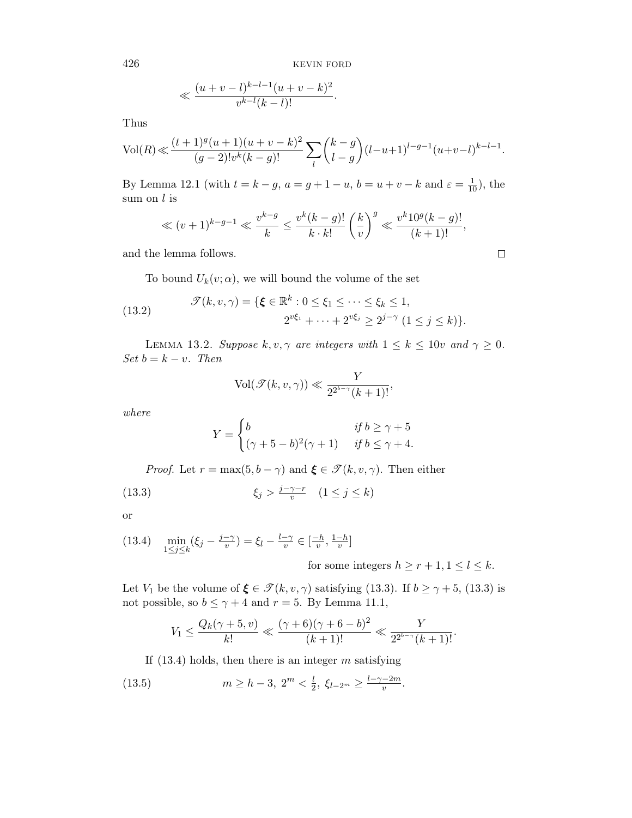$$
\ll \frac{(u+v-l)^{k-l-1}(u+v-k)^2}{v^{k-l}(k-l)!}.
$$

Thus

$$
\text{Vol}(R) \ll \frac{(t+1)^g(u+1)(u+v-k)^2}{(g-2)!v^k(k-g)!} \sum_{l} \binom{k-g}{l-g} (l-u+1)^{l-g-1} (u+v-l)^{k-l-1}.
$$

By Lemma 12.1 (with  $t = k - g$ ,  $a = g + 1 - u$ ,  $b = u + v - k$  and  $\varepsilon = \frac{1}{10}$ ), the sum on  $l$  is

$$
\ll (v+1)^{k-g-1} \ll \frac{v^{k-g}}{k} \le \frac{v^k(k-g)!}{k \cdot k!} \left(\frac{k}{v}\right)^g \ll \frac{v^k 10^g (k-g)!}{(k+1)!},
$$

and the lemma follows.

To bound  $U_k(v; \alpha)$ , we will bound the volume of the set

(13.2) 
$$
\mathcal{T}(k, v, \gamma) = \{ \xi \in \mathbb{R}^k : 0 \le \xi_1 \le \dots \le \xi_k \le 1, \\ 2^{v\xi_1} + \dots + 2^{v\xi_j} \ge 2^{j-\gamma} \ (1 \le j \le k) \}.
$$

LEMMA 13.2. Suppose  $k, v, \gamma$  are integers with  $1 \leq k \leq 10v$  and  $\gamma \geq 0$ . Set  $b = k - v$ . Then

$$
Vol(\mathcal{T}(k, v, \gamma)) \ll \frac{Y}{2^{2^{b-\gamma}}(k+1)!},
$$

where

$$
Y = \begin{cases} b & \text{if } b \ge \gamma + 5 \\ (\gamma + 5 - b)^2 (\gamma + 1) & \text{if } b \le \gamma + 4. \end{cases}
$$

*Proof.* Let  $r = \max(5, b - \gamma)$  and  $\xi \in \mathcal{T}(k, v, \gamma)$ . Then either

(13.3) 
$$
\xi_j > \frac{j - \gamma - r}{v} \quad (1 \le j \le k)
$$

or

$$
(13.4) \quad \min_{1 \le j \le k} (\xi_j - \frac{j - \gamma}{v}) = \xi_l - \frac{l - \gamma}{v} \in \left[\frac{-h}{v}, \frac{1 - h}{v}\right]
$$

for some integers  $h\geq r+1, 1\leq l\leq k.$ 

 $\Box$ 

Let  $V_1$  be the volume of  $\xi \in \mathcal{T}(k, v, \gamma)$  satisfying (13.3). If  $b \ge \gamma + 5$ , (13.3) is not possible, so  $b \le \gamma + 4$  and  $r = 5$ . By Lemma 11.1,

$$
V_1 \le \frac{Q_k(\gamma+5, v)}{k!} \ll \frac{(\gamma+6)(\gamma+6-b)^2}{(k+1)!} \ll \frac{Y}{2^{2^{b-\gamma}}(k+1)!}.
$$

If  $(13.4)$  holds, then there is an integer m satisfying

(13.5) 
$$
m \ge h - 3, \ 2^m < \frac{l}{2}, \ \xi_{l-2^m} \ge \frac{l-\gamma-2m}{v}.
$$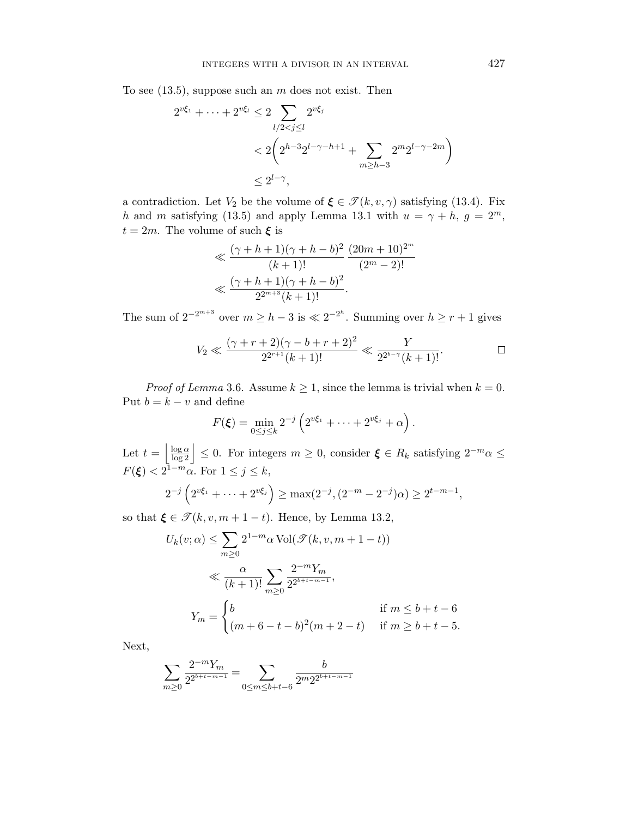To see  $(13.5)$ , suppose such an m does not exist. Then

$$
2^{v\xi_1} + \dots + 2^{v\xi_l} \le 2 \sum_{l/2 < j \le l} 2^{v\xi_j}
$$
  
< 
$$
< 2\left(2^{h-3}2^{l-\gamma-h+1} + \sum_{m \ge h-3} 2^m 2^{l-\gamma-2m}\right)
$$
  

$$
\le 2^{l-\gamma},
$$

a contradiction. Let  $V_2$  be the volume of  $\xi \in \mathcal{T}(k, v, \gamma)$  satisfying (13.4). Fix h and m satisfying (13.5) and apply Lemma 13.1 with  $u = \gamma + h$ ,  $g = 2^m$ ,  $t = 2m$ . The volume of such  $\xi$  is

$$
\ll \frac{(\gamma + h + 1)(\gamma + h - b)^2}{(k+1)!} \frac{(20m+10)^{2^m}}{(2^m-2)!}
$$
  

$$
\ll \frac{(\gamma + h + 1)(\gamma + h - b)^2}{2^{2^{m+3}}(k+1)!}.
$$

The sum of  $2^{-2^{m+3}}$  over  $m \geq h-3$  is  $\ll 2^{-2^h}$ . Summing over  $h \geq r+1$  gives

$$
V_2 \ll \frac{(\gamma + r + 2)(\gamma - b + r + 2)^2}{2^{2^{r+1}}(k+1)!} \ll \frac{Y}{2^{2^{b-\gamma}}(k+1)!}.
$$

*Proof of Lemma* 3.6. Assume  $k \geq 1$ , since the lemma is trivial when  $k = 0$ . Put  $b = k - v$  and define

$$
F(\boldsymbol{\xi}) = \min_{0 \leq j \leq k} 2^{-j} \left( 2^{v \xi_1} + \cdots + 2^{v \xi_j} + \alpha \right).
$$

Let  $t = \left|\frac{\log \alpha}{\log 2}\right| \leq 0$ . For integers  $m \geq 0$ , consider  $\xi \in R_k$  satisfying  $2^{-m} \alpha \leq$  $F(\boldsymbol{\xi}) < 2^{\overline{1-m}} \alpha$ . For  $1 \leq j \leq k$ ,

$$
2^{-j} \left( 2^{v\xi_1} + \dots + 2^{v\xi_j} \right) \ge \max(2^{-j}, (2^{-m} - 2^{-j})\alpha) \ge 2^{t-m-1},
$$

so that  $\xi \in \mathcal{T}(k, v, m + 1 - t)$ . Hence, by Lemma 13.2,

$$
U_k(v; \alpha) \le \sum_{m \ge 0} 2^{1-m} \alpha \operatorname{Vol}(\mathcal{T}(k, v, m+1-t))
$$
  
\$\ll \frac{\alpha}{(k+1)!} \sum\_{m \ge 0} \frac{2^{-m} Y\_m}{2^{2^{b+t-m-1}}},\$  

$$
Y_m = \begin{cases} b & \text{if } m \le b+t-6\\ (m+6-t-b)^2(m+2-t) & \text{if } m \ge b+t-5. \end{cases}
$$

Next,

$$
\sum_{m\geq 0} \frac{2^{-m} Y_m}{2^{2^{b+t-m-1}}} = \sum_{0\leq m\leq b+t-6} \frac{b}{2^m 2^{2^{b+t-m-1}}}
$$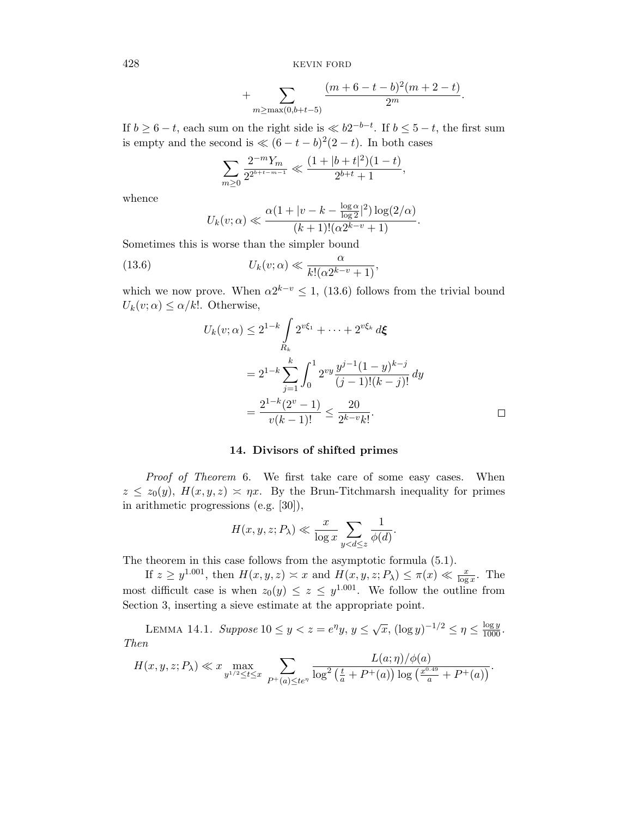+ 
$$
\sum_{m \ge \max(0, b+t-5)} \frac{(m+6-t-b)^2(m+2-t)}{2^m}.
$$

If  $b \geq 6-t$ , each sum on the right side is  $\ll b2^{-b-t}$ . If  $b \leq 5-t$ , the first sum is empty and the second is  $\ll (6 - t - b)^2(2 - t)$ . In both cases

$$
\sum_{m\geq 0} \frac{2^{-m}Y_m}{2^{2^{b+t-m-1}}} \ll \frac{(1+|b+t|^2)(1-t)}{2^{b+t}+1},
$$

whence

$$
U_k(v; \alpha) \ll \frac{\alpha (1+|v-k-\frac{\log \alpha}{\log 2}|^2) \log(2/\alpha)}{(k+1)!(\alpha 2^{k-v}+1)}.
$$

Sometimes this is worse than the simpler bound

(13.6) 
$$
U_k(v; \alpha) \ll \frac{\alpha}{k! (\alpha 2^{k-v} + 1)},
$$

which we now prove. When  $\alpha 2^{k-v} \leq 1$ , (13.6) follows from the trivial bound  $U_k(v; \alpha) \leq \alpha/k!$ . Otherwise,

$$
U_k(v; \alpha) \le 2^{1-k} \int_R 2^{v\xi_1} + \dots + 2^{v\xi_k} d\xi
$$
  
=  $2^{1-k} \sum_{j=1}^k \int_0^1 2^{vy} \frac{y^{j-1} (1-y)^{k-j}}{(j-1)!(k-j)!} dy$   
=  $\frac{2^{1-k} (2^v - 1)}{v(k-1)!} \le \frac{20}{2^{k-v} k!}$ 

#### 14. Divisors of shifted primes

Proof of Theorem 6. We first take care of some easy cases. When  $z \leq z_0(y)$ ,  $H(x, y, z) \approx \eta x$ . By the Brun-Titchmarsh inequality for primes in arithmetic progressions (e.g. [30]),

$$
H(x, y, z; P_\lambda) \ll \frac{x}{\log x} \sum_{y < d \leq z} \frac{1}{\phi(d)}.
$$

The theorem in this case follows from the asymptotic formula (5.1).

If  $z \geq y^{1.001}$ , then  $H(x, y, z) \approx x$  and  $H(x, y, z; P_\lambda) \leq \pi(x) \ll \frac{x}{\log x}$ . The most difficult case is when  $z_0(y) \leq z \leq y^{1.001}$ . We follow the outline from Section 3, inserting a sieve estimate at the appropriate point.

LEMMA 14.1. Suppose  $10 \le y < z = e^{\eta}y, y \le \sqrt{x}, (\log y)^{-1/2} \le \eta \le \frac{\log y}{1000}.$ Then

$$
H(x, y, z; P\lambda) \ll x \max_{y^{1/2} \le t \le x} \sum_{P^+(a) \le te^{\eta}} \frac{L(a; \eta)/\phi(a)}{\log^2\left(\frac{t}{a} + P^+(a)\right) \log\left(\frac{x^{0.49}}{a} + P^+(a)\right)}.
$$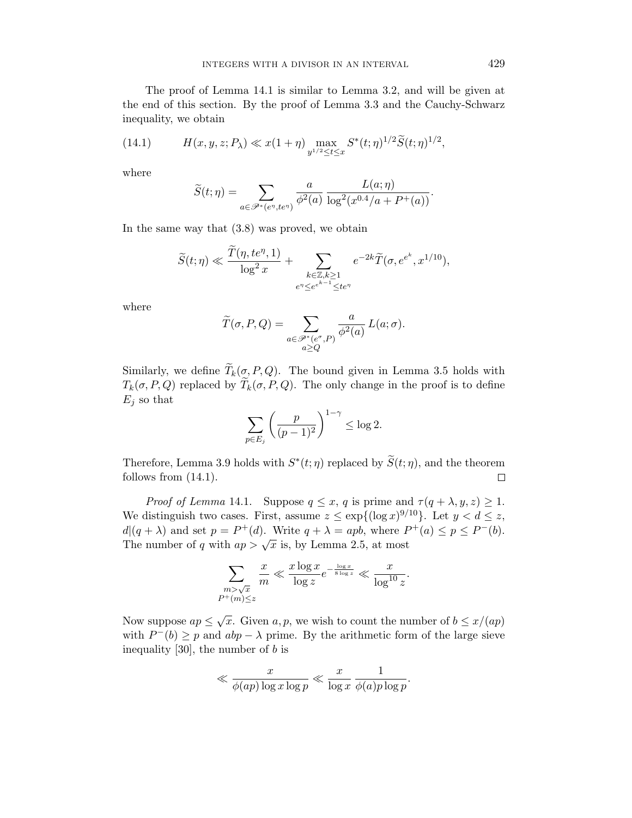The proof of Lemma 14.1 is similar to Lemma 3.2, and will be given at the end of this section. By the proof of Lemma 3.3 and the Cauchy-Schwarz inequality, we obtain

(14.1) 
$$
H(x, y, z; P_\lambda) \ll x(1+\eta) \max_{y^{1/2} \le t \le x} S^*(t; \eta)^{1/2} \widetilde{S}(t; \eta)^{1/2},
$$

where

$$
\widetilde{S}(t;\eta) = \sum_{a \in \mathscr{P}^*(e^{\eta},te^{\eta})} \frac{a}{\phi^2(a)} \frac{L(a;\eta)}{\log^2(x^{0.4}/a + P^+(a))}.
$$

In the same way that (3.8) was proved, we obtain

$$
\widetilde{S}(t;\eta) \ll \frac{\widetilde{T}(\eta, t e^{\eta}, 1)}{\log^2 x} + \sum_{\substack{k \in \mathbb{Z}, k \geq 1 \\ e^{\eta} \leq e^{e^{k-1}} \leq t e^{\eta}}} e^{-2k} \widetilde{T}(\sigma, e^{e^k}, x^{1/10}),
$$

where

$$
\widetilde{T}(\sigma, P, Q) = \sum_{\substack{a \in \mathscr{P}^*(e^{\sigma}, P) \\ a \ge Q}} \frac{a}{\phi^2(a)} L(a; \sigma).
$$

Similarly, we define  $\widetilde{T}_k(\sigma, P, Q)$ . The bound given in Lemma 3.5 holds with  $T_k(\sigma, P, Q)$  replaced by  $\widetilde{T}_k(\sigma, P, Q)$ . The only change in the proof is to define  $E_i$  so that

$$
\sum_{p \in E_j} \left( \frac{p}{(p-1)^2} \right)^{1-\gamma} \le \log 2.
$$

Therefore, Lemma 3.9 holds with  $S^*(t; \eta)$  replaced by  $\widetilde{S}(t; \eta)$ , and the theorem follows from (14.1).

Proof of Lemma 14.1. Suppose  $q \leq x, q$  is prime and  $\tau(q + \lambda, y, z) \geq 1$ . We distinguish two cases. First, assume  $z \leq \exp\{(\log x)^{9/10}\}$ . Let  $y < d \leq z$ ,  $d|(q + \lambda)$  and set  $p = P^+(d)$ . Write  $q + \lambda = apb$ , where  $P^+(a) \leq p \leq P^-(b)$ .  $u_1(q + \lambda)$  and set  $p = 1$  (a). Write  $q + \lambda = 4p\delta$ , where T<br>The number of q with  $ap > \sqrt{x}$  is, by Lemma 2.5, at most

$$
\sum_{\substack{m>\sqrt{x}\\P^+(m)\leq z}}\frac{x}{m}\ll \frac{x\log x}{\log z}e^{-\frac{\log x}{8\log z}}\ll \frac{x}{\log^{10}z}.
$$

Now suppose  $ap \leq \sqrt{x}$ . Given  $a, p$ , we wish to count the number of  $b \leq x/(ap)$ with  $P^-(b) \geq p$  and  $abp - \lambda$  prime. By the arithmetic form of the large sieve inequality [30], the number of  $b$  is

$$
\ll \frac{x}{\phi(ap)\log x \log p} \ll \frac{x}{\log x} \frac{1}{\phi(a)p\log p}.
$$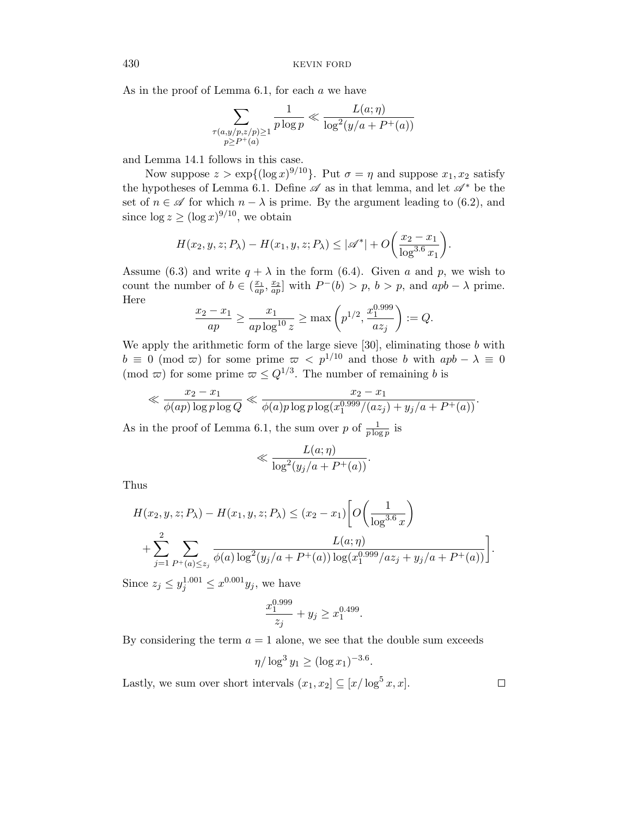As in the proof of Lemma  $6.1$ , for each  $a$  we have

$$
\sum_{\substack{\tau(a,y/p,z/p)\geq 1\\p\geq P^+(a)}}\frac{1}{p\log p}\ll \frac{L(a;\eta)}{\log^2(y/a+P^+(a))}
$$

and Lemma 14.1 follows in this case.

Now suppose  $z > \exp{\{(\log x)^{9/10}\}}$ . Put  $\sigma = \eta$  and suppose  $x_1, x_2$  satisfy the hypotheses of Lemma 6.1. Define  $\mathscr A$  as in that lemma, and let  $\mathscr A^*$  be the set of  $n \in \mathscr{A}$  for which  $n - \lambda$  is prime. By the argument leading to (6.2), and since  $\log z \ge (\log x)^{9/10}$ , we obtain

$$
H(x_2, y, z; P_\lambda) - H(x_1, y, z; P_\lambda) \le |\mathscr{A}^*| + O\bigg(\frac{x_2 - x_1}{\log^{3.6} x_1}\bigg).
$$

Assume (6.3) and write  $q + \lambda$  in the form (6.4). Given a and p, we wish to count the number of  $b \in (\frac{x_1}{ap}, \frac{x_2}{ap}]$  with  $P^-(b) > p$ ,  $b > p$ , and  $apb - \lambda$  prime. Here

$$
\frac{x_2 - x_1}{ap} \ge \frac{x_1}{ap \log^{10} z} \ge \max\left(p^{1/2}, \frac{x_1^{0.999}}{az_j}\right) := Q.
$$

We apply the arithmetic form of the large sieve  $[30]$ , eliminating those  $b$  with  $b \equiv 0 \pmod{\varpi}$  for some prime  $\varpi < p^{1/10}$  and those b with  $apb - \lambda \equiv 0$ (mod  $\varpi$ ) for some prime  $\varpi \leq Q^{1/3}$ . The number of remaining b is

$$
\ll \frac{x_2 - x_1}{\phi(ap) \log p \log Q} \ll \frac{x_2 - x_1}{\phi(a) p \log p \log(x_1^{0.999}/(az_1) + y_1/a + P^+(a))}.
$$

As in the proof of Lemma 6.1, the sum over p of  $\frac{1}{p \log p}$  is

$$
\ll \frac{L(a;\eta)}{\log^2(y_j/a + P^+(a))}.
$$

Thus

$$
H(x_2, y, z; P_\lambda) - H(x_1, y, z; P_\lambda) \le (x_2 - x_1) \left[ O\left(\frac{1}{\log^{3.6} x}\right) + \sum_{j=1}^2 \sum_{P^+(a) \le z_j} \frac{L(a; \eta)}{\phi(a) \log^2(y_j/a + P^+(a)) \log(x_1^{0.999}/az_j + y_j/a + P^+(a))} \right].
$$

Since  $z_j \le y_j^{1.001} \le x^{0.001} y_j$ , we have

$$
\frac{x_1^{0.999}}{z_j} + y_j \ge x_1^{0.499}.
$$

By considering the term  $a = 1$  alone, we see that the double sum exceeds

$$
\eta/\log^3 y_1 \ge (\log x_1)^{-3.6}
$$

.

Lastly, we sum over short intervals  $(x_1, x_2] \subseteq [x/\log^5 x, x]$ .

 $\Box$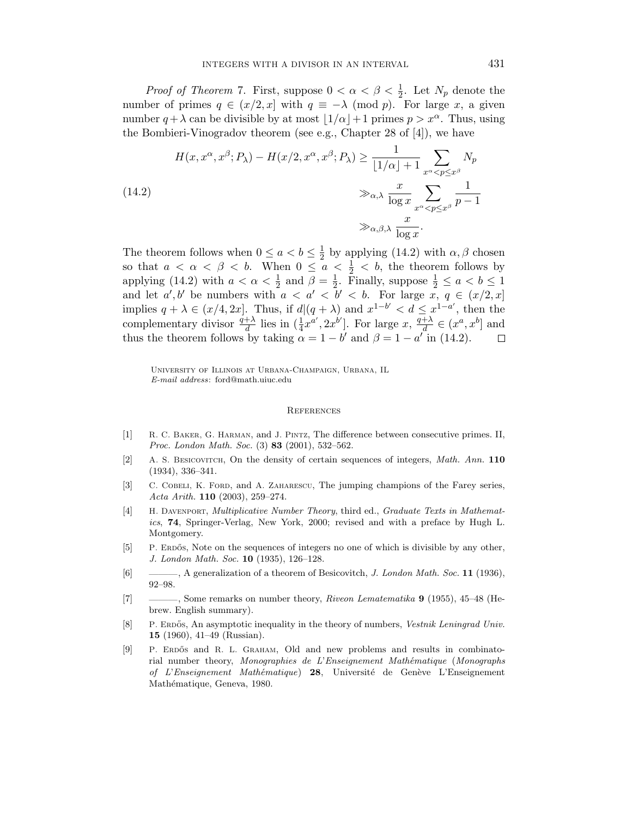*Proof of Theorem 7.* First, suppose  $0 < \alpha < \beta < \frac{1}{2}$ . Let  $N_p$  denote the number of primes  $q \in (x/2, x]$  with  $q \equiv -\lambda \pmod{p}$ . For large x, a given number  $q + \lambda$  can be divisible by at most  $\left| 1/\alpha \right| + 1$  primes  $p > x^{\alpha}$ . Thus, using the Bombieri-Vinogradov theorem (see e.g., Chapter 28 of [4]), we have

(14.2)  

$$
H(x, x^{\alpha}, x^{\beta}; P_{\lambda}) - H(x/2, x^{\alpha}, x^{\beta}; P_{\lambda}) \ge \frac{1}{\lfloor 1/\alpha \rfloor + 1} \sum_{x^{\alpha} < p \le x^{\beta}} N_p
$$

$$
\gg_{\alpha, \lambda} \frac{x}{\log x} \sum_{x^{\alpha} < p \le x^{\beta}} \frac{1}{p - 1}
$$

$$
\gg_{\alpha, \beta, \lambda} \frac{x}{\log x}.
$$

The theorem follows when  $0 \le a < b \le \frac{1}{2}$  $\frac{1}{2}$  by applying (14.2) with  $\alpha$ ,  $\beta$  chosen so that  $a < \alpha < \beta < b$ . When  $0 \le a < \frac{1}{2} < b$ , the theorem follows by applying (14.2) with  $a < \alpha < \frac{1}{2}$  and  $\beta = \frac{1}{2}$  $\frac{1}{2}$ . Finally, suppose  $\frac{1}{2} \leq a < b \leq 1$ and let  $a', b'$  be numbers with  $a < a' < b' < b$ . For large  $x, q \in (x/2, x]$ implies  $q + \lambda \in (x/4, 2x]$ . Thus, if  $d|(q + \lambda)$  and  $x^{1-b'} < d \leq x^{1-a'}$ , then the complementary divisor  $\frac{q+\lambda}{d}$  lies in  $(\frac{1}{4}x^{a'}, 2x^{b'}]$ . For large x,  $\frac{q+\lambda}{d}$  $\frac{d}{d} \in (x^a, x^b]$  and thus the theorem follows by taking  $\alpha = 1 - b'$  and  $\beta = 1 - a'$  in (14.2).

University of Illinois at Urbana-Champaign, Urbana, IL E-mail address: ford@math.uiuc.edu

#### **REFERENCES**

- [1] R. C. Baker, G. Harman, and J. Pintz, The difference between consecutive primes. II, Proc. London Math. Soc. (3) 83 (2001), 532–562.
- [2] A. S. Besicovitch, On the density of certain sequences of integers, Math. Ann. 110 (1934), 336–341.
- [3] C. COBELI, K. FORD, and A. ZAHARESCU, The jumping champions of the Farey series, Acta Arith. 110 (2003), 259–274.
- [4] H. DAVENPORT, *Multiplicative Number Theory*, third ed., *Graduate Texts in Mathemat*ics, 74, Springer-Verlag, New York, 2000; revised and with a preface by Hugh L. Montgomery.
- [5] P. ERDOS, Note on the sequences of integers no one of which is divisible by any other, J. London Math. Soc. 10 (1935), 126–128.
- [6] ———, A generalization of a theorem of Besicovitch, *J. London Math. Soc.* 11 (1936), 92–98.
- [7] ———, Some remarks on number theory, Riveon Lematematika 9 (1955), 45–48 (Hebrew. English summary).
- [8] P. Erdos, An asymptotic inequality in the theory of numbers, Vestnik Leningrad Univ. 15 (1960), 41–49 (Russian).
- [9] P. ERDŐS and R. L. GRAHAM, Old and new problems and results in combinatorial number theory, Monographies de L'Enseignement Mathématique (Monographs of L'Enseignement Mathématique) 28, Université de Genève L'Enseignement Mathématique, Geneva, 1980.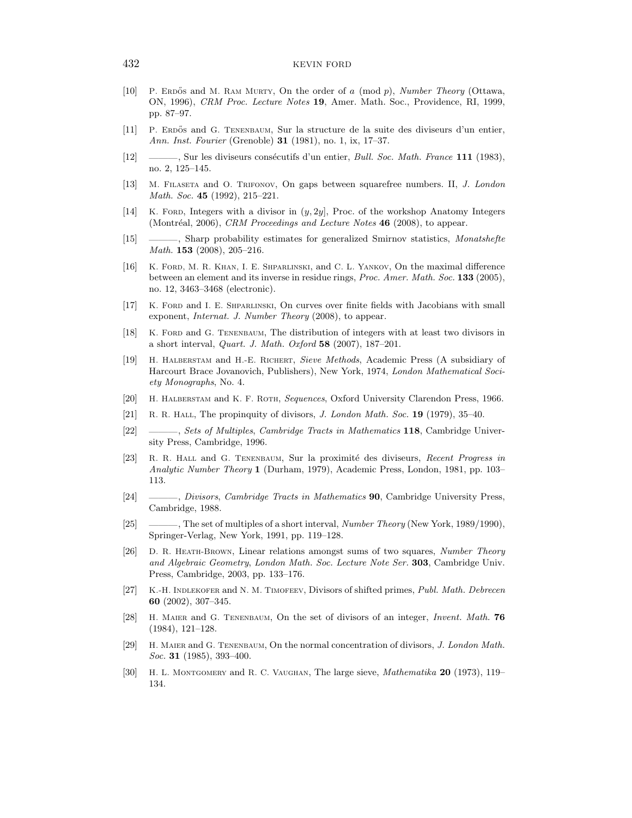- [10] P. ERDOS and M. RAM MURTY, On the order of a (mod  $p$ ), Number Theory (Ottawa, ON, 1996), CRM Proc. Lecture Notes 19, Amer. Math. Soc., Providence, RI, 1999, pp. 87–97.
- [11] P. Erdos˝ and G. Tenenbaum, Sur la structure de la suite des diviseurs d'un entier, Ann. Inst. Fourier (Grenoble) **31** (1981), no. 1, ix, 17-37.
- [12] ——, Sur les diviseurs consécutifs d'un entier, *Bull. Soc. Math. France* 111 (1983), no. 2, 125–145.
- [13] M. Filaseta and O. Trifonov, On gaps between squarefree numbers. II, J. London Math. Soc. **45** (1992), 215-221.
- [14] K. FORD, Integers with a divisor in  $(y, 2y]$ , Proc. of the workshop Anatomy Integers (Montréal, 2006), CRM Proceedings and Lecture Notes  $46$  (2008), to appear.
- [15] ———, Sharp probability estimates for generalized Smirnov statistics, Monatshefte Math. **153** (2008), 205-216.
- [16] K. Ford, M. R. Khan, I. E. Shparlinski, and C. L. Yankov, On the maximal difference between an element and its inverse in residue rings, Proc. Amer. Math. Soc. 133 (2005), no. 12, 3463–3468 (electronic).
- [17] K. Ford and I. E. Shparlinski, On curves over finite fields with Jacobians with small exponent, Internat. J. Number Theory (2008), to appear.
- [18] K. Ford and G. Tenenbaum, The distribution of integers with at least two divisors in a short interval, Quart. J. Math. Oxford 58 (2007), 187–201.
- [19] H. Halberstam and H.-E. Richert, Sieve Methods, Academic Press (A subsidiary of Harcourt Brace Jovanovich, Publishers), New York, 1974, London Mathematical Society Monographs, No. 4.
- [20] H. HALBERSTAM and K. F. ROTH, Sequences, Oxford University Clarendon Press, 1966.
- [21] R. R. HALL, The propinquity of divisors, J. London Math. Soc. 19 (1979), 35–40.
- [22] ———, Sets of Multiples, Cambridge Tracts in Mathematics 118, Cambridge University Press, Cambridge, 1996.
- [23] R. R. HALL and G. TENENBAUM, Sur la proximité des diviseurs, Recent Progress in Analytic Number Theory 1 (Durham, 1979), Academic Press, London, 1981, pp. 103– 113.
- [24] ———, Divisors, Cambridge Tracts in Mathematics 90, Cambridge University Press, Cambridge, 1988.
- [25] ———, The set of multiples of a short interval, Number Theory (New York, 1989/1990), Springer-Verlag, New York, 1991, pp. 119–128.
- [26] D. R. Heath-Brown, Linear relations amongst sums of two squares, Number Theory and Algebraic Geometry, London Math. Soc. Lecture Note Ser. 303, Cambridge Univ. Press, Cambridge, 2003, pp. 133–176.
- [27] K.-H. Indlekofer and N. M. Timofeev, Divisors of shifted primes, Publ. Math. Debrecen 60 (2002), 307–345.
- [28] H. MAIER and G. TENENBAUM, On the set of divisors of an integer, Invent. Math. 76 (1984), 121–128.
- [29] H. Maier and G. Tenenbaum, On the normal concentration of divisors, J. London Math. Soc. **31** (1985), 393-400.
- [30] H. L. MONTGOMERY and R. C. VAUGHAN, The large sieve, *Mathematika* 20 (1973), 119– 134.